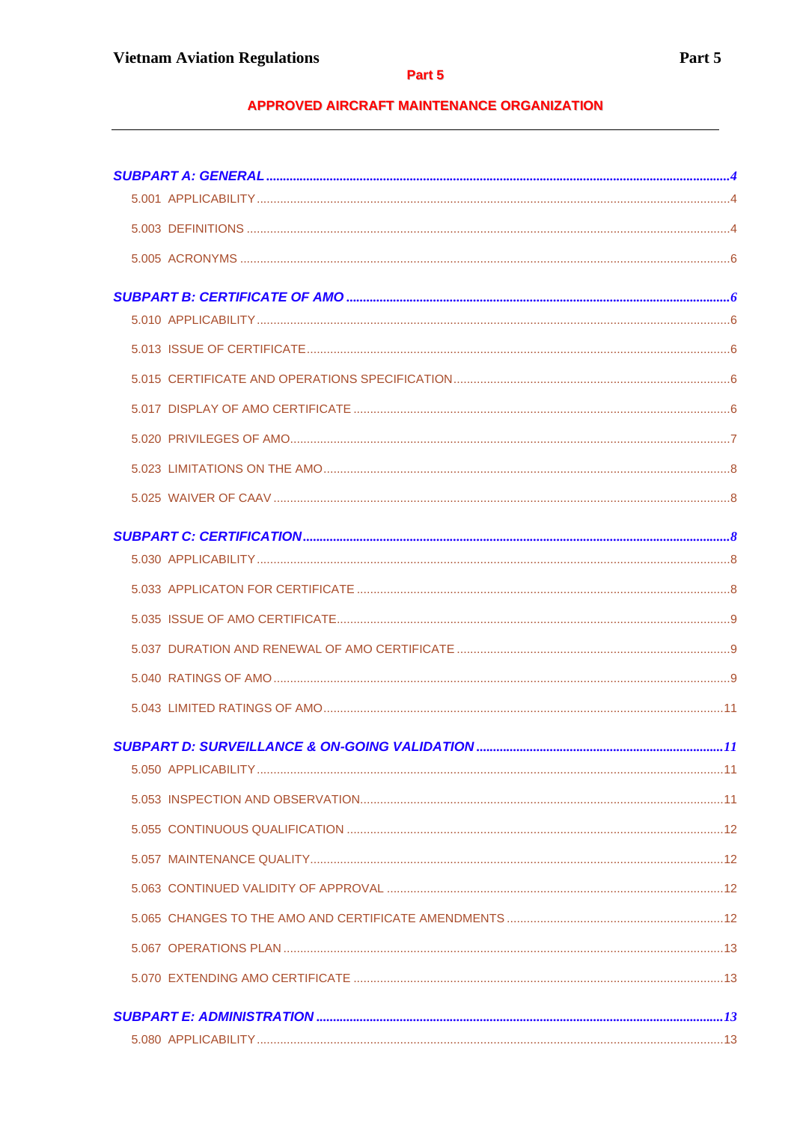# **APPROVED AIRCRAFT MAINTENANCE ORGANIZATION**

 $\overline{\phantom{0}}$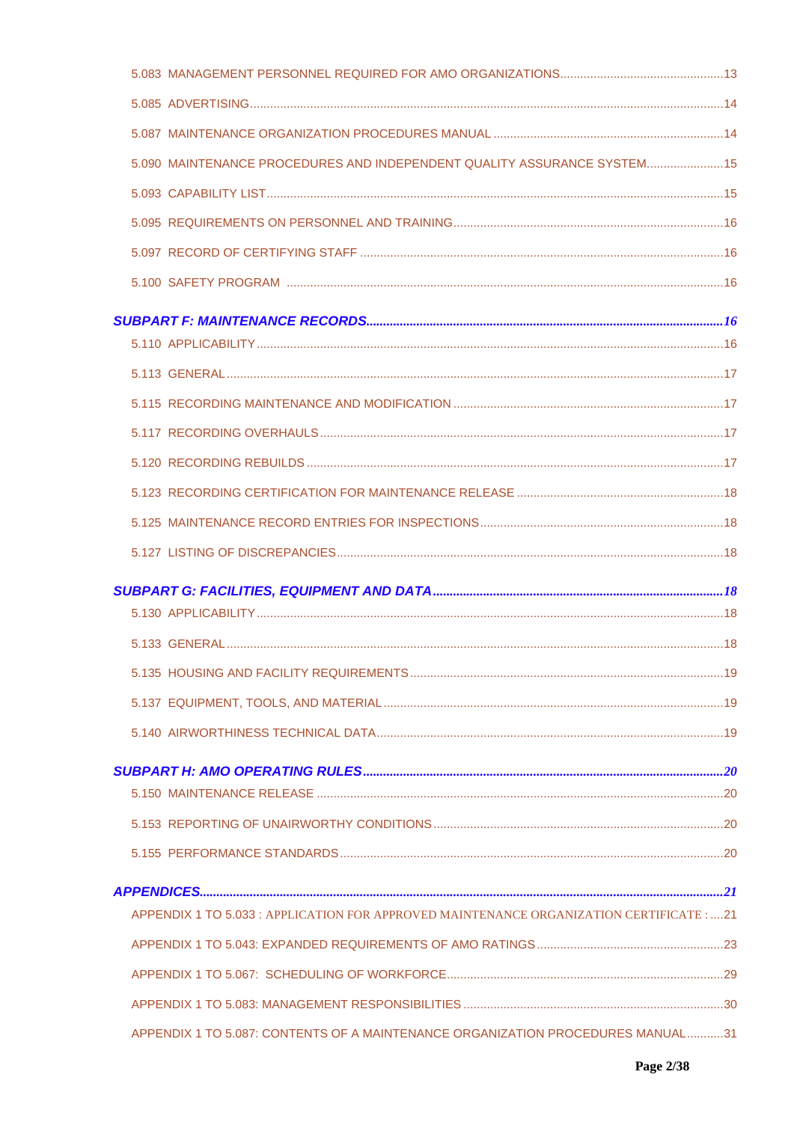| 5.090 MAINTENANCE PROCEDURES AND INDEPENDENT QUALITY ASSURANCE SYSTEM 15                 |  |
|------------------------------------------------------------------------------------------|--|
|                                                                                          |  |
|                                                                                          |  |
|                                                                                          |  |
|                                                                                          |  |
|                                                                                          |  |
|                                                                                          |  |
|                                                                                          |  |
|                                                                                          |  |
|                                                                                          |  |
|                                                                                          |  |
|                                                                                          |  |
|                                                                                          |  |
|                                                                                          |  |
|                                                                                          |  |
|                                                                                          |  |
|                                                                                          |  |
|                                                                                          |  |
|                                                                                          |  |
|                                                                                          |  |
|                                                                                          |  |
|                                                                                          |  |
|                                                                                          |  |
|                                                                                          |  |
|                                                                                          |  |
| APPENDIX 1 TO 5.033 : APPLICATION FOR APPROVED MAINTENANCE ORGANIZATION CERTIFICATE : 21 |  |
|                                                                                          |  |
|                                                                                          |  |
|                                                                                          |  |
| APPENDIX 1 TO 5.087: CONTENTS OF A MAINTENANCE ORGANIZATION PROCEDURES MANUAL31          |  |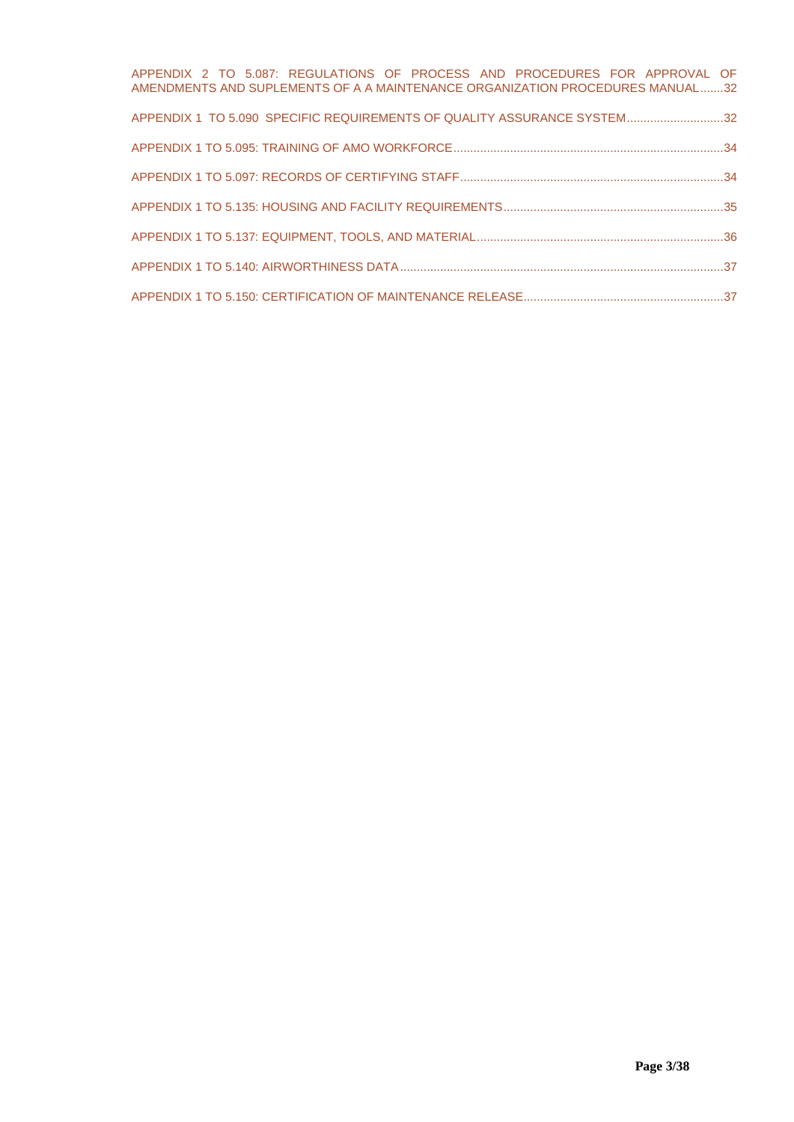| APPENDIX 2 TO 5.087: REGULATIONS OF PROCESS AND PROCEDURES FOR APPROVAL OF<br>AMENDMENTS AND SUPLEMENTS OF A A MAINTENANCE ORGANIZATION PROCEDURES MANUAL32 |  |
|-------------------------------------------------------------------------------------------------------------------------------------------------------------|--|
| APPENDIX 1 TO 5.090 SPECIFIC REQUIREMENTS OF QUALITY ASSURANCE SYSTEM32                                                                                     |  |
|                                                                                                                                                             |  |
|                                                                                                                                                             |  |
|                                                                                                                                                             |  |
|                                                                                                                                                             |  |
|                                                                                                                                                             |  |
|                                                                                                                                                             |  |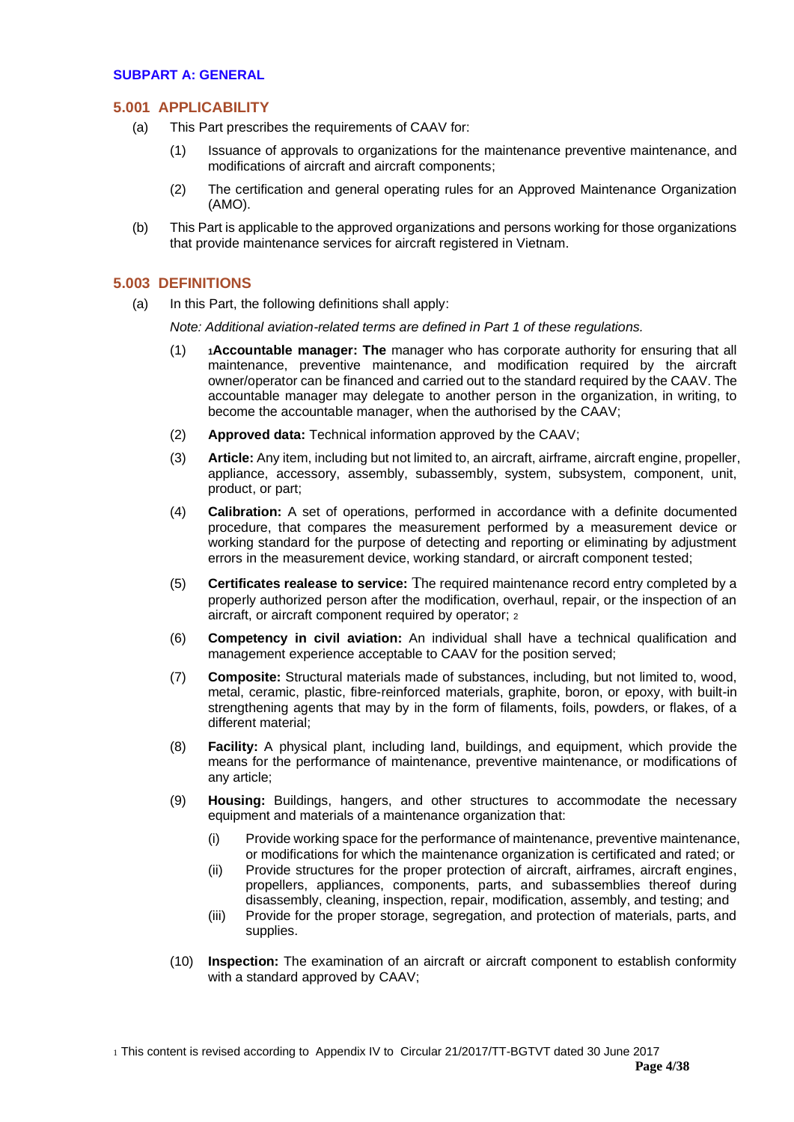#### <span id="page-3-1"></span><span id="page-3-0"></span>**SUBPART A: GENERAL**

#### **5.001 APPLICABILITY**

- (a) This Part prescribes the requirements of CAAV for:
	- (1) Issuance of approvals to organizations for the maintenance preventive maintenance, and modifications of aircraft and aircraft components;
	- (2) The certification and general operating rules for an Approved Maintenance Organization (AMO).
- (b) This Part is applicable to the approved organizations and persons working for those organizations that provide maintenance services for aircraft registered in Vietnam.

#### <span id="page-3-2"></span>**5.003 DEFINITIONS**

(a) In this Part, the following definitions shall apply:

*Note: Additional aviation-related terms are defined in Part 1 of these regulations.*

- (1) **<sup>1</sup>Accountable manager: The** manager who has corporate authority for ensuring that all maintenance, preventive maintenance, and modification required by the aircraft owner/operator can be financed and carried out to the standard required by the CAAV. The accountable manager may delegate to another person in the organization, in writing, to become the accountable manager, when the authorised by the CAAV;
- (2) **Approved data:** Technical information approved by the CAAV;
- (3) **Article:** Any item, including but not limited to, an aircraft, airframe, aircraft engine, propeller, appliance, accessory, assembly, subassembly, system, subsystem, component, unit, product, or part;
- (4) **Calibration:** A set of operations, performed in accordance with a definite documented procedure, that compares the measurement performed by a measurement device or working standard for the purpose of detecting and reporting or eliminating by adjustment errors in the measurement device, working standard, or aircraft component tested;
- (5) **Certificates realease to service:** The required maintenance record entry completed by a properly authorized person after the modification, overhaul, repair, or the inspection of an aircraft, or aircraft component required by operator; <sup>2</sup>
- (6) **Competency in civil aviation:** An individual shall have a technical qualification and management experience acceptable to CAAV for the position served;
- (7) **Composite:** Structural materials made of substances, including, but not limited to, wood, metal, ceramic, plastic, fibre-reinforced materials, graphite, boron, or epoxy, with built-in strengthening agents that may by in the form of filaments, foils, powders, or flakes, of a different material;
- (8) **Facility:** A physical plant, including land, buildings, and equipment, which provide the means for the performance of maintenance, preventive maintenance, or modifications of any article;
- (9) **Housing:** Buildings, hangers, and other structures to accommodate the necessary equipment and materials of a maintenance organization that:
	- (i) Provide working space for the performance of maintenance, preventive maintenance, or modifications for which the maintenance organization is certificated and rated; or
	- (ii) Provide structures for the proper protection of aircraft, airframes, aircraft engines, propellers, appliances, components, parts, and subassemblies thereof during disassembly, cleaning, inspection, repair, modification, assembly, and testing; and
	- (iii) Provide for the proper storage, segregation, and protection of materials, parts, and supplies.
- (10) **Inspection:** The examination of an aircraft or aircraft component to establish conformity with a standard approved by CAAV;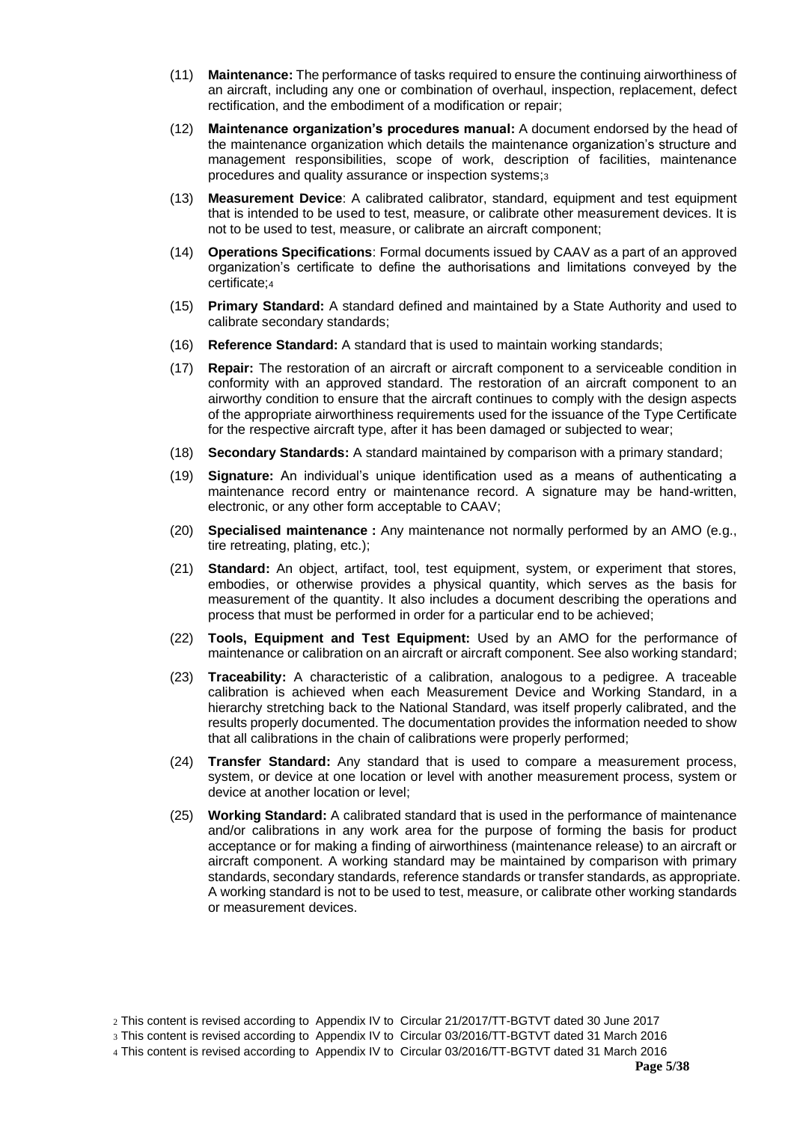- (11) **Maintenance:** The performance of tasks required to ensure the continuing airworthiness of an aircraft, including any one or combination of overhaul, inspection, replacement, defect rectification, and the embodiment of a modification or repair;
- (12) **Maintenance organization's procedures manual:** A document endorsed by the head of the maintenance organization which details the maintenance organization's structure and management responsibilities, scope of work, description of facilities, maintenance procedures and quality assurance or inspection systems;<sup>3</sup>
- (13) **Measurement Device**: A calibrated calibrator, standard, equipment and test equipment that is intended to be used to test, measure, or calibrate other measurement devices. It is not to be used to test, measure, or calibrate an aircraft component;
- (14) **Operations Specifications**: Formal documents issued by CAAV as a part of an approved organization's certificate to define the authorisations and limitations conveyed by the certificate;<sup>4</sup>
- (15) **Primary Standard:** A standard defined and maintained by a State Authority and used to calibrate secondary standards;
- (16) **Reference Standard:** A standard that is used to maintain working standards;
- (17) **Repair:** The restoration of an aircraft or aircraft component to a serviceable condition in conformity with an approved standard. The restoration of an aircraft component to an airworthy condition to ensure that the aircraft continues to comply with the design aspects of the appropriate airworthiness requirements used for the issuance of the Type Certificate for the respective aircraft type, after it has been damaged or subjected to wear;
- (18) **Secondary Standards:** A standard maintained by comparison with a primary standard;
- (19) **Signature:** An individual's unique identification used as a means of authenticating a maintenance record entry or maintenance record. A signature may be hand-written, electronic, or any other form acceptable to CAAV;
- (20) **Specialised maintenance :** Any maintenance not normally performed by an AMO (e.g., tire retreating, plating, etc.);
- (21) **Standard:** An object, artifact, tool, test equipment, system, or experiment that stores, embodies, or otherwise provides a physical quantity, which serves as the basis for measurement of the quantity. It also includes a document describing the operations and process that must be performed in order for a particular end to be achieved;
- (22) **Tools, Equipment and Test Equipment:** Used by an AMO for the performance of maintenance or calibration on an aircraft or aircraft component. See also working standard;
- (23) **Traceability:** A characteristic of a calibration, analogous to a pedigree. A traceable calibration is achieved when each Measurement Device and Working Standard, in a hierarchy stretching back to the National Standard, was itself properly calibrated, and the results properly documented. The documentation provides the information needed to show that all calibrations in the chain of calibrations were properly performed;
- (24) **Transfer Standard:** Any standard that is used to compare a measurement process, system, or device at one location or level with another measurement process, system or device at another location or level;
- (25) **Working Standard:** A calibrated standard that is used in the performance of maintenance and/or calibrations in any work area for the purpose of forming the basis for product acceptance or for making a finding of airworthiness (maintenance release) to an aircraft or aircraft component. A working standard may be maintained by comparison with primary standards, secondary standards, reference standards or transfer standards, as appropriate. A working standard is not to be used to test, measure, or calibrate other working standards or measurement devices.

<sup>2</sup> This content is revised according to Appendix IV to Circular 21/2017/TT-BGTVT dated 30 June 2017

<sup>3</sup> This content is revised according to Appendix IV to Circular 03/2016/TT-BGTVT dated 31 March 2016

<sup>4</sup> This content is revised according to Appendix IV to Circular 03/2016/TT-BGTVT dated 31 March 2016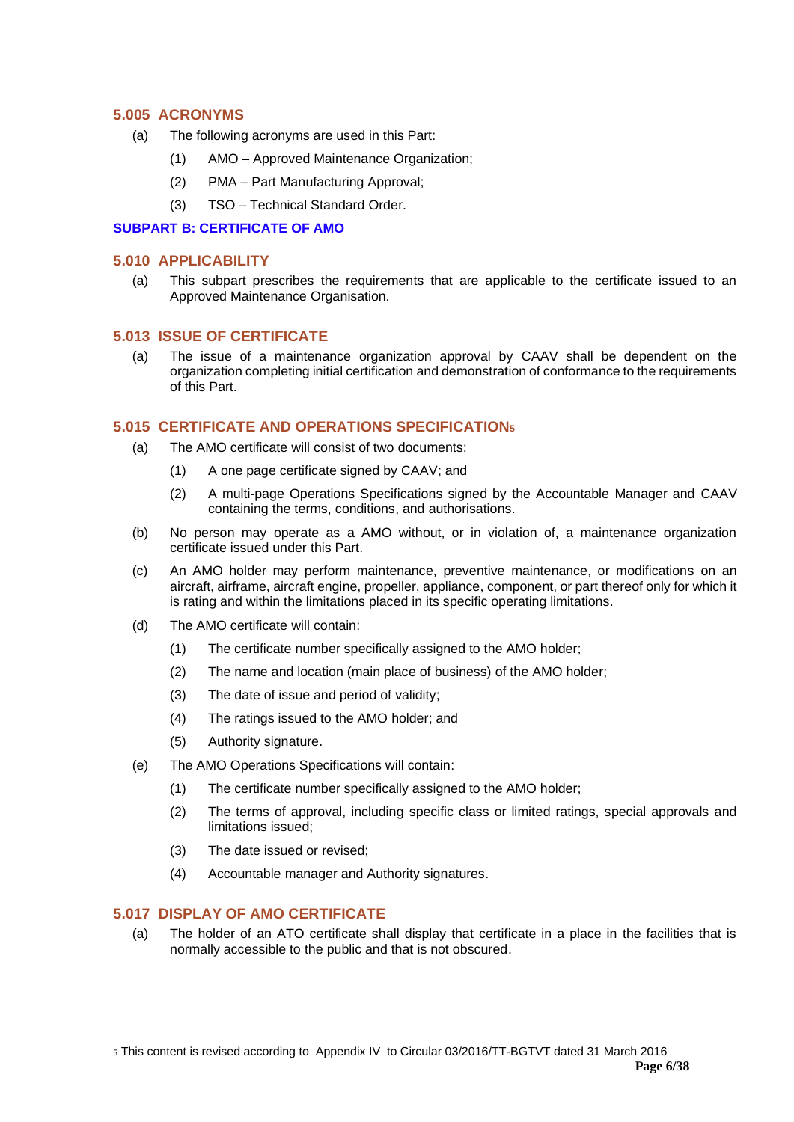# <span id="page-5-0"></span>**5.005 ACRONYMS**

- (a) The following acronyms are used in this Part:
	- (1) AMO Approved Maintenance Organization;
	- (2) PMA Part Manufacturing Approval;
	- (3) TSO Technical Standard Order.

## <span id="page-5-1"></span>**SUBPART B: CERTIFICATE OF AMO**

### <span id="page-5-2"></span>**5.010 APPLICABILITY**

(a) This subpart prescribes the requirements that are applicable to the certificate issued to an Approved Maintenance Organisation.

## <span id="page-5-3"></span>**5.013 ISSUE OF CERTIFICATE**

(a) The issue of a maintenance organization approval by CAAV shall be dependent on the organization completing initial certification and demonstration of conformance to the requirements of this Part.

## <span id="page-5-4"></span>**5.015 CERTIFICATE AND OPERATIONS SPECIFICATION<sup>5</sup>**

- (a) The AMO certificate will consist of two documents:
	- (1) A one page certificate signed by CAAV; and
	- (2) A multi-page Operations Specifications signed by the Accountable Manager and CAAV containing the terms, conditions, and authorisations.
- (b) No person may operate as a AMO without, or in violation of, a maintenance organization certificate issued under this Part.
- (c) An AMO holder may perform maintenance, preventive maintenance, or modifications on an aircraft, airframe, aircraft engine, propeller, appliance, component, or part thereof only for which it is rating and within the limitations placed in its specific operating limitations.
- (d) The AMO certificate will contain:
	- (1) The certificate number specifically assigned to the AMO holder;
	- (2) The name and location (main place of business) of the AMO holder;
	- (3) The date of issue and period of validity;
	- (4) The ratings issued to the AMO holder; and
	- (5) Authority signature.
- (e) The AMO Operations Specifications will contain:
	- (1) The certificate number specifically assigned to the AMO holder;
	- (2) The terms of approval, including specific class or limited ratings, special approvals and limitations issued;
	- (3) The date issued or revised;
	- (4) Accountable manager and Authority signatures.

# <span id="page-5-5"></span>**5.017 DISPLAY OF AMO CERTIFICATE**

(a) The holder of an ATO certificate shall display that certificate in a place in the facilities that is normally accessible to the public and that is not obscured.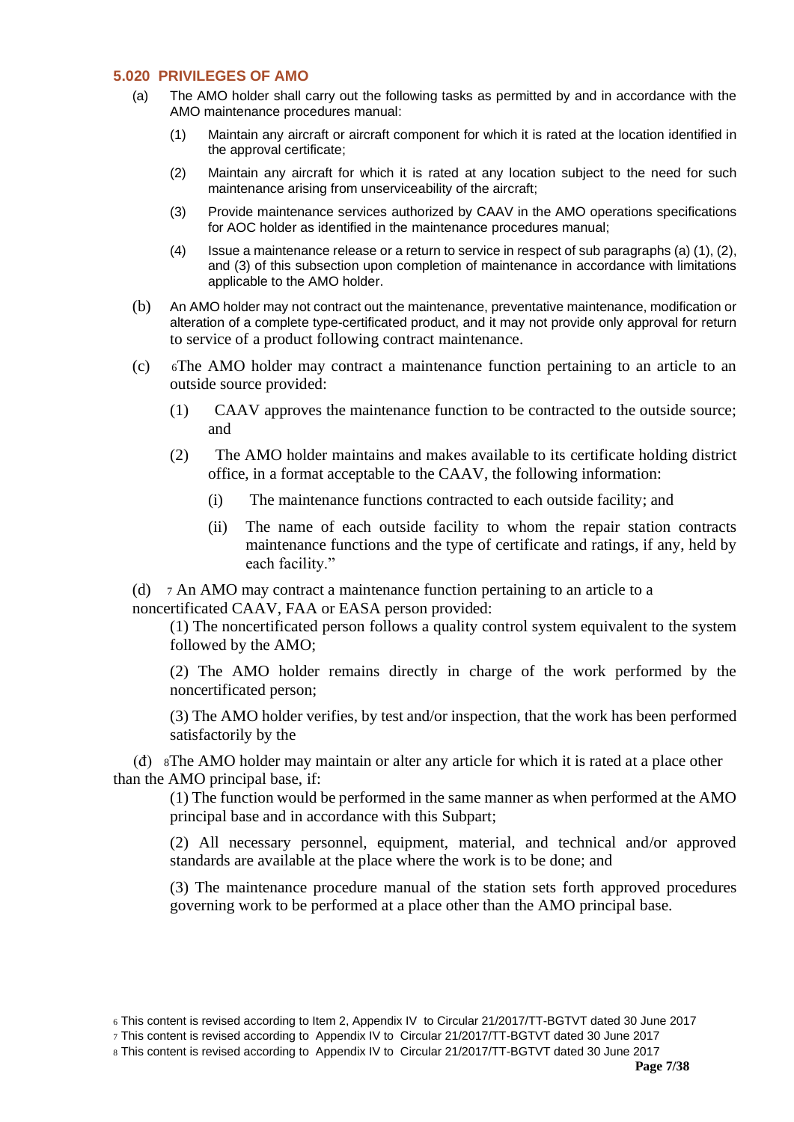# <span id="page-6-0"></span>**5.020 PRIVILEGES OF AMO**

- (a) The AMO holder shall carry out the following tasks as permitted by and in accordance with the AMO maintenance procedures manual:
	- (1) Maintain any aircraft or aircraft component for which it is rated at the location identified in the approval certificate;
	- (2) Maintain any aircraft for which it is rated at any location subject to the need for such maintenance arising from unserviceability of the aircraft;
	- (3) Provide maintenance services authorized by CAAV in the AMO operations specifications for AOC holder as identified in the maintenance procedures manual;
	- (4) Issue a maintenance release or a return to service in respect of sub paragraphs (a) (1), (2), and (3) of this subsection upon completion of maintenance in accordance with limitations applicable to the AMO holder.
- (b) An AMO holder may not contract out the maintenance, preventative maintenance, modification or alteration of a complete type-certificated product, and it may not provide only approval for return to service of a product following contract maintenance.
- (c) 6The AMO holder may contract a maintenance function pertaining to an article to an outside source provided:
	- (1) CAAV approves the maintenance function to be contracted to the outside source; and
	- (2) The AMO holder maintains and makes available to its certificate holding district office, in a format acceptable to the CAAV, the following information:
		- (i) The maintenance functions contracted to each outside facility; and
		- (ii) The name of each outside facility to whom the repair station contracts maintenance functions and the type of certificate and ratings, if any, held by each facility."

(d) <sup>7</sup> An AMO may contract a maintenance function pertaining to an article to a noncertificated CAAV, FAA or EASA person provided:

(1) The noncertificated person follows a quality control system equivalent to the system followed by the AMO;

(2) The AMO holder remains directly in charge of the work performed by the noncertificated person;

(3) The AMO holder verifies, by test and/or inspection, that the work has been performed satisfactorily by the

 (đ) 8The AMO holder may maintain or alter any article for which it is rated at a place other than the AMO principal base, if:

(1) The function would be performed in the same manner as when performed at the AMO principal base and in accordance with this Subpart;

(2) All necessary personnel, equipment, material, and technical and/or approved standards are available at the place where the work is to be done; and

(3) The maintenance procedure manual of the station sets forth approved procedures governing work to be performed at a place other than the AMO principal base.

<sup>6</sup> This content is revised according to Item 2, Appendix IV to Circular 21/2017/TT-BGTVT dated 30 June 2017

<sup>7</sup> This content is revised according to Appendix IV to Circular 21/2017/TT-BGTVT dated 30 June 2017

<sup>8</sup> This content is revised according to Appendix IV to Circular 21/2017/TT-BGTVT dated 30 June 2017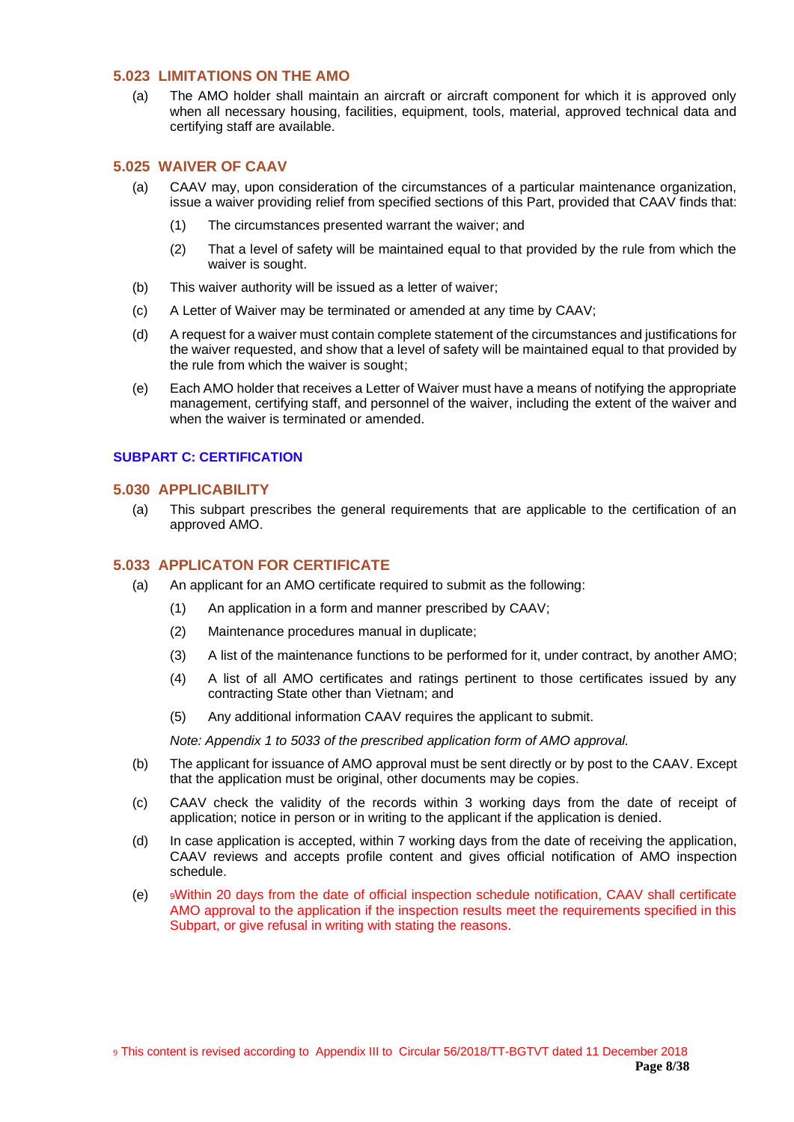## <span id="page-7-0"></span>**5.023 LIMITATIONS ON THE AMO**

(a) The AMO holder shall maintain an aircraft or aircraft component for which it is approved only when all necessary housing, facilities, equipment, tools, material, approved technical data and certifying staff are available.

# <span id="page-7-1"></span>**5.025 WAIVER OF CAAV**

- (a) CAAV may, upon consideration of the circumstances of a particular maintenance organization, issue a waiver providing relief from specified sections of this Part, provided that CAAV finds that:
	- (1) The circumstances presented warrant the waiver; and
	- (2) That a level of safety will be maintained equal to that provided by the rule from which the waiver is sought.
- (b) This waiver authority will be issued as a letter of waiver;
- (c) A Letter of Waiver may be terminated or amended at any time by CAAV;
- (d) A request for a waiver must contain complete statement of the circumstances and justifications for the waiver requested, and show that a level of safety will be maintained equal to that provided by the rule from which the waiver is sought;
- (e) Each AMO holder that receives a Letter of Waiver must have a means of notifying the appropriate management, certifying staff, and personnel of the waiver, including the extent of the waiver and when the waiver is terminated or amended.

#### <span id="page-7-3"></span><span id="page-7-2"></span>**SUBPART C: CERTIFICATION**

# **5.030 APPLICABILITY**

(a) This subpart prescribes the general requirements that are applicable to the certification of an approved AMO.

# <span id="page-7-4"></span>**5.033 APPLICATON FOR CERTIFICATE**

- (a) An applicant for an AMO certificate required to submit as the following:
	- (1) An application in a form and manner prescribed by CAAV;
	- (2) Maintenance procedures manual in duplicate;
	- (3) A list of the maintenance functions to be performed for it, under contract, by another AMO;
	- (4) A list of all AMO certificates and ratings pertinent to those certificates issued by any contracting State other than Vietnam; and
	- (5) Any additional information CAAV requires the applicant to submit.

*Note: Appendix 1 to 5033 of the prescribed application form of AMO approval.*

- (b) The applicant for issuance of AMO approval must be sent directly or by post to the CAAV. Except that the application must be original, other documents may be copies.
- (c) CAAV check the validity of the records within 3 working days from the date of receipt of application; notice in person or in writing to the applicant if the application is denied.
- (d) In case application is accepted, within 7 working days from the date of receiving the application, CAAV reviews and accepts profile content and gives official notification of AMO inspection schedule.
- (e) <sup>9</sup>Within 20 days from the date of official inspection schedule notification, CAAV shall certificate AMO approval to the application if the inspection results meet the requirements specified in this Subpart, or give refusal in writing with stating the reasons.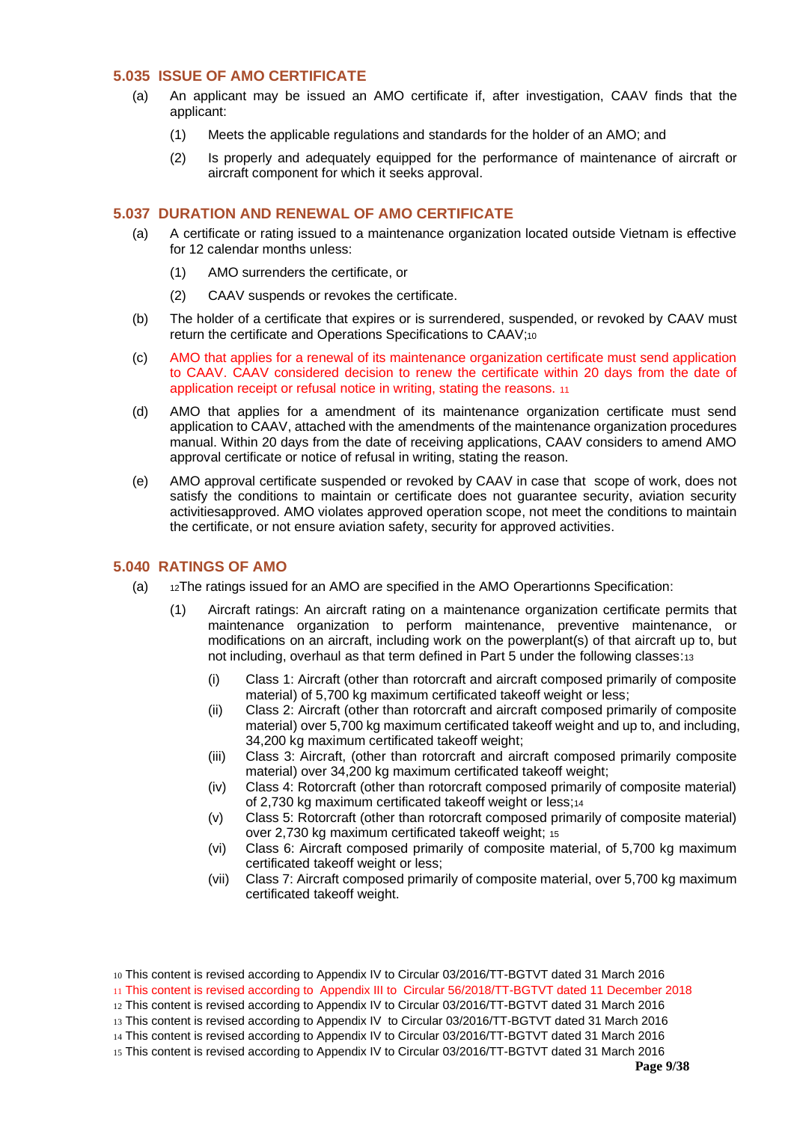## <span id="page-8-0"></span>**5.035 ISSUE OF AMO CERTIFICATE**

- (a) An applicant may be issued an AMO certificate if, after investigation, CAAV finds that the applicant:
	- (1) Meets the applicable regulations and standards for the holder of an AMO; and
	- (2) Is properly and adequately equipped for the performance of maintenance of aircraft or aircraft component for which it seeks approval.

## <span id="page-8-1"></span>**5.037 DURATION AND RENEWAL OF AMO CERTIFICATE**

- (a) A certificate or rating issued to a maintenance organization located outside Vietnam is effective for 12 calendar months unless:
	- (1) AMO surrenders the certificate, or
	- (2) CAAV suspends or revokes the certificate.
- (b) The holder of a certificate that expires or is surrendered, suspended, or revoked by CAAV must return the certificate and Operations Specifications to CAAV;<sup>10</sup>
- (c) AMO that applies for a renewal of its maintenance organization certificate must send application to CAAV. CAAV considered decision to renew the certificate within 20 days from the date of application receipt or refusal notice in writing, stating the reasons. <sup>11</sup>
- (d) AMO that applies for a amendment of its maintenance organization certificate must send application to CAAV, attached with the amendments of the maintenance organization procedures manual. Within 20 days from the date of receiving applications, CAAV considers to amend AMO approval certificate or notice of refusal in writing, stating the reason.
- (e) AMO approval certificate suspended or revoked by CAAV in case that scope of work, does not satisfy the conditions to maintain or certificate does not guarantee security, aviation security activitiesapproved. AMO violates approved operation scope, not meet the conditions to maintain the certificate, or not ensure aviation safety, security for approved activities.

#### <span id="page-8-2"></span>**5.040 RATINGS OF AMO**

- (a) 12The ratings issued for an AMO are specified in the AMO Operartionns Specification:
	- (1) Aircraft ratings: An aircraft rating on a maintenance organization certificate permits that maintenance organization to perform maintenance, preventive maintenance, or modifications on an aircraft, including work on the powerplant(s) of that aircraft up to, but not including, overhaul as that term defined in Part 5 under the following classes:<sup>13</sup>
		- (i) Class 1: Aircraft (other than rotorcraft and aircraft composed primarily of composite material) of 5,700 kg maximum certificated takeoff weight or less;
		- (ii) Class 2: Aircraft (other than rotorcraft and aircraft composed primarily of composite material) over 5,700 kg maximum certificated takeoff weight and up to, and including, 34,200 kg maximum certificated takeoff weight;
		- (iii) Class 3: Aircraft, (other than rotorcraft and aircraft composed primarily composite material) over 34,200 kg maximum certificated takeoff weight;
		- (iv) Class 4: Rotorcraft (other than rotorcraft composed primarily of composite material) of 2,730 kg maximum certificated takeoff weight or less;<sup>14</sup>
		- (v) Class 5: Rotorcraft (other than rotorcraft composed primarily of composite material) over 2,730 kg maximum certificated takeoff weight; <sup>15</sup>
		- (vi) Class 6: Aircraft composed primarily of composite material, of 5,700 kg maximum certificated takeoff weight or less;
		- (vii) Class 7: Aircraft composed primarily of composite material, over 5,700 kg maximum certificated takeoff weight.

13 This content is revised according to Appendix IV to Circular 03/2016/TT-BGTVT dated 31 March 2016

<sup>10</sup> This content is revised according to Appendix IV to Circular 03/2016/TT-BGTVT dated 31 March 2016

<sup>11</sup> This content is revised according to Appendix III to Circular 56/2018/TT-BGTVT dated 11 December 2018

<sup>12</sup> This content is revised according to Appendix IV to Circular 03/2016/TT-BGTVT dated 31 March 2016

<sup>14</sup> This content is revised according to Appendix IV to Circular 03/2016/TT-BGTVT dated 31 March 2016

<sup>15</sup> This content is revised according to Appendix IV to Circular 03/2016/TT-BGTVT dated 31 March 2016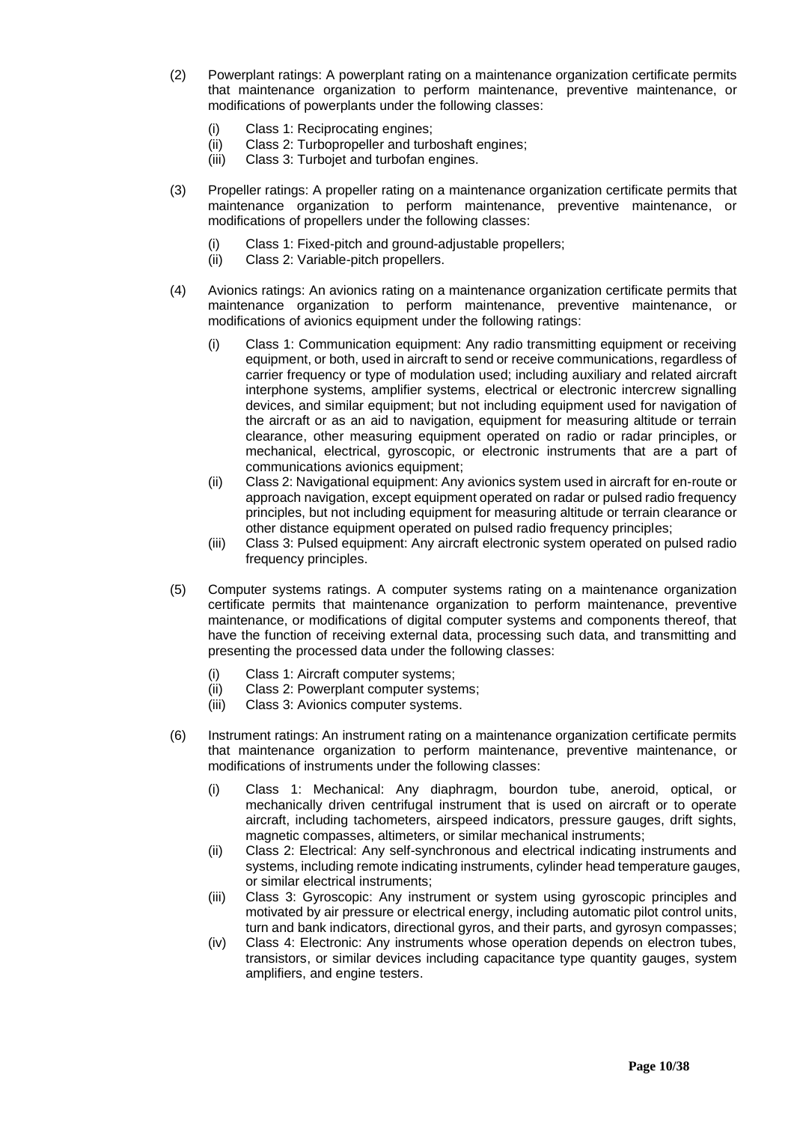- (2) Powerplant ratings: A powerplant rating on a maintenance organization certificate permits that maintenance organization to perform maintenance, preventive maintenance, or modifications of powerplants under the following classes:
	- (i) Class 1: Reciprocating engines;
	- (ii) Class 2: Turbopropeller and turboshaft engines;
	- (iii) Class 3: Turbojet and turbofan engines.
- (3) Propeller ratings: A propeller rating on a maintenance organization certificate permits that maintenance organization to perform maintenance, preventive maintenance, or modifications of propellers under the following classes:
	- (i) Class 1: Fixed-pitch and ground-adjustable propellers;
	- (ii) Class 2: Variable-pitch propellers.
- (4) Avionics ratings: An avionics rating on a maintenance organization certificate permits that maintenance organization to perform maintenance, preventive maintenance, or modifications of avionics equipment under the following ratings:
	- (i) Class 1: Communication equipment: Any radio transmitting equipment or receiving equipment, or both, used in aircraft to send or receive communications, regardless of carrier frequency or type of modulation used; including auxiliary and related aircraft interphone systems, amplifier systems, electrical or electronic intercrew signalling devices, and similar equipment; but not including equipment used for navigation of the aircraft or as an aid to navigation, equipment for measuring altitude or terrain clearance, other measuring equipment operated on radio or radar principles, or mechanical, electrical, gyroscopic, or electronic instruments that are a part of communications avionics equipment;
	- (ii) Class 2: Navigational equipment: Any avionics system used in aircraft for en-route or approach navigation, except equipment operated on radar or pulsed radio frequency principles, but not including equipment for measuring altitude or terrain clearance or other distance equipment operated on pulsed radio frequency principles;
	- (iii) Class 3: Pulsed equipment: Any aircraft electronic system operated on pulsed radio frequency principles.
- (5) Computer systems ratings. A computer systems rating on a maintenance organization certificate permits that maintenance organization to perform maintenance, preventive maintenance, or modifications of digital computer systems and components thereof, that have the function of receiving external data, processing such data, and transmitting and presenting the processed data under the following classes:
	- (i) Class 1: Aircraft computer systems;
	- (ii) Class 2: Powerplant computer systems;
	- (iii) Class 3: Avionics computer systems.
- (6) Instrument ratings: An instrument rating on a maintenance organization certificate permits that maintenance organization to perform maintenance, preventive maintenance, or modifications of instruments under the following classes:
	- (i) Class 1: Mechanical: Any diaphragm, bourdon tube, aneroid, optical, or mechanically driven centrifugal instrument that is used on aircraft or to operate aircraft, including tachometers, airspeed indicators, pressure gauges, drift sights, magnetic compasses, altimeters, or similar mechanical instruments;
	- (ii) Class 2: Electrical: Any self-synchronous and electrical indicating instruments and systems, including remote indicating instruments, cylinder head temperature gauges, or similar electrical instruments;
	- (iii) Class 3: Gyroscopic: Any instrument or system using gyroscopic principles and motivated by air pressure or electrical energy, including automatic pilot control units, turn and bank indicators, directional gyros, and their parts, and gyrosyn compasses;
	- (iv) Class 4: Electronic: Any instruments whose operation depends on electron tubes, transistors, or similar devices including capacitance type quantity gauges, system amplifiers, and engine testers.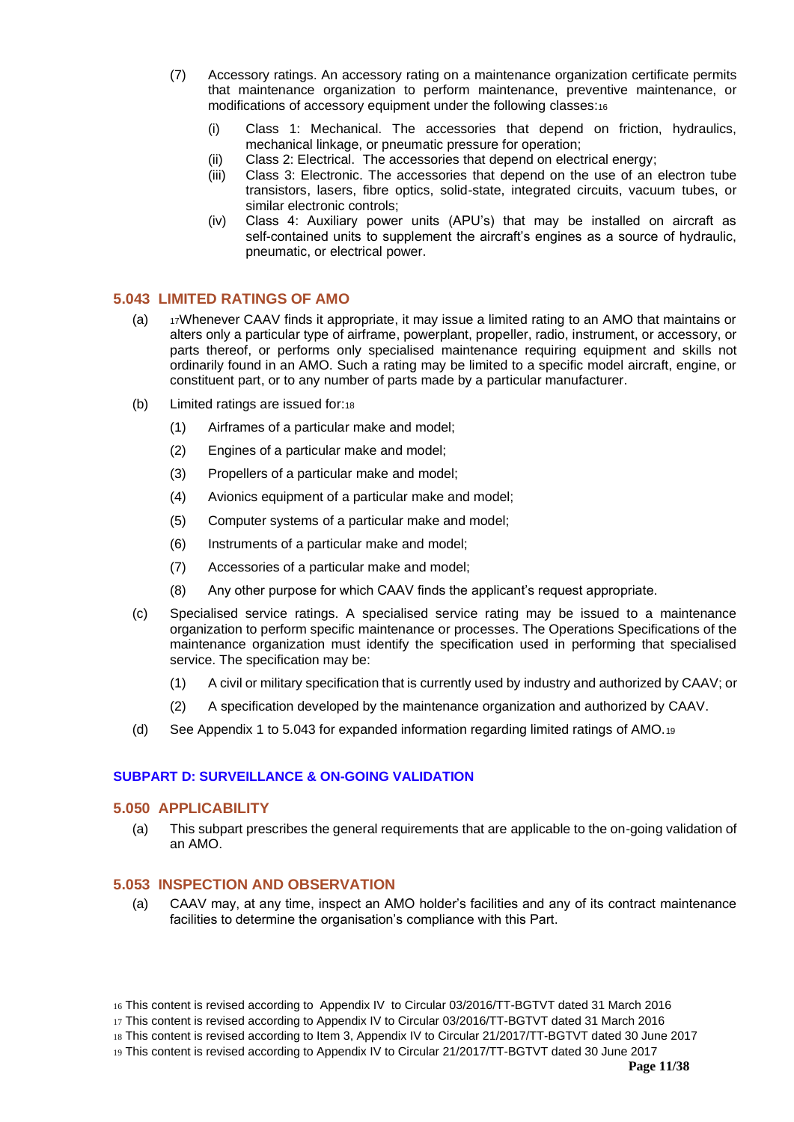- (7) Accessory ratings. An accessory rating on a maintenance organization certificate permits that maintenance organization to perform maintenance, preventive maintenance, or modifications of accessory equipment under the following classes:<sup>16</sup>
	- (i) Class 1: Mechanical. The accessories that depend on friction, hydraulics, mechanical linkage, or pneumatic pressure for operation;
	- (ii) Class 2: Electrical. The accessories that depend on electrical energy;
	- (iii) Class 3: Electronic. The accessories that depend on the use of an electron tube transistors, lasers, fibre optics, solid-state, integrated circuits, vacuum tubes, or similar electronic controls;
	- (iv) Class 4: Auxiliary power units (APU's) that may be installed on aircraft as self-contained units to supplement the aircraft's engines as a source of hydraulic, pneumatic, or electrical power.

# <span id="page-10-0"></span>**5.043 LIMITED RATINGS OF AMO**

- (a)  $17$ Whenever CAAV finds it appropriate, it may issue a limited rating to an AMO that maintains or alters only a particular type of airframe, powerplant, propeller, radio, instrument, or accessory, or parts thereof, or performs only specialised maintenance requiring equipment and skills not ordinarily found in an AMO. Such a rating may be limited to a specific model aircraft, engine, or constituent part, or to any number of parts made by a particular manufacturer.
- (b) Limited ratings are issued for:<sup>18</sup>
	- (1) Airframes of a particular make and model;
	- (2) Engines of a particular make and model;
	- (3) Propellers of a particular make and model;
	- (4) Avionics equipment of a particular make and model;
	- (5) Computer systems of a particular make and model;
	- (6) Instruments of a particular make and model;
	- (7) Accessories of a particular make and model;
	- (8) Any other purpose for which CAAV finds the applicant's request appropriate.
- (c) Specialised service ratings. A specialised service rating may be issued to a maintenance organization to perform specific maintenance or processes. The Operations Specifications of the maintenance organization must identify the specification used in performing that specialised service. The specification may be:
	- (1) A civil or military specification that is currently used by industry and authorized by CAAV; or
	- (2) A specification developed by the maintenance organization and authorized by CAAV.
- (d) See Appendix 1 to 5.043 for expanded information regarding limited ratings of AMO.<sup>19</sup>

#### <span id="page-10-2"></span><span id="page-10-1"></span>**SUBPART D: SURVEILLANCE & ON-GOING VALIDATION**

# **5.050 APPLICABILITY**

(a) This subpart prescribes the general requirements that are applicable to the on-going validation of an AMO.

# <span id="page-10-3"></span>**5.053 INSPECTION AND OBSERVATION**

- (a) CAAV may, at any time, inspect an AMO holder's facilities and any of its contract maintenance facilities to determine the organisation's compliance with this Part.
- 16 This content is revised according to Appendix IV to Circular 03/2016/TT-BGTVT dated 31 March 2016

19 This content is revised according to Appendix IV to Circular 21/2017/TT-BGTVT dated 30 June 2017

<sup>17</sup> This content is revised according to Appendix IV to Circular 03/2016/TT-BGTVT dated 31 March 2016

<sup>18</sup> This content is revised according to Item 3, Appendix IV to Circular 21/2017/TT-BGTVT dated 30 June 2017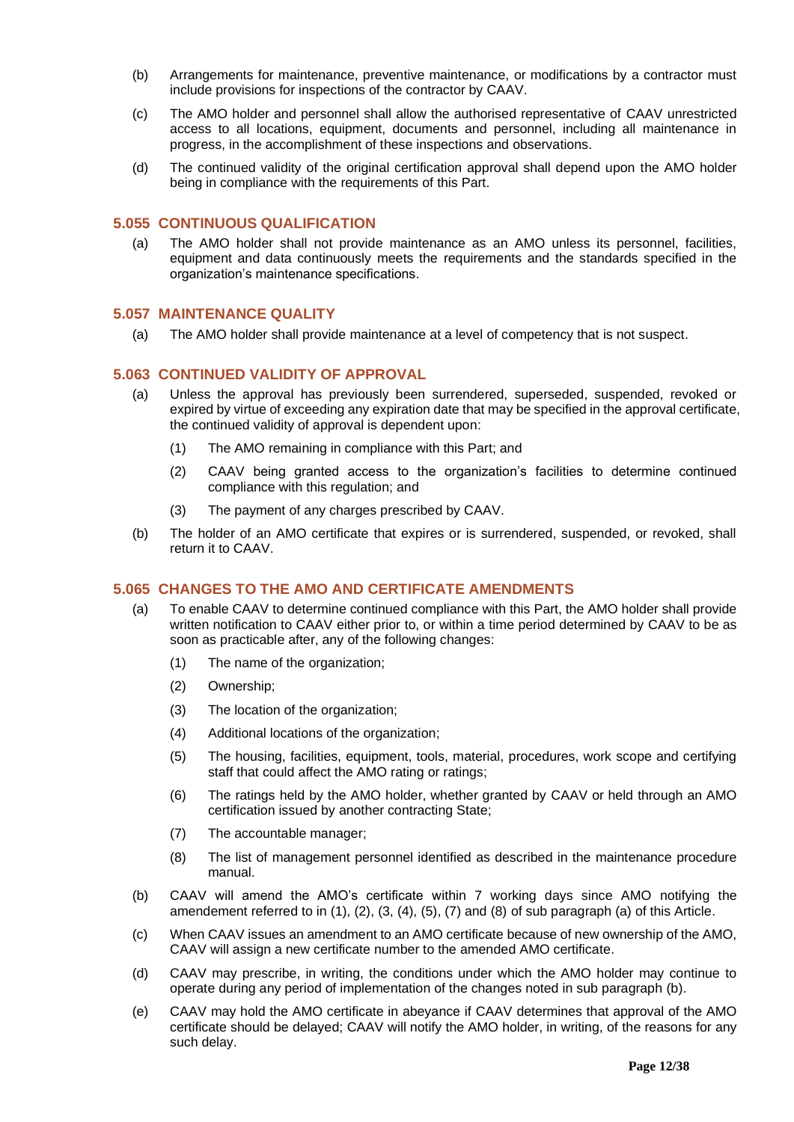- (b) Arrangements for maintenance, preventive maintenance, or modifications by a contractor must include provisions for inspections of the contractor by CAAV.
- (c) The AMO holder and personnel shall allow the authorised representative of CAAV unrestricted access to all locations, equipment, documents and personnel, including all maintenance in progress, in the accomplishment of these inspections and observations.
- (d) The continued validity of the original certification approval shall depend upon the AMO holder being in compliance with the requirements of this Part.

#### <span id="page-11-0"></span>**5.055 CONTINUOUS QUALIFICATION**

(a) The AMO holder shall not provide maintenance as an AMO unless its personnel, facilities, equipment and data continuously meets the requirements and the standards specified in the organization's maintenance specifications.

#### <span id="page-11-1"></span>**5.057 MAINTENANCE QUALITY**

(a) The AMO holder shall provide maintenance at a level of competency that is not suspect.

## <span id="page-11-2"></span>**5.063 CONTINUED VALIDITY OF APPROVAL**

- (a) Unless the approval has previously been surrendered, superseded, suspended, revoked or expired by virtue of exceeding any expiration date that may be specified in the approval certificate, the continued validity of approval is dependent upon:
	- (1) The AMO remaining in compliance with this Part; and
	- (2) CAAV being granted access to the organization's facilities to determine continued compliance with this regulation; and
	- (3) The payment of any charges prescribed by CAAV.
- (b) The holder of an AMO certificate that expires or is surrendered, suspended, or revoked, shall return it to CAAV.

#### <span id="page-11-3"></span>**5.065 CHANGES TO THE AMO AND CERTIFICATE AMENDMENTS**

- (a) To enable CAAV to determine continued compliance with this Part, the AMO holder shall provide written notification to CAAV either prior to, or within a time period determined by CAAV to be as soon as practicable after, any of the following changes:
	- (1) The name of the organization;
	- (2) Ownership;
	- (3) The location of the organization;
	- (4) Additional locations of the organization;
	- (5) The housing, facilities, equipment, tools, material, procedures, work scope and certifying staff that could affect the AMO rating or ratings;
	- (6) The ratings held by the AMO holder, whether granted by CAAV or held through an AMO certification issued by another contracting State;
	- (7) The accountable manager;
	- (8) The list of management personnel identified as described in the maintenance procedure manual.
- (b) CAAV will amend the AMO's certificate within 7 working days since AMO notifying the amendement referred to in (1), (2), (3, (4), (5), (7) and (8) of sub paragraph (a) of this Article.
- (c) When CAAV issues an amendment to an AMO certificate because of new ownership of the AMO, CAAV will assign a new certificate number to the amended AMO certificate.
- (d) CAAV may prescribe, in writing, the conditions under which the AMO holder may continue to operate during any period of implementation of the changes noted in sub paragraph (b).
- (e) CAAV may hold the AMO certificate in abeyance if CAAV determines that approval of the AMO certificate should be delayed; CAAV will notify the AMO holder, in writing, of the reasons for any such delay.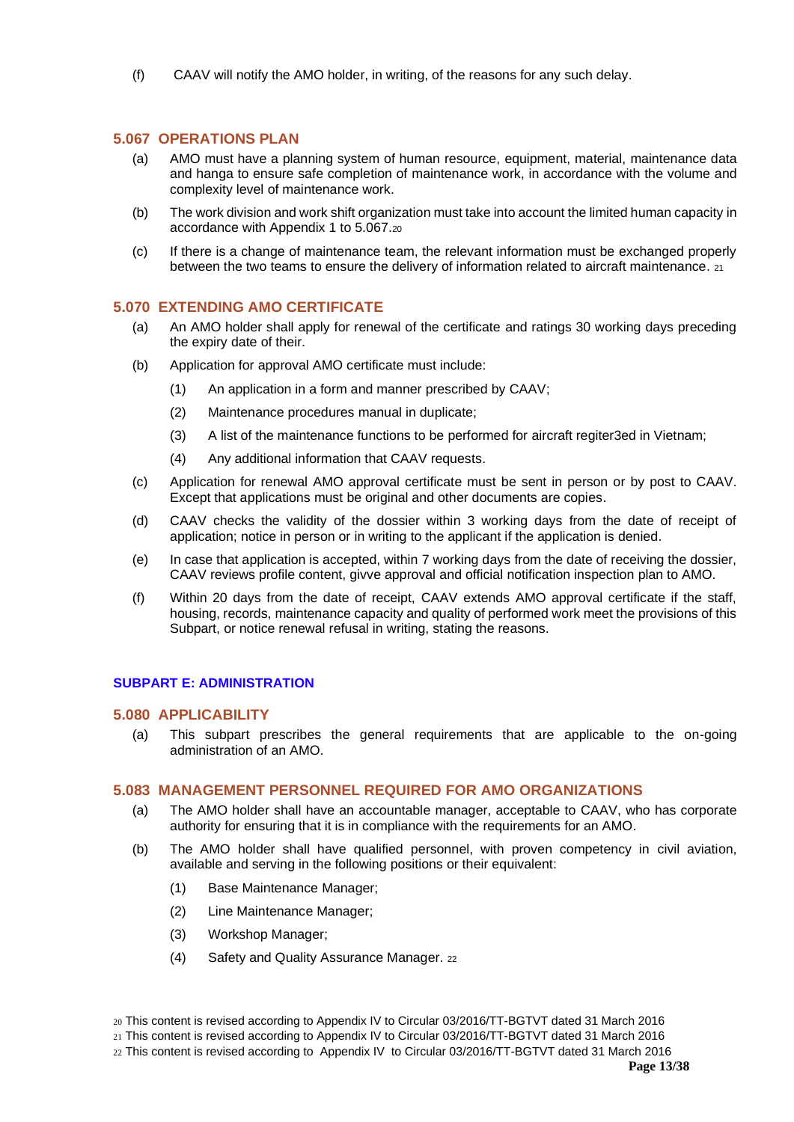(f) CAAV will notify the AMO holder, in writing, of the reasons for any such delay.

## <span id="page-12-0"></span>**5.067 OPERATIONS PLAN**

- (a) AMO must have a planning system of human resource, equipment, material, maintenance data and hanga to ensure safe completion of maintenance work, in accordance with the volume and complexity level of maintenance work.
- (b) The work division and work shift organization must take into account the limited human capacity in accordance with Appendix 1 to 5.067.<sup>20</sup>
- (c) If there is a change of maintenance team, the relevant information must be exchanged properly between the two teams to ensure the delivery of information related to aircraft maintenance. 21

#### <span id="page-12-1"></span>**5.070 EXTENDING AMO CERTIFICATE**

- (a) An AMO holder shall apply for renewal of the certificate and ratings 30 working days preceding the expiry date of their.
- (b) Application for approval AMO certificate must include:
	- (1) An application in a form and manner prescribed by CAAV;
	- (2) Maintenance procedures manual in duplicate;
	- (3) A list of the maintenance functions to be performed for aircraft regiter3ed in Vietnam;
	- (4) Any additional information that CAAV requests.
- (c) Application for renewal AMO approval certificate must be sent in person or by post to CAAV. Except that applications must be original and other documents are copies.
- (d) CAAV checks the validity of the dossier within 3 working days from the date of receipt of application; notice in person or in writing to the applicant if the application is denied.
- (e) In case that application is accepted, within 7 working days from the date of receiving the dossier, CAAV reviews profile content, givve approval and official notification inspection plan to AMO.
- (f) Within 20 days from the date of receipt, CAAV extends AMO approval certificate if the staff, housing, records, maintenance capacity and quality of performed work meet the provisions of this Subpart, or notice renewal refusal in writing, stating the reasons.

# <span id="page-12-3"></span><span id="page-12-2"></span>**SUBPART E: ADMINISTRATION**

#### **5.080 APPLICABILITY**

(a) This subpart prescribes the general requirements that are applicable to the on-going administration of an AMO.

## <span id="page-12-4"></span>**5.083 MANAGEMENT PERSONNEL REQUIRED FOR AMO ORGANIZATIONS**

- (a) The AMO holder shall have an accountable manager, acceptable to CAAV, who has corporate authority for ensuring that it is in compliance with the requirements for an AMO.
- (b) The AMO holder shall have qualified personnel, with proven competency in civil aviation, available and serving in the following positions or their equivalent:
	- (1) Base Maintenance Manager;
	- (2) Line Maintenance Manager;
	- (3) Workshop Manager;
	- (4) Safety and Quality Assurance Manager. <sup>22</sup>

- 21 This content is revised according to Appendix IV to Circular 03/2016/TT-BGTVT dated 31 March 2016
- 22 This content is revised according to Appendix IV to Circular 03/2016/TT-BGTVT dated 31 March 2016

<sup>20</sup> This content is revised according to Appendix IV to Circular 03/2016/TT-BGTVT dated 31 March 2016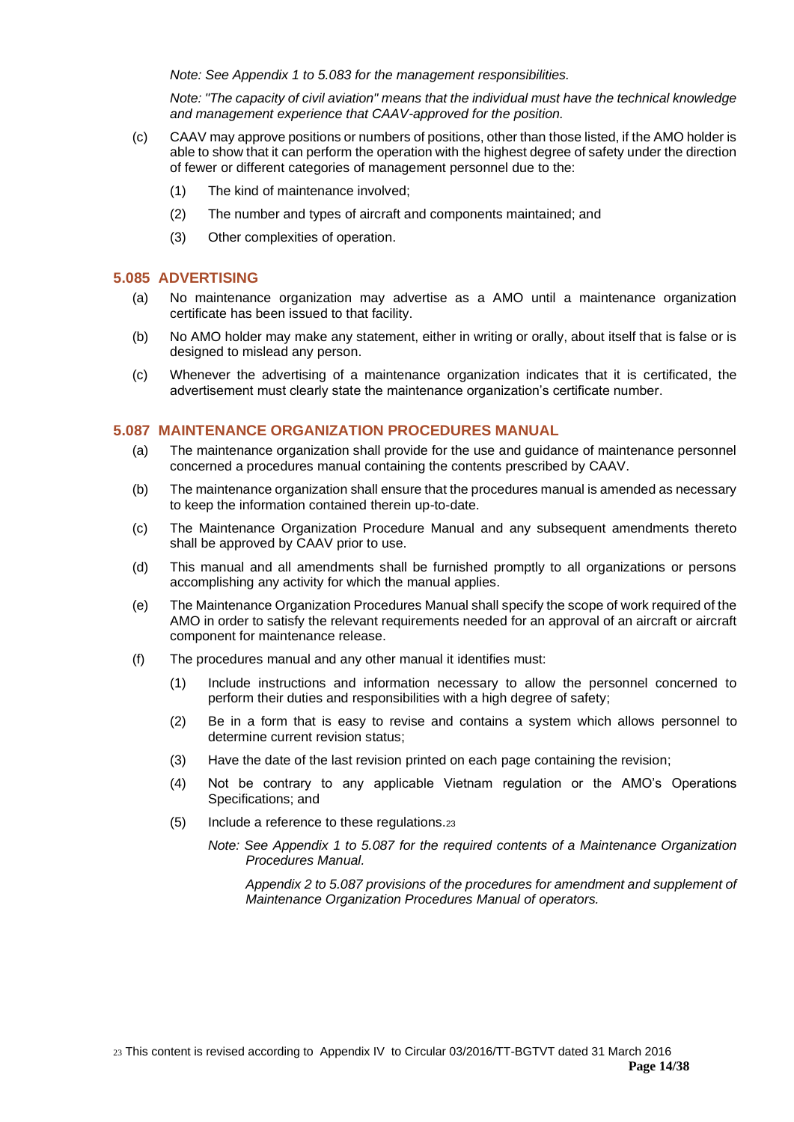*Note: See Appendix 1 to 5.083 for the management responsibilities.*

*Note: "The capacity of civil aviation" means that the individual must have the technical knowledge and management experience that CAAV-approved for the position.*

- (c) CAAV may approve positions or numbers of positions, other than those listed, if the AMO holder is able to show that it can perform the operation with the highest degree of safety under the direction of fewer or different categories of management personnel due to the:
	- (1) The kind of maintenance involved;
	- (2) The number and types of aircraft and components maintained; and
	- (3) Other complexities of operation.

#### <span id="page-13-0"></span>**5.085 ADVERTISING**

- (a) No maintenance organization may advertise as a AMO until a maintenance organization certificate has been issued to that facility.
- (b) No AMO holder may make any statement, either in writing or orally, about itself that is false or is designed to mislead any person.
- (c) Whenever the advertising of a maintenance organization indicates that it is certificated, the advertisement must clearly state the maintenance organization's certificate number.

#### <span id="page-13-1"></span>**5.087 MAINTENANCE ORGANIZATION PROCEDURES MANUAL**

- (a) The maintenance organization shall provide for the use and guidance of maintenance personnel concerned a procedures manual containing the contents prescribed by CAAV.
- (b) The maintenance organization shall ensure that the procedures manual is amended as necessary to keep the information contained therein up-to-date.
- (c) The Maintenance Organization Procedure Manual and any subsequent amendments thereto shall be approved by CAAV prior to use.
- (d) This manual and all amendments shall be furnished promptly to all organizations or persons accomplishing any activity for which the manual applies.
- (e) The Maintenance Organization Procedures Manual shall specify the scope of work required of the AMO in order to satisfy the relevant requirements needed for an approval of an aircraft or aircraft component for maintenance release.
- (f) The procedures manual and any other manual it identifies must:
	- (1) Include instructions and information necessary to allow the personnel concerned to perform their duties and responsibilities with a high degree of safety;
	- (2) Be in a form that is easy to revise and contains a system which allows personnel to determine current revision status;
	- (3) Have the date of the last revision printed on each page containing the revision;
	- (4) Not be contrary to any applicable Vietnam regulation or the AMO's Operations Specifications; and
	- (5) Include a reference to these regulations.<sup>23</sup>
		- *Note: See Appendix 1 to 5.087 for the required contents of a Maintenance Organization Procedures Manual.*

*Appendix 2 to 5.087 provisions of the procedures for amendment and supplement of Maintenance Organization Procedures Manual of operators.*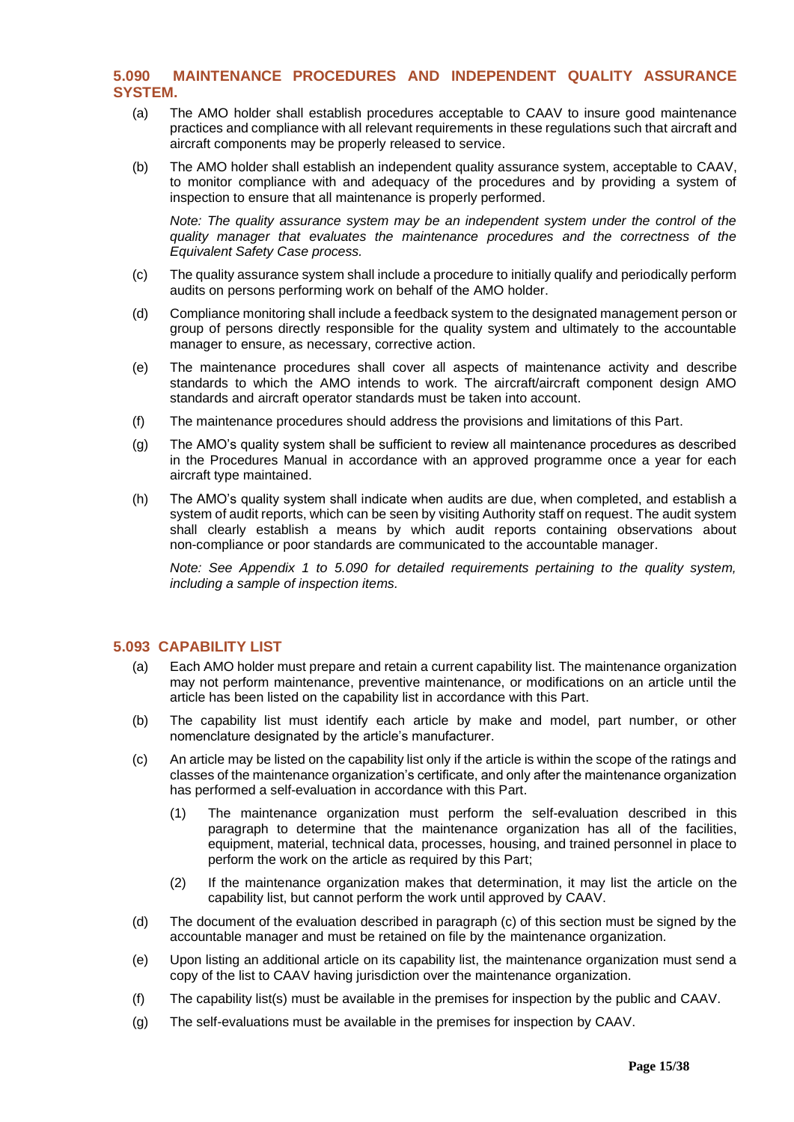# <span id="page-14-0"></span>**5.090 MAINTENANCE PROCEDURES AND INDEPENDENT QUALITY ASSURANCE SYSTEM.**

- (a) The AMO holder shall establish procedures acceptable to CAAV to insure good maintenance practices and compliance with all relevant requirements in these regulations such that aircraft and aircraft components may be properly released to service.
- (b) The AMO holder shall establish an independent quality assurance system, acceptable to CAAV, to monitor compliance with and adequacy of the procedures and by providing a system of inspection to ensure that all maintenance is properly performed.

*Note: The quality assurance system may be an independent system under the control of the quality manager that evaluates the maintenance procedures and the correctness of the Equivalent Safety Case process.* 

- (c) The quality assurance system shall include a procedure to initially qualify and periodically perform audits on persons performing work on behalf of the AMO holder.
- (d) Compliance monitoring shall include a feedback system to the designated management person or group of persons directly responsible for the quality system and ultimately to the accountable manager to ensure, as necessary, corrective action.
- (e) The maintenance procedures shall cover all aspects of maintenance activity and describe standards to which the AMO intends to work. The aircraft/aircraft component design AMO standards and aircraft operator standards must be taken into account.
- (f) The maintenance procedures should address the provisions and limitations of this Part.
- (g) The AMO's quality system shall be sufficient to review all maintenance procedures as described in the Procedures Manual in accordance with an approved programme once a year for each aircraft type maintained.
- (h) The AMO's quality system shall indicate when audits are due, when completed, and establish a system of audit reports, which can be seen by visiting Authority staff on request. The audit system shall clearly establish a means by which audit reports containing observations about non-compliance or poor standards are communicated to the accountable manager.

*Note: See Appendix 1 to 5.090 for detailed requirements pertaining to the quality system, including a sample of inspection items.* 

### <span id="page-14-1"></span>**5.093 CAPABILITY LIST**

- (a) Each AMO holder must prepare and retain a current capability list. The maintenance organization may not perform maintenance, preventive maintenance, or modifications on an article until the article has been listed on the capability list in accordance with this Part.
- (b) The capability list must identify each article by make and model, part number, or other nomenclature designated by the article's manufacturer.
- (c) An article may be listed on the capability list only if the article is within the scope of the ratings and classes of the maintenance organization's certificate, and only after the maintenance organization has performed a self-evaluation in accordance with this Part.
	- (1) The maintenance organization must perform the self-evaluation described in this paragraph to determine that the maintenance organization has all of the facilities, equipment, material, technical data, processes, housing, and trained personnel in place to perform the work on the article as required by this Part;
	- (2) If the maintenance organization makes that determination, it may list the article on the capability list, but cannot perform the work until approved by CAAV.
- (d) The document of the evaluation described in paragraph (c) of this section must be signed by the accountable manager and must be retained on file by the maintenance organization.
- (e) Upon listing an additional article on its capability list, the maintenance organization must send a copy of the list to CAAV having jurisdiction over the maintenance organization.
- (f) The capability list(s) must be available in the premises for inspection by the public and CAAV.
- (g) The self-evaluations must be available in the premises for inspection by CAAV.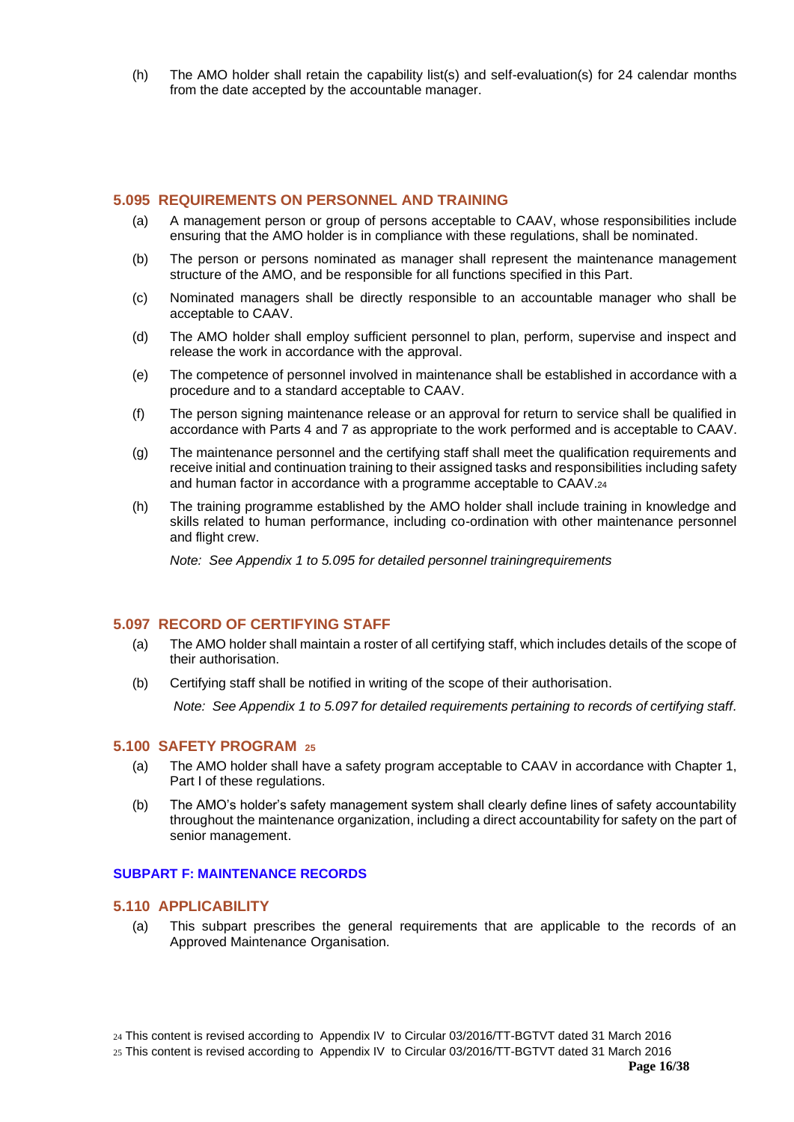(h) The AMO holder shall retain the capability list(s) and self-evaluation(s) for 24 calendar months from the date accepted by the accountable manager.

# <span id="page-15-0"></span>**5.095 REQUIREMENTS ON PERSONNEL AND TRAINING**

- (a) A management person or group of persons acceptable to CAAV, whose responsibilities include ensuring that the AMO holder is in compliance with these regulations, shall be nominated.
- (b) The person or persons nominated as manager shall represent the maintenance management structure of the AMO, and be responsible for all functions specified in this Part.
- (c) Nominated managers shall be directly responsible to an accountable manager who shall be acceptable to CAAV.
- (d) The AMO holder shall employ sufficient personnel to plan, perform, supervise and inspect and release the work in accordance with the approval.
- (e) The competence of personnel involved in maintenance shall be established in accordance with a procedure and to a standard acceptable to CAAV.
- (f) The person signing maintenance release or an approval for return to service shall be qualified in accordance with Parts 4 and 7 as appropriate to the work performed and is acceptable to CAAV.
- (g) The maintenance personnel and the certifying staff shall meet the qualification requirements and receive initial and continuation training to their assigned tasks and responsibilities including safety and human factor in accordance with a programme acceptable to CAAV.<sup>24</sup>
- (h) The training programme established by the AMO holder shall include training in knowledge and skills related to human performance, including co-ordination with other maintenance personnel and flight crew.

*Note: See Appendix 1 to 5.095 for detailed personnel trainingrequirements*

# <span id="page-15-1"></span>**5.097 RECORD OF CERTIFYING STAFF**

- (a) The AMO holder shall maintain a roster of all certifying staff, which includes details of the scope of their authorisation.
- (b) Certifying staff shall be notified in writing of the scope of their authorisation.

*Note: See Appendix 1 to 5.097 for detailed requirements pertaining to records of certifying staff.*

#### <span id="page-15-2"></span>**5.100 SAFETY PROGRAM <sup>25</sup>**

- (a) The AMO holder shall have a safety program acceptable to CAAV in accordance with Chapter 1, Part I of these regulations.
- (b) The AMO's holder's safety management system shall clearly define lines of safety accountability throughout the maintenance organization, including a direct accountability for safety on the part of senior management.

### <span id="page-15-4"></span><span id="page-15-3"></span>**SUBPART F: MAINTENANCE RECORDS**

#### **5.110 APPLICABILITY**

(a) This subpart prescribes the general requirements that are applicable to the records of an Approved Maintenance Organisation.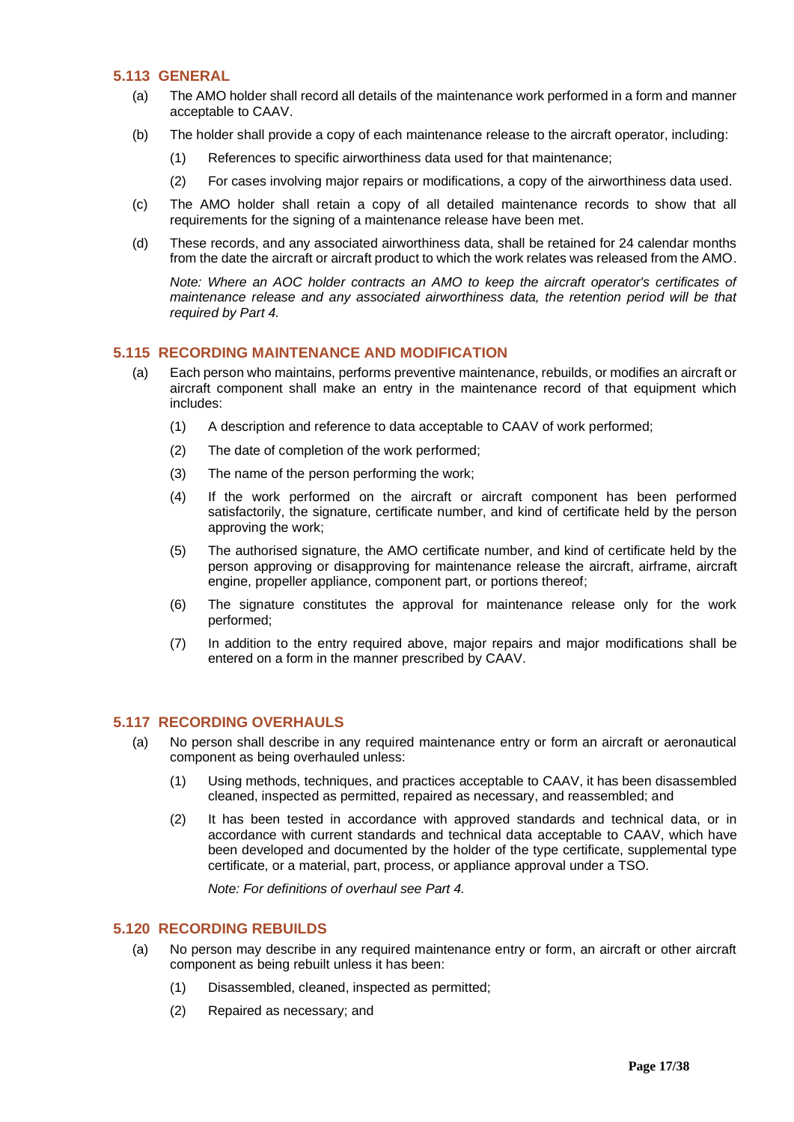#### <span id="page-16-0"></span>**5.113 GENERAL**

- (a) The AMO holder shall record all details of the maintenance work performed in a form and manner acceptable to CAAV.
- (b) The holder shall provide a copy of each maintenance release to the aircraft operator, including:
	- (1) References to specific airworthiness data used for that maintenance;
	- (2) For cases involving major repairs or modifications, a copy of the airworthiness data used.
- (c) The AMO holder shall retain a copy of all detailed maintenance records to show that all requirements for the signing of a maintenance release have been met.
- (d) These records, and any associated airworthiness data, shall be retained for 24 calendar months from the date the aircraft or aircraft product to which the work relates was released from the AMO.

*Note: Where an AOC holder contracts an AMO to keep the aircraft operator's certificates of maintenance release and any associated airworthiness data, the retention period will be that required by Part 4.*

# <span id="page-16-1"></span>**5.115 RECORDING MAINTENANCE AND MODIFICATION**

- (a) Each person who maintains, performs preventive maintenance, rebuilds, or modifies an aircraft or aircraft component shall make an entry in the maintenance record of that equipment which includes:
	- (1) A description and reference to data acceptable to CAAV of work performed;
	- (2) The date of completion of the work performed;
	- (3) The name of the person performing the work;
	- (4) If the work performed on the aircraft or aircraft component has been performed satisfactorily, the signature, certificate number, and kind of certificate held by the person approving the work;
	- (5) The authorised signature, the AMO certificate number, and kind of certificate held by the person approving or disapproving for maintenance release the aircraft, airframe, aircraft engine, propeller appliance, component part, or portions thereof;
	- (6) The signature constitutes the approval for maintenance release only for the work performed;
	- (7) In addition to the entry required above, major repairs and major modifications shall be entered on a form in the manner prescribed by CAAV.

# <span id="page-16-2"></span>**5.117 RECORDING OVERHAULS**

- (a) No person shall describe in any required maintenance entry or form an aircraft or aeronautical component as being overhauled unless:
	- (1) Using methods, techniques, and practices acceptable to CAAV, it has been disassembled cleaned, inspected as permitted, repaired as necessary, and reassembled; and
	- (2) It has been tested in accordance with approved standards and technical data, or in accordance with current standards and technical data acceptable to CAAV, which have been developed and documented by the holder of the type certificate, supplemental type certificate, or a material, part, process, or appliance approval under a TSO*.*

*Note: For definitions of overhaul see Part 4.*

# <span id="page-16-3"></span>**5.120 RECORDING REBUILDS**

- (a) No person may describe in any required maintenance entry or form, an aircraft or other aircraft component as being rebuilt unless it has been:
	- (1) Disassembled, cleaned, inspected as permitted;
	- (2) Repaired as necessary; and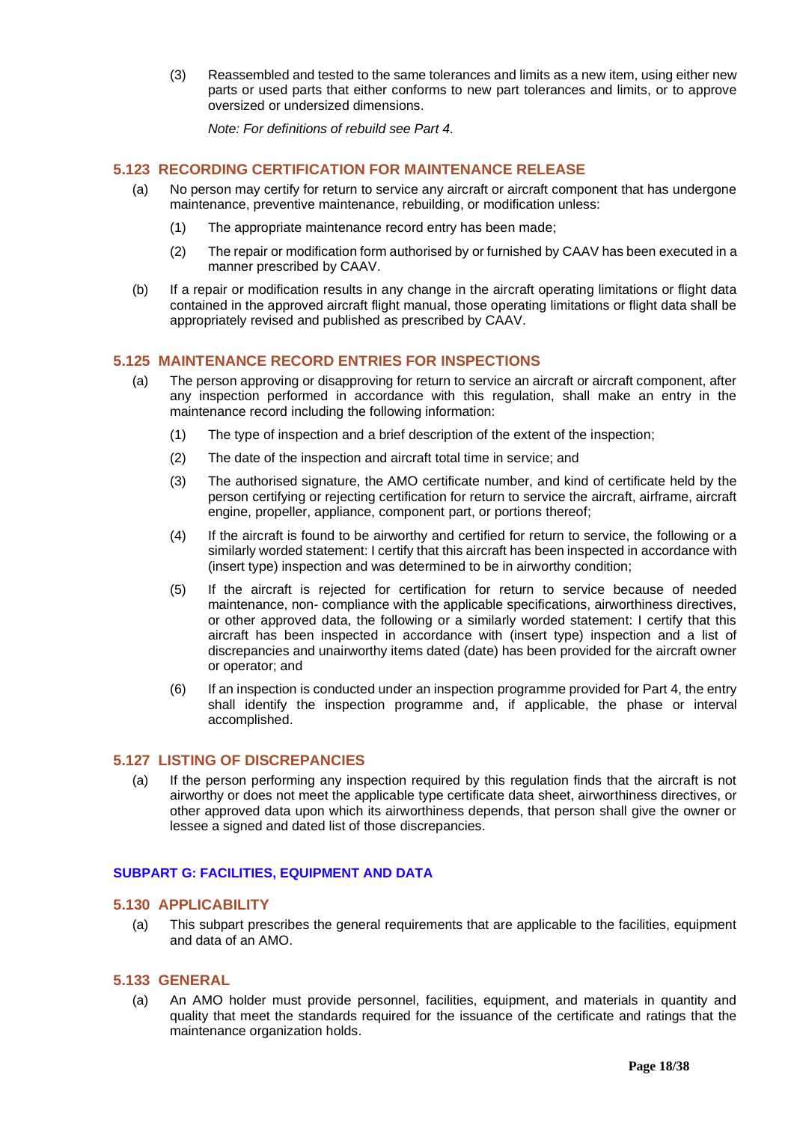(3) Reassembled and tested to the same tolerances and limits as a new item, using either new parts or used parts that either conforms to new part tolerances and limits, or to approve oversized or undersized dimensions.

*Note: For definitions of rebuild see Part 4.*

## <span id="page-17-0"></span>**5.123 RECORDING CERTIFICATION FOR MAINTENANCE RELEASE**

- (a) No person may certify for return to service any aircraft or aircraft component that has undergone maintenance, preventive maintenance, rebuilding, or modification unless:
	- (1) The appropriate maintenance record entry has been made;
	- (2) The repair or modification form authorised by or furnished by CAAV has been executed in a manner prescribed by CAAV.
- (b) If a repair or modification results in any change in the aircraft operating limitations or flight data contained in the approved aircraft flight manual, those operating limitations or flight data shall be appropriately revised and published as prescribed by CAAV.

## <span id="page-17-1"></span>**5.125 MAINTENANCE RECORD ENTRIES FOR INSPECTIONS**

- (a) The person approving or disapproving for return to service an aircraft or aircraft component, after any inspection performed in accordance with this regulation, shall make an entry in the maintenance record including the following information:
	- (1) The type of inspection and a brief description of the extent of the inspection;
	- (2) The date of the inspection and aircraft total time in service; and
	- (3) The authorised signature, the AMO certificate number, and kind of certificate held by the person certifying or rejecting certification for return to service the aircraft, airframe, aircraft engine, propeller, appliance, component part, or portions thereof;
	- (4) If the aircraft is found to be airworthy and certified for return to service, the following or a similarly worded statement: I certify that this aircraft has been inspected in accordance with (insert type) inspection and was determined to be in airworthy condition;
	- (5) If the aircraft is rejected for certification for return to service because of needed maintenance, non- compliance with the applicable specifications, airworthiness directives, or other approved data, the following or a similarly worded statement: I certify that this aircraft has been inspected in accordance with (insert type) inspection and a list of discrepancies and unairworthy items dated (date) has been provided for the aircraft owner or operator; and
	- (6) If an inspection is conducted under an inspection programme provided for Part 4, the entry shall identify the inspection programme and, if applicable, the phase or interval accomplished.

### <span id="page-17-2"></span>**5.127 LISTING OF DISCREPANCIES**

(a) If the person performing any inspection required by this regulation finds that the aircraft is not airworthy or does not meet the applicable type certificate data sheet, airworthiness directives, or other approved data upon which its airworthiness depends, that person shall give the owner or lessee a signed and dated list of those discrepancies.

#### <span id="page-17-4"></span><span id="page-17-3"></span>**SUBPART G: FACILITIES, EQUIPMENT AND DATA**

#### **5.130 APPLICABILITY**

(a) This subpart prescribes the general requirements that are applicable to the facilities, equipment and data of an AMO.

#### <span id="page-17-5"></span>**5.133 GENERAL**

(a) An AMO holder must provide personnel, facilities, equipment, and materials in quantity and quality that meet the standards required for the issuance of the certificate and ratings that the maintenance organization holds.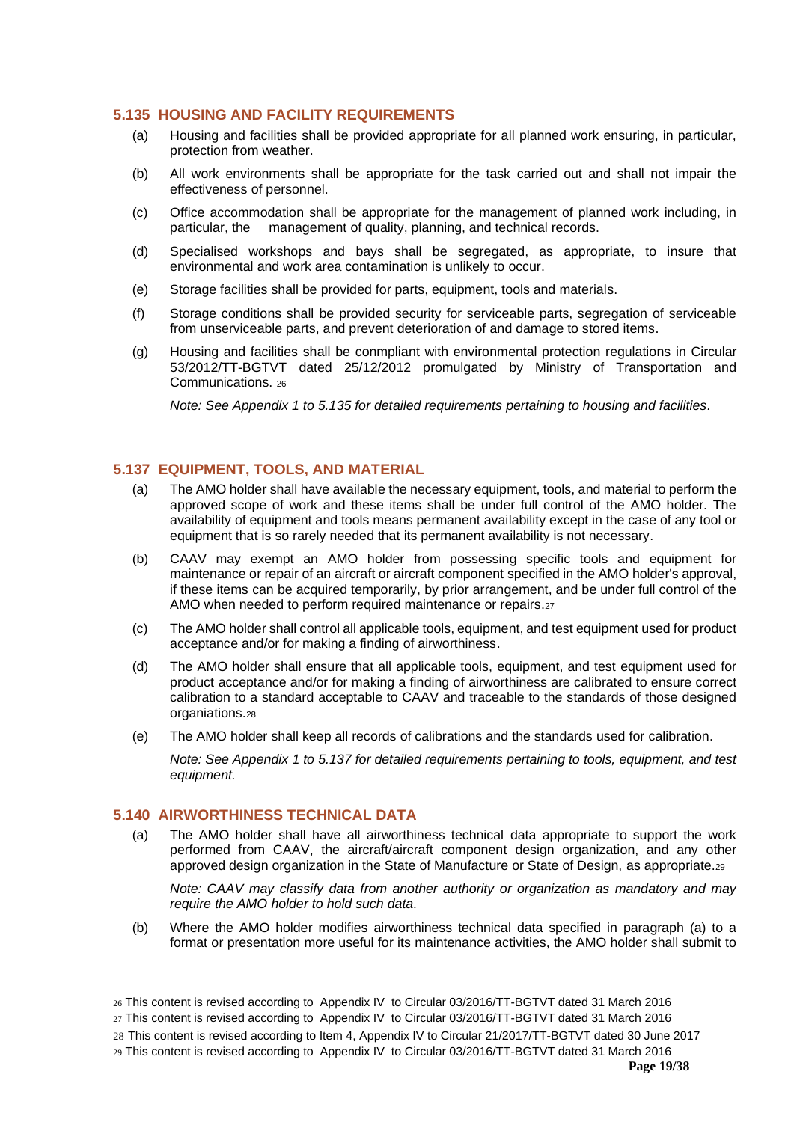# <span id="page-18-0"></span>**5.135 HOUSING AND FACILITY REQUIREMENTS**

- (a) Housing and facilities shall be provided appropriate for all planned work ensuring, in particular, protection from weather.
- (b) All work environments shall be appropriate for the task carried out and shall not impair the effectiveness of personnel.
- (c) Office accommodation shall be appropriate for the management of planned work including, in particular, the management of quality, planning, and technical records.
- (d) Specialised workshops and bays shall be segregated, as appropriate, to insure that environmental and work area contamination is unlikely to occur.
- (e) Storage facilities shall be provided for parts, equipment, tools and materials.
- (f) Storage conditions shall be provided security for serviceable parts, segregation of serviceable from unserviceable parts, and prevent deterioration of and damage to stored items.
- (g) Housing and facilities shall be conmpliant with environmental protection regulations in Circular 53/2012/TT-BGTVT dated 25/12/2012 promulgated by Ministry of Transportation and Communications. <sup>26</sup>

*Note: See Appendix 1 to 5.135 for detailed requirements pertaining to housing and facilities.*

## <span id="page-18-1"></span>**5.137 EQUIPMENT, TOOLS, AND MATERIAL**

- (a) The AMO holder shall have available the necessary equipment, tools, and material to perform the approved scope of work and these items shall be under full control of the AMO holder. The availability of equipment and tools means permanent availability except in the case of any tool or equipment that is so rarely needed that its permanent availability is not necessary.
- (b) CAAV may exempt an AMO holder from possessing specific tools and equipment for maintenance or repair of an aircraft or aircraft component specified in the AMO holder's approval, if these items can be acquired temporarily, by prior arrangement, and be under full control of the AMO when needed to perform required maintenance or repairs.<sup>27</sup>
- (c) The AMO holder shall control all applicable tools, equipment, and test equipment used for product acceptance and/or for making a finding of airworthiness.
- (d) The AMO holder shall ensure that all applicable tools, equipment, and test equipment used for product acceptance and/or for making a finding of airworthiness are calibrated to ensure correct calibration to a standard acceptable to CAAV and traceable to the standards of those designed organiations.<sup>28</sup>
- (e) The AMO holder shall keep all records of calibrations and the standards used for calibration.

*Note: See Appendix 1 to 5.137 for detailed requirements pertaining to tools, equipment, and test equipment.*

# <span id="page-18-2"></span>**5.140 AIRWORTHINESS TECHNICAL DATA**

(a) The AMO holder shall have all airworthiness technical data appropriate to support the work performed from CAAV, the aircraft/aircraft component design organization, and any other approved design organization in the State of Manufacture or State of Design, as appropriate.<sup>29</sup>

*Note: CAAV may classify data from another authority or organization as mandatory and may require the AMO holder to hold such data.*

(b) Where the AMO holder modifies airworthiness technical data specified in paragraph (a) to a format or presentation more useful for its maintenance activities, the AMO holder shall submit to

<sup>26</sup> This content is revised according to Appendix IV to Circular 03/2016/TT-BGTVT dated 31 March 2016

<sup>27</sup> This content is revised according to Appendix IV to Circular 03/2016/TT-BGTVT dated 31 March 2016

<sup>28</sup> This content is revised according to Item 4, Appendix IV to Circular 21/2017/TT-BGTVT dated 30 June 2017

<sup>29</sup> This content is revised according to Appendix IV to Circular 03/2016/TT-BGTVT dated 31 March 2016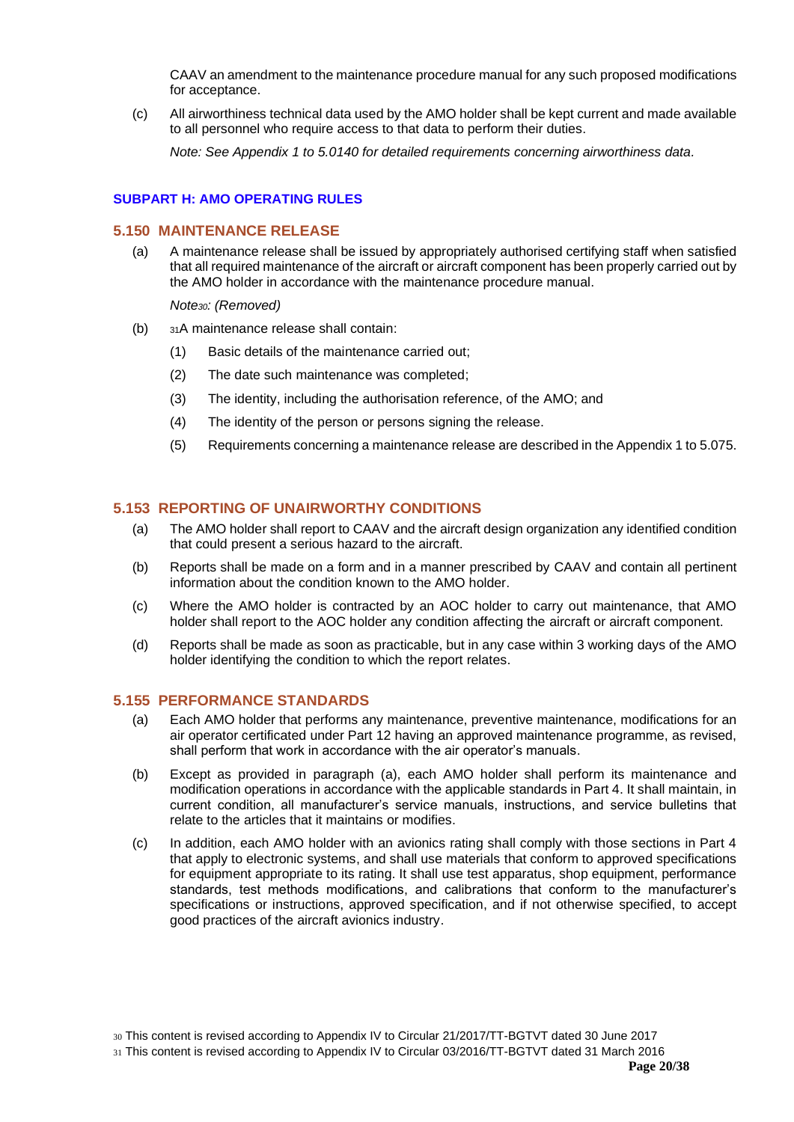CAAV an amendment to the maintenance procedure manual for any such proposed modifications for acceptance.

(c) All airworthiness technical data used by the AMO holder shall be kept current and made available to all personnel who require access to that data to perform their duties.

*Note: See Appendix 1 to 5.0140 for detailed requirements concerning airworthiness data.*

# <span id="page-19-1"></span><span id="page-19-0"></span>**SUBPART H: AMO OPERATING RULES**

### **5.150 MAINTENANCE RELEASE**

(a) A maintenance release shall be issued by appropriately authorised certifying staff when satisfied that all required maintenance of the aircraft or aircraft component has been properly carried out by the AMO holder in accordance with the maintenance procedure manual.

*Note30: (Removed)*

- (b) <sup>31</sup>A maintenance release shall contain:
	- (1) Basic details of the maintenance carried out;
	- (2) The date such maintenance was completed;
	- (3) The identity, including the authorisation reference, of the AMO; and
	- (4) The identity of the person or persons signing the release.
	- (5) Requirements concerning a maintenance release are described in the Appendix 1 to 5.075.

# <span id="page-19-2"></span>**5.153 REPORTING OF UNAIRWORTHY CONDITIONS**

- (a) The AMO holder shall report to CAAV and the aircraft design organization any identified condition that could present a serious hazard to the aircraft.
- (b) Reports shall be made on a form and in a manner prescribed by CAAV and contain all pertinent information about the condition known to the AMO holder.
- (c) Where the AMO holder is contracted by an AOC holder to carry out maintenance, that AMO holder shall report to the AOC holder any condition affecting the aircraft or aircraft component.
- (d) Reports shall be made as soon as practicable, but in any case within 3 working days of the AMO holder identifying the condition to which the report relates.

# <span id="page-19-3"></span>**5.155 PERFORMANCE STANDARDS**

- (a) Each AMO holder that performs any maintenance, preventive maintenance, modifications for an air operator certificated under Part 12 having an approved maintenance programme, as revised, shall perform that work in accordance with the air operator's manuals.
- (b) Except as provided in paragraph (a), each AMO holder shall perform its maintenance and modification operations in accordance with the applicable standards in Part 4. It shall maintain, in current condition, all manufacturer's service manuals, instructions, and service bulletins that relate to the articles that it maintains or modifies.
- (c) In addition, each AMO holder with an avionics rating shall comply with those sections in Part 4 that apply to electronic systems, and shall use materials that conform to approved specifications for equipment appropriate to its rating. It shall use test apparatus, shop equipment, performance standards, test methods modifications, and calibrations that conform to the manufacturer's specifications or instructions, approved specification, and if not otherwise specified, to accept good practices of the aircraft avionics industry.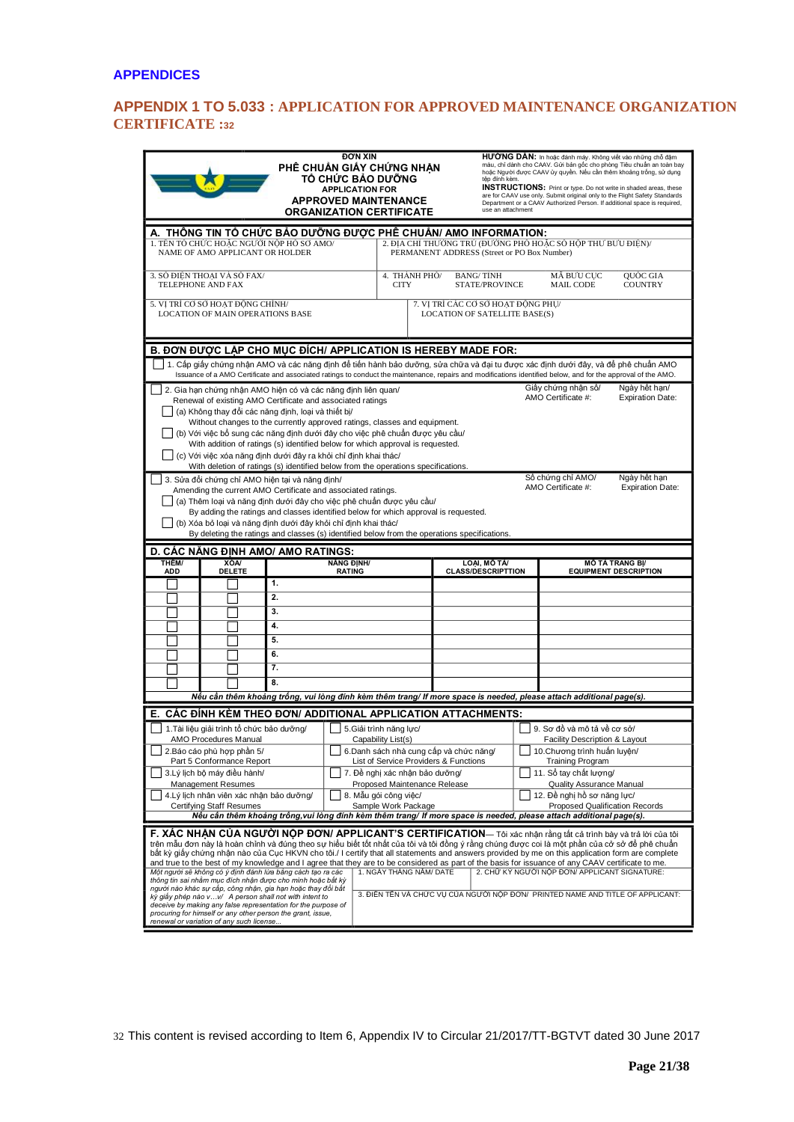# <span id="page-20-1"></span><span id="page-20-0"></span>**APPENDIX 1 TO 5.033 : APPLICATION FOR APPROVED MAINTENANCE ORGANIZATION CERTIFICATE :<sup>32</sup>**

| <b>ĐƠN XIN</b><br>PHẾ CHUẨN GIẤY CHỨNG NHÂN<br>TỔ CHỨC BẢO DƯỚNG<br><b>APPLICATION FOR</b><br><b>APPROVED MAINTENANCE</b><br><b>ORGANIZATION CERTIFICATE</b>                                                                                                                                                                                                                                                                                                                                                                                                                                                                                                                                                                                                                                                                                                                                                                                                                                                                                                                                                                                                                     |                                                                                                                                                                                                                                                                                                                                                                                                                                                                                  |          |                                                                |                                                                           |  | têp đính kèm.<br>use an attachment                        | HƯỚNG DĂN: In hoặc đánh máy. Không viết vào những chỗ đậm<br>màu, chỉ dành cho CAAV. Gửi bản gốc cho phòng Tiêu chuẩn an toàn bay<br>hoặc Người được CAAV ủy quyền. Nếu cần thêm khoảng trống, sử dụng<br><b>INSTRUCTIONS:</b> Print or type. Do not write in shaded areas, these<br>are for CAAV use only. Submit original only to the Flight Safety Standards<br>Department or a CAAV Authorized Person. If additional space is required, |                            |                                                                                                                     |  |
|----------------------------------------------------------------------------------------------------------------------------------------------------------------------------------------------------------------------------------------------------------------------------------------------------------------------------------------------------------------------------------------------------------------------------------------------------------------------------------------------------------------------------------------------------------------------------------------------------------------------------------------------------------------------------------------------------------------------------------------------------------------------------------------------------------------------------------------------------------------------------------------------------------------------------------------------------------------------------------------------------------------------------------------------------------------------------------------------------------------------------------------------------------------------------------|----------------------------------------------------------------------------------------------------------------------------------------------------------------------------------------------------------------------------------------------------------------------------------------------------------------------------------------------------------------------------------------------------------------------------------------------------------------------------------|----------|----------------------------------------------------------------|---------------------------------------------------------------------------|--|-----------------------------------------------------------|---------------------------------------------------------------------------------------------------------------------------------------------------------------------------------------------------------------------------------------------------------------------------------------------------------------------------------------------------------------------------------------------------------------------------------------------|----------------------------|---------------------------------------------------------------------------------------------------------------------|--|
| A. THỐNG TIN TỐ CHỨC BẢO DƯỚNG ĐƯƠC PHẾ CHUẨN/ AMO INFORMATION:<br>1. TÊN TỔ CHỨC HOẶC NGƯỜI NÔP HỒ SƠ AMO/<br>2. ĐIA CHỈ THƯỜNG TRÚ (ĐƯỜNG PHÓ HOẶC SỐ HỘP THƯ BƯU ĐIỆN)/<br>NAME OF AMO APPLICANT OR HOLDER<br>PERMANENT ADDRESS (Street or PO Box Number)                                                                                                                                                                                                                                                                                                                                                                                                                                                                                                                                                                                                                                                                                                                                                                                                                                                                                                                     |                                                                                                                                                                                                                                                                                                                                                                                                                                                                                  |          |                                                                |                                                                           |  |                                                           |                                                                                                                                                                                                                                                                                                                                                                                                                                             |                            |                                                                                                                     |  |
|                                                                                                                                                                                                                                                                                                                                                                                                                                                                                                                                                                                                                                                                                                                                                                                                                                                                                                                                                                                                                                                                                                                                                                                  | 3. SỐ ĐIỂN THOAI VÀ SỐ FAX/<br>TELEPHONE AND FAX                                                                                                                                                                                                                                                                                                                                                                                                                                 |          |                                                                | 4. THÀNH PHÔ/<br><b>BANG/TINH</b><br><b>STATE/PROVINCE</b><br><b>CITY</b> |  |                                                           | MÃ BƯU CUC<br><b>MAIL CODE</b>                                                                                                                                                                                                                                                                                                                                                                                                              | QUỐC GIA<br><b>COUNTRY</b> |                                                                                                                     |  |
|                                                                                                                                                                                                                                                                                                                                                                                                                                                                                                                                                                                                                                                                                                                                                                                                                                                                                                                                                                                                                                                                                                                                                                                  | 5. VI TRÍ CƠ SỞ HOAT ĐÔNG CHÍNH/<br>LOCATION OF MAIN OPERATIONS BASE                                                                                                                                                                                                                                                                                                                                                                                                             |          |                                                                |                                                                           |  |                                                           | 7. VI TRÍ CÁC CƠ SỞ HOAT ĐÔNG PHU/<br>LOCATION OF SATELLITE BASE(S)                                                                                                                                                                                                                                                                                                                                                                         |                            |                                                                                                                     |  |
|                                                                                                                                                                                                                                                                                                                                                                                                                                                                                                                                                                                                                                                                                                                                                                                                                                                                                                                                                                                                                                                                                                                                                                                  | B. DON DUOC LAP CHO MUC DICH/ APPLICATION IS HEREBY MADE FOR:<br>_  1. Cấp giấy chứng nhận AMO và các năng định để tiến hành bảo dưỡng, sửa chữa và đại tu được xác định dưới đây, và để phê chuẩn AMO<br>Issuance of a AMO Certificate and associated ratings to conduct the maintenance, repairs and modifications identified below, and for the approval of the AMO.<br>Giấy chứng nhận số/<br>Ngày hết hạn/<br>2. Gia hạn chứng nhận AMO hiện có và các năng định liên quan/ |          |                                                                |                                                                           |  |                                                           |                                                                                                                                                                                                                                                                                                                                                                                                                                             |                            |                                                                                                                     |  |
| AMO Certificate #:<br><b>Expiration Date:</b><br>Renewal of existing AMO Certificate and associated ratings<br>(a) Không thay đổi các năng định, loại và thiết bi/<br>Without changes to the currently approved ratings, classes and equipment.<br>(b) Với việc bổ sung các năng định dưới đây cho việc phê chuẩn được yêu cầu/<br>With addition of ratings (s) identified below for which approval is requested.<br>(c) Với việc xóa năng định dưới đây ra khỏi chỉ định khai thác/<br>With deletion of ratings (s) identified below from the operations specifications.                                                                                                                                                                                                                                                                                                                                                                                                                                                                                                                                                                                                        |                                                                                                                                                                                                                                                                                                                                                                                                                                                                                  |          |                                                                |                                                                           |  |                                                           |                                                                                                                                                                                                                                                                                                                                                                                                                                             |                            |                                                                                                                     |  |
| Số chứng chỉ AMO/<br>Ngày hết han<br>3. Sửa đối chứng chỉ AMO hiện tại và năng định/<br>AMO Certificate #:<br><b>Expiration Date:</b><br>Amending the current AMO Certificate and associated ratings.<br>(a) Thêm loại và năng định dưới đây cho việc phê chuẩn được yêu cầu/<br>By adding the ratings and classes identified below for which approval is requested.<br>(b) Xóa bỏ loại và năng định dưới đây khỏi chỉ định khai thác/<br>By deleting the ratings and classes (s) identified below from the operations specifications.                                                                                                                                                                                                                                                                                                                                                                                                                                                                                                                                                                                                                                           |                                                                                                                                                                                                                                                                                                                                                                                                                                                                                  |          |                                                                |                                                                           |  |                                                           |                                                                                                                                                                                                                                                                                                                                                                                                                                             |                            |                                                                                                                     |  |
| THÊM/                                                                                                                                                                                                                                                                                                                                                                                                                                                                                                                                                                                                                                                                                                                                                                                                                                                                                                                                                                                                                                                                                                                                                                            | D. CAC NANG ĐINH AMO/ AMO RATINGS:<br>XÓA                                                                                                                                                                                                                                                                                                                                                                                                                                        |          | NĂNG ĐINH/                                                     |                                                                           |  |                                                           | LOAI, MỘ TẢ/                                                                                                                                                                                                                                                                                                                                                                                                                                |                            |                                                                                                                     |  |
| <b>ADD</b>                                                                                                                                                                                                                                                                                                                                                                                                                                                                                                                                                                                                                                                                                                                                                                                                                                                                                                                                                                                                                                                                                                                                                                       | <b>DELETE</b>                                                                                                                                                                                                                                                                                                                                                                                                                                                                    |          | <b>RATING</b>                                                  |                                                                           |  |                                                           | <b>CLASS/DESCRIPTTION</b>                                                                                                                                                                                                                                                                                                                                                                                                                   |                            | <b>MÔ TẢ TRANG BI</b> /<br><b>EQUIPMENT DESCRIPTION</b>                                                             |  |
|                                                                                                                                                                                                                                                                                                                                                                                                                                                                                                                                                                                                                                                                                                                                                                                                                                                                                                                                                                                                                                                                                                                                                                                  |                                                                                                                                                                                                                                                                                                                                                                                                                                                                                  | 1.       |                                                                |                                                                           |  |                                                           |                                                                                                                                                                                                                                                                                                                                                                                                                                             |                            |                                                                                                                     |  |
|                                                                                                                                                                                                                                                                                                                                                                                                                                                                                                                                                                                                                                                                                                                                                                                                                                                                                                                                                                                                                                                                                                                                                                                  |                                                                                                                                                                                                                                                                                                                                                                                                                                                                                  | 2.       |                                                                |                                                                           |  |                                                           |                                                                                                                                                                                                                                                                                                                                                                                                                                             |                            |                                                                                                                     |  |
|                                                                                                                                                                                                                                                                                                                                                                                                                                                                                                                                                                                                                                                                                                                                                                                                                                                                                                                                                                                                                                                                                                                                                                                  |                                                                                                                                                                                                                                                                                                                                                                                                                                                                                  | 3.<br>4. |                                                                |                                                                           |  |                                                           |                                                                                                                                                                                                                                                                                                                                                                                                                                             |                            |                                                                                                                     |  |
|                                                                                                                                                                                                                                                                                                                                                                                                                                                                                                                                                                                                                                                                                                                                                                                                                                                                                                                                                                                                                                                                                                                                                                                  |                                                                                                                                                                                                                                                                                                                                                                                                                                                                                  | 5.       |                                                                |                                                                           |  |                                                           |                                                                                                                                                                                                                                                                                                                                                                                                                                             |                            |                                                                                                                     |  |
|                                                                                                                                                                                                                                                                                                                                                                                                                                                                                                                                                                                                                                                                                                                                                                                                                                                                                                                                                                                                                                                                                                                                                                                  |                                                                                                                                                                                                                                                                                                                                                                                                                                                                                  | 6.       |                                                                |                                                                           |  |                                                           |                                                                                                                                                                                                                                                                                                                                                                                                                                             |                            |                                                                                                                     |  |
|                                                                                                                                                                                                                                                                                                                                                                                                                                                                                                                                                                                                                                                                                                                                                                                                                                                                                                                                                                                                                                                                                                                                                                                  |                                                                                                                                                                                                                                                                                                                                                                                                                                                                                  | 7.       |                                                                |                                                                           |  |                                                           |                                                                                                                                                                                                                                                                                                                                                                                                                                             |                            |                                                                                                                     |  |
|                                                                                                                                                                                                                                                                                                                                                                                                                                                                                                                                                                                                                                                                                                                                                                                                                                                                                                                                                                                                                                                                                                                                                                                  |                                                                                                                                                                                                                                                                                                                                                                                                                                                                                  | 8.       |                                                                |                                                                           |  |                                                           |                                                                                                                                                                                                                                                                                                                                                                                                                                             |                            |                                                                                                                     |  |
|                                                                                                                                                                                                                                                                                                                                                                                                                                                                                                                                                                                                                                                                                                                                                                                                                                                                                                                                                                                                                                                                                                                                                                                  |                                                                                                                                                                                                                                                                                                                                                                                                                                                                                  |          |                                                                |                                                                           |  |                                                           |                                                                                                                                                                                                                                                                                                                                                                                                                                             |                            | Nếu cần thêm khoảng trống, vui lòng đính kèm thêm trang/ If more space is needed, please attach additional page(s). |  |
|                                                                                                                                                                                                                                                                                                                                                                                                                                                                                                                                                                                                                                                                                                                                                                                                                                                                                                                                                                                                                                                                                                                                                                                  | E. CAC DINH KEM THEO ĐƠN/ ADDITIONAL APPLICATION ATTACHMENTS:                                                                                                                                                                                                                                                                                                                                                                                                                    |          |                                                                |                                                                           |  |                                                           |                                                                                                                                                                                                                                                                                                                                                                                                                                             |                            |                                                                                                                     |  |
|                                                                                                                                                                                                                                                                                                                                                                                                                                                                                                                                                                                                                                                                                                                                                                                                                                                                                                                                                                                                                                                                                                                                                                                  | 1. Tài liêu giải trình tổ chức bảo dưỡng/<br>AMO Procedures Manual                                                                                                                                                                                                                                                                                                                                                                                                               |          |                                                                | 5. Giải trình năng lực/<br>Capability List(s)                             |  |                                                           |                                                                                                                                                                                                                                                                                                                                                                                                                                             |                            | 9. Sơ đồ và mô tả về cơ sở/<br><b>Facility Description &amp; Layout</b>                                             |  |
| 2. Báo cáo phù hợp phần 5/                                                                                                                                                                                                                                                                                                                                                                                                                                                                                                                                                                                                                                                                                                                                                                                                                                                                                                                                                                                                                                                                                                                                                       |                                                                                                                                                                                                                                                                                                                                                                                                                                                                                  |          | 6. Danh sách nhà cung cấp và chức năng/                        |                                                                           |  | 10. Chương trình huấn luyện/                              |                                                                                                                                                                                                                                                                                                                                                                                                                                             |                            |                                                                                                                     |  |
| Part 5 Conformance Report                                                                                                                                                                                                                                                                                                                                                                                                                                                                                                                                                                                                                                                                                                                                                                                                                                                                                                                                                                                                                                                                                                                                                        |                                                                                                                                                                                                                                                                                                                                                                                                                                                                                  |          | List of Service Providers & Functions                          |                                                                           |  | <b>Training Program</b>                                   |                                                                                                                                                                                                                                                                                                                                                                                                                                             |                            |                                                                                                                     |  |
| 3.Lý lịch bộ máy điều hành/<br>Management Resumes                                                                                                                                                                                                                                                                                                                                                                                                                                                                                                                                                                                                                                                                                                                                                                                                                                                                                                                                                                                                                                                                                                                                |                                                                                                                                                                                                                                                                                                                                                                                                                                                                                  |          | 7. Đề nghị xác nhận bảo dưỡng/<br>Proposed Maintenance Release |                                                                           |  | 11. Sổ tay chất lượng/<br><b>Quality Assurance Manual</b> |                                                                                                                                                                                                                                                                                                                                                                                                                                             |                            |                                                                                                                     |  |
| 4.Lý lịch nhân viên xác nhận bảo dưỡng/                                                                                                                                                                                                                                                                                                                                                                                                                                                                                                                                                                                                                                                                                                                                                                                                                                                                                                                                                                                                                                                                                                                                          |                                                                                                                                                                                                                                                                                                                                                                                                                                                                                  |          | 8. Mẫu gói công việc/                                          |                                                                           |  | 12. Đề nghi hồ sơ năng lưc/                               |                                                                                                                                                                                                                                                                                                                                                                                                                                             |                            |                                                                                                                     |  |
| <b>Certifying Staff Resumes</b><br>Sample Work Package<br>Proposed Qualification Records<br>Nếu cần thêm khoảng trống, vui lòng đính kèm thêm trang/ If more space is needed, please attach additional page(s).                                                                                                                                                                                                                                                                                                                                                                                                                                                                                                                                                                                                                                                                                                                                                                                                                                                                                                                                                                  |                                                                                                                                                                                                                                                                                                                                                                                                                                                                                  |          |                                                                |                                                                           |  |                                                           |                                                                                                                                                                                                                                                                                                                                                                                                                                             |                            |                                                                                                                     |  |
| <b>F. XAC NHAN CÚA NGƯƠI NỌP ĐƠN/ APPLICANT'S CERTIFICATION</b> — Tôi xác nhận rằng tất cả trình bày và trả lời của tôi<br>trên mẫu đơn này là hoàn chỉnh và đúng theo sự hiểu biết tốt nhất của tôi và tôi đồng ý rằng chúng được coi là một phần của cở sở đế phê chuẩn<br>bất kỳ giấy chứng nhận nào của Cục HKVN cho tôi./ I certify that all statements and answers provided by me on this application form are complete<br>and true to the best of my knowledge and I agree that they are to be considered as part of the basis for issuance of any CAAV certificate to me.<br>1. NGÀY THÁNG NĂM/ DATE<br>Một người sẽ không có ý định đánh lừa bằng cách tạo ra các<br>2. CHỮ KÝ NGƯỜI NỘP ĐƠN/ APPLICANT SIGNATURE:<br>thông tin sai nhằm mục đích nhận được cho mình hoặc bất kỳ<br>người nào khác sự cấp, công nhận, gia hạn hoặc thay đổi bất<br>3. ĐIỂN TÊN VÀ CHỨC VU CỦA NGƯỜI NOP ĐƠN/ PRINTED NAME AND TITLE OF APPLICANT:<br>kỳ giấy phép nào vv/ A person shall not with intent to<br>deceive by making any false representation for the purpose of<br>procuring for himself or any other person the grant, issue,<br>renewal or variation of any such license |                                                                                                                                                                                                                                                                                                                                                                                                                                                                                  |          |                                                                |                                                                           |  |                                                           |                                                                                                                                                                                                                                                                                                                                                                                                                                             |                            |                                                                                                                     |  |

32 This content is revised according to Item 6, Appendix IV to Circular 21/2017/TT-BGTVT dated 30 June 2017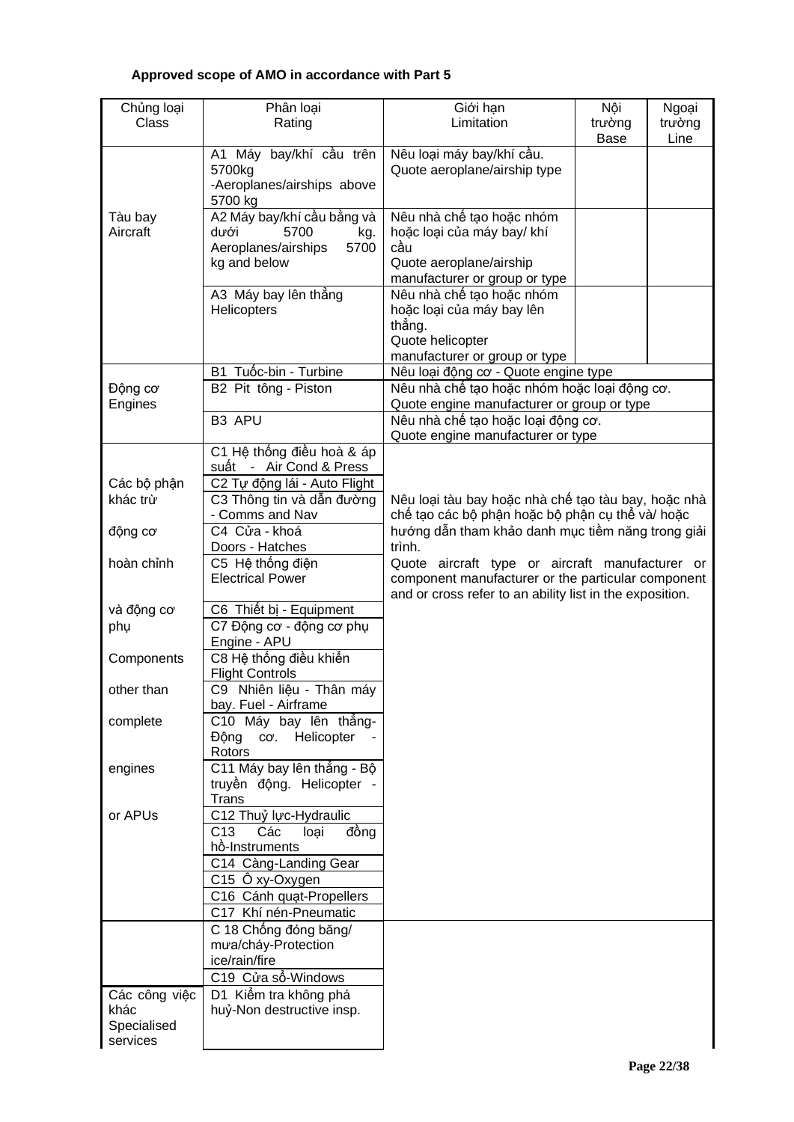# **Approved scope of AMO in accordance with Part 5**

| Chủng loại            | Phân loại                                                           | Giới hạn                                                                         | Nội         | Ngoại  |  |  |  |  |
|-----------------------|---------------------------------------------------------------------|----------------------------------------------------------------------------------|-------------|--------|--|--|--|--|
| Class                 | Rating                                                              | Limitation                                                                       | trường      | trường |  |  |  |  |
|                       |                                                                     |                                                                                  | <b>Base</b> | Line   |  |  |  |  |
|                       | bay/khí cầu trên<br>A1 Máy                                          | Nêu loại máy bay/khí cầu.                                                        |             |        |  |  |  |  |
|                       | 5700kg                                                              | Quote aeroplane/airship type                                                     |             |        |  |  |  |  |
|                       | -Aeroplanes/airships above<br>5700 kg                               |                                                                                  |             |        |  |  |  |  |
| Tàu bay               | A2 Máy bay/khí cầu bằng và                                          | Nêu nhà chế tạo hoặc nhóm                                                        |             |        |  |  |  |  |
| Aircraft              | dưới<br>5700<br>kg.                                                 | hoặc loại của máy bay/ khí                                                       |             |        |  |  |  |  |
|                       | Aeroplanes/airships<br>5700                                         | cầu                                                                              |             |        |  |  |  |  |
|                       | kg and below                                                        | Quote aeroplane/airship                                                          |             |        |  |  |  |  |
|                       |                                                                     | manufacturer or group or type                                                    |             |        |  |  |  |  |
|                       | A3 Máy bay lên thắng                                                | Nêu nhà chế tạo hoặc nhóm                                                        |             |        |  |  |  |  |
|                       | Helicopters                                                         | hoặc loại của máy bay lên                                                        |             |        |  |  |  |  |
|                       |                                                                     | thắng.                                                                           |             |        |  |  |  |  |
|                       |                                                                     | Quote helicopter                                                                 |             |        |  |  |  |  |
|                       |                                                                     | manufacturer or group or type                                                    |             |        |  |  |  |  |
|                       | B1 Tuốc-bin - Turbine                                               | Nêu loại động cơ - Quote engine type                                             |             |        |  |  |  |  |
| Động cơ               | B2 Pit tông - Piston                                                | Nêu nhà chế tạo hoặc nhóm hoặc loại động cơ.                                     |             |        |  |  |  |  |
| Engines               | B3 APU                                                              | Quote engine manufacturer or group or type<br>Nêu nhà chế tạo hoặc loại động cơ. |             |        |  |  |  |  |
|                       |                                                                     | Quote engine manufacturer or type                                                |             |        |  |  |  |  |
|                       | C1 Hệ thống điều hoà & áp                                           |                                                                                  |             |        |  |  |  |  |
|                       | suất - Air Cond & Press                                             |                                                                                  |             |        |  |  |  |  |
| Các bộ phận           | C2 Tự động lái - Auto Flight                                        |                                                                                  |             |        |  |  |  |  |
| khác trừ              | C3 Thông tin và dẫn đường                                           | Nêu loại tàu bay hoặc nhà chế tạo tàu bay, hoặc nhà                              |             |        |  |  |  |  |
|                       | - Comms and Nav                                                     | chế tạo các bộ phận hoặc bộ phận cụ thể và/ hoặc                                 |             |        |  |  |  |  |
| động cơ               | C4 Cửa - khoá                                                       | hướng dẫn tham khảo danh mục tiềm năng trong giải                                |             |        |  |  |  |  |
|                       | Doors - Hatches                                                     | trình.                                                                           |             |        |  |  |  |  |
| hoàn chỉnh            | C5 Hệ thống điện<br>Quote aircraft type or aircraft manufacturer or |                                                                                  |             |        |  |  |  |  |
|                       | <b>Electrical Power</b>                                             | component manufacturer or the particular component                               |             |        |  |  |  |  |
|                       |                                                                     | and or cross refer to an ability list in the exposition.                         |             |        |  |  |  |  |
| và động cơ            | C6 Thiết bị - Equipment                                             |                                                                                  |             |        |  |  |  |  |
| phụ                   | C7 Động cơ - động cơ phụ<br>Engine - APU                            |                                                                                  |             |        |  |  |  |  |
| Components            | C8 Hệ thống điều khiến                                              |                                                                                  |             |        |  |  |  |  |
|                       | <b>Flight Controls</b>                                              |                                                                                  |             |        |  |  |  |  |
| other than            | C9 Nhiên liệu - Thân máy                                            |                                                                                  |             |        |  |  |  |  |
|                       | bay. Fuel - Airframe                                                |                                                                                  |             |        |  |  |  |  |
| complete              | C10 Máy bay lên thẳng-                                              |                                                                                  |             |        |  |  |  |  |
|                       | Helicopter<br>Động<br>CO'.                                          |                                                                                  |             |        |  |  |  |  |
|                       | Rotors<br>C11 Máy bay lên thẳng - Bộ                                |                                                                                  |             |        |  |  |  |  |
| engines               | truyền động. Helicopter -                                           |                                                                                  |             |        |  |  |  |  |
|                       | Trans                                                               |                                                                                  |             |        |  |  |  |  |
| or APUs               | C12 Thuỷ lực-Hydraulic                                              |                                                                                  |             |        |  |  |  |  |
|                       | C <sub>13</sub><br>Các<br>đồng<br>loại                              |                                                                                  |             |        |  |  |  |  |
|                       | hồ-Instruments                                                      |                                                                                  |             |        |  |  |  |  |
|                       | C14 Càng-Landing Gear                                               |                                                                                  |             |        |  |  |  |  |
|                       | C15 Ö xy-Oxygen                                                     |                                                                                  |             |        |  |  |  |  |
|                       | C16 Cánh quạt-Propellers                                            |                                                                                  |             |        |  |  |  |  |
|                       | C17 Khí nén-Pneumatic                                               |                                                                                  |             |        |  |  |  |  |
|                       | C 18 Chống đóng băng/                                               |                                                                                  |             |        |  |  |  |  |
|                       | mưa/cháy-Protection                                                 |                                                                                  |             |        |  |  |  |  |
|                       | ice/rain/fire                                                       |                                                                                  |             |        |  |  |  |  |
|                       | C19 Cửa số-Windows                                                  |                                                                                  |             |        |  |  |  |  |
| Các công việc<br>khác | D1 Kiếm tra không phá<br>huỷ-Non destructive insp.                  |                                                                                  |             |        |  |  |  |  |
| Specialised           |                                                                     |                                                                                  |             |        |  |  |  |  |
| services              |                                                                     |                                                                                  |             |        |  |  |  |  |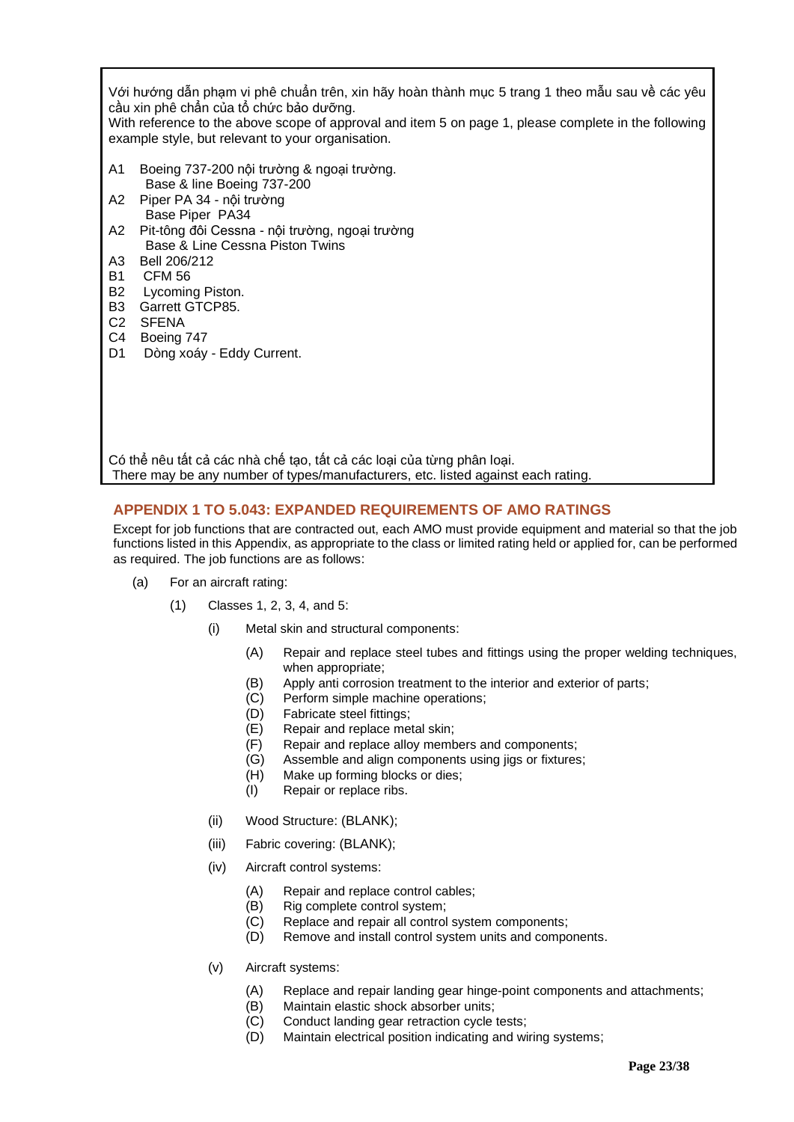Với hướng dẫn phạm vi phê chuẩn trên, xin hãy hoàn thành mục 5 trang 1 theo mẫu sau về các yêu cầu xin phê chẩn của tổ chức bảo dưỡng.

With reference to the above scope of approval and item 5 on page 1, please complete in the following example style, but relevant to your organisation.

- A1 Boeing 737-200 nội trường & ngoại trường. Base & line Boeing 737-200
- A2 Piper PA 34 nội trường Base Piper PA34
- A2 Pit-tông đôi Cessna nội trường, ngoại trường Base & Line Cessna Piston Twins
- A3 Bell 206/212
- B1 CFM 56
- B2 Lycoming Piston.
- B3 Garrett GTCP85.
- C2 SFENA
- C4 Boeing 747<br>D1 Dòng xoáy
- Dòng xoáy Eddy Current.

Có thể nêu tất cả các nhà chế tạo, tất cả các loại của từng phân loại. There may be any number of types/manufacturers, etc. listed against each rating.

# <span id="page-22-0"></span>**APPENDIX 1 TO 5.043: EXPANDED REQUIREMENTS OF AMO RATINGS**

Except for job functions that are contracted out, each AMO must provide equipment and material so that the job functions listed in this Appendix, as appropriate to the class or limited rating held or applied for, can be performed as required. The job functions are as follows:

- (a) For an aircraft rating:
	- (1) Classes 1, 2, 3, 4, and 5:
		- (i) Metal skin and structural components:
			- (A) Repair and replace steel tubes and fittings using the proper welding techniques, when appropriate;
			- (B) Apply anti corrosion treatment to the interior and exterior of parts;
			- (C) Perform simple machine operations;
			- (D) Fabricate steel fittings;
			- (E) Repair and replace metal skin;
			- (F) Repair and replace alloy members and components;
			- (G) Assemble and align components using jigs or fixtures;
			- (H) Make up forming blocks or dies;
			- (I) Repair or replace ribs.
		- (ii) Wood Structure: (BLANK);
		- (iii) Fabric covering: (BLANK);
		- (iv) Aircraft control systems:
			- (A) Repair and replace control cables;
			- (B) Rig complete control system;
			- (C) Replace and repair all control system components;
			- (D) Remove and install control system units and components.
		- (v) Aircraft systems:
			- (A) Replace and repair landing gear hinge-point components and attachments;
			- (B) Maintain elastic shock absorber units;
			- (C) Conduct landing gear retraction cycle tests;
			- (D) Maintain electrical position indicating and wiring systems;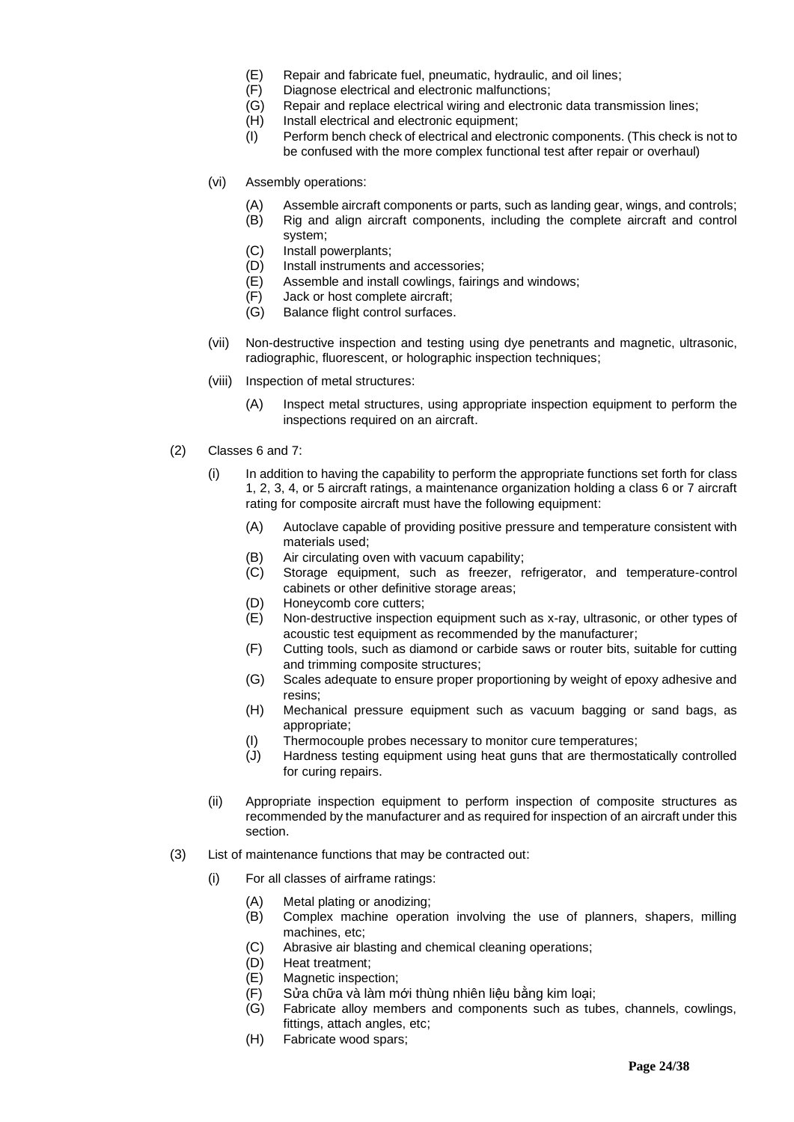- (E) Repair and fabricate fuel, pneumatic, hydraulic, and oil lines;
- (F) Diagnose electrical and electronic malfunctions;
- Repair and replace electrical wiring and electronic data transmission lines;
	- (H) Install electrical and electronic equipment;
	- (I) Perform bench check of electrical and electronic components. (This check is not to be confused with the more complex functional test after repair or overhaul)
- (vi) Assembly operations:
	- (A) Assemble aircraft components or parts, such as landing gear, wings, and controls;
	- (B) Rig and align aircraft components, including the complete aircraft and control system;
	- (C) Install powerplants;
	- (D) Install instruments and accessories;
	- (E) Assemble and install cowlings, fairings and windows;
	- (F) Jack or host complete aircraft;
	- (G) Balance flight control surfaces.
- (vii) Non-destructive inspection and testing using dye penetrants and magnetic, ultrasonic, radiographic, fluorescent, or holographic inspection techniques;
- (viii) Inspection of metal structures:
	- (A) Inspect metal structures, using appropriate inspection equipment to perform the inspections required on an aircraft.
- (2) Classes 6 and 7:
	- (i) In addition to having the capability to perform the appropriate functions set forth for class 1, 2, 3, 4, or 5 aircraft ratings, a maintenance organization holding a class 6 or 7 aircraft rating for composite aircraft must have the following equipment:
		- (A) Autoclave capable of providing positive pressure and temperature consistent with materials used;
		- (B) Air circulating oven with vacuum capability;
		- (C) Storage equipment, such as freezer, refrigerator, and temperature-control cabinets or other definitive storage areas;
		- (D) Honeycomb core cutters;
		- (E) Non-destructive inspection equipment such as x-ray, ultrasonic, or other types of acoustic test equipment as recommended by the manufacturer;
		- (F) Cutting tools, such as diamond or carbide saws or router bits, suitable for cutting and trimming composite structures;
		- (G) Scales adequate to ensure proper proportioning by weight of epoxy adhesive and resins;
		- (H) Mechanical pressure equipment such as vacuum bagging or sand bags, as appropriate;
		- (I) Thermocouple probes necessary to monitor cure temperatures;
		- (J) Hardness testing equipment using heat guns that are thermostatically controlled for curing repairs.
	- (ii) Appropriate inspection equipment to perform inspection of composite structures as recommended by the manufacturer and as required for inspection of an aircraft under this section.
- (3) List of maintenance functions that may be contracted out:
	- (i) For all classes of airframe ratings:
		-
		- (A) Metal plating or anodizing;<br>(B) Complex machine operati Complex machine operation involving the use of planners, shapers, milling machines, etc;
		- (C) Abrasive air blasting and chemical cleaning operations;
		- (D) Heat treatment;
		- (E) Magnetic inspection;
		- (F) Sửa chữa và làm mới thùng nhiên liệu bằng kim loại;
		- (G) Fabricate alloy members and components such as tubes, channels, cowlings, fittings, attach angles, etc;
		- (H) Fabricate wood spars;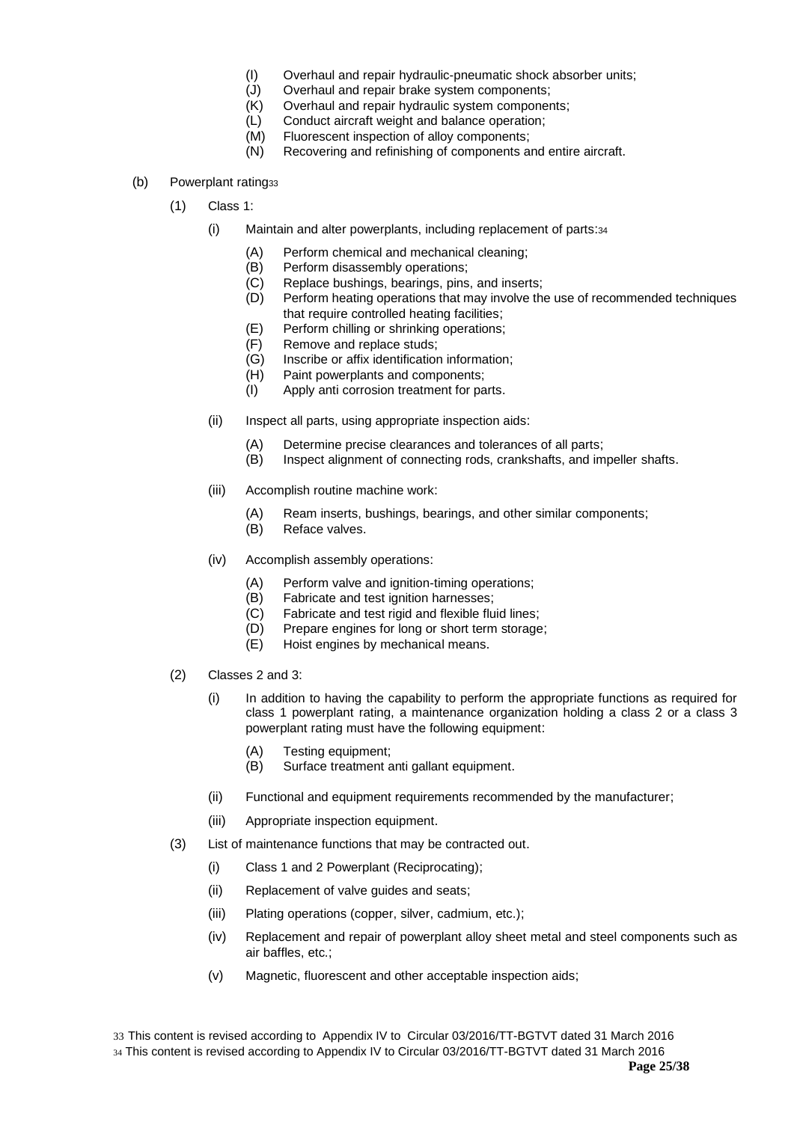- (I) Overhaul and repair hydraulic-pneumatic shock absorber units;
- (J) Overhaul and repair brake system components;
- (K) Overhaul and repair hydraulic system components;
- (L) Conduct aircraft weight and balance operation;
- (M) Fluorescent inspection of alloy components;
- (N) Recovering and refinishing of components and entire aircraft.
- (b) Powerplant rating33
	- (1) Class 1:
		- (i) Maintain and alter powerplants, including replacement of parts:<sup>34</sup>
			- (A) Perform chemical and mechanical cleaning;
			- (B) Perform disassembly operations;
			- (C) Replace bushings, bearings, pins, and inserts;
			- (D) Perform heating operations that may involve the use of recommended techniques that require controlled heating facilities;
			- (E) Perform chilling or shrinking operations;
			- (F) Remove and replace studs;
			- (G) Inscribe or affix identification information;
			- (H) Paint powerplants and components;
			- (I) Apply anti corrosion treatment for parts.
		- (ii) Inspect all parts, using appropriate inspection aids:
			- (A) Determine precise clearances and tolerances of all parts;
			- (B) Inspect alignment of connecting rods, crankshafts, and impeller shafts.
		- (iii) Accomplish routine machine work:
			- (A) Ream inserts, bushings, bearings, and other similar components;
			- (B) Reface valves.
		- (iv) Accomplish assembly operations:
			- (A) Perform valve and ignition-timing operations;
			- (B) Fabricate and test ignition harnesses;
			- (C) Fabricate and test rigid and flexible fluid lines;
			- (D) Prepare engines for long or short term storage;
			- (E) Hoist engines by mechanical means.
	- (2) Classes 2 and 3:
		- (i) In addition to having the capability to perform the appropriate functions as required for class 1 powerplant rating, a maintenance organization holding a class 2 or a class 3 powerplant rating must have the following equipment:
			- (A) Testing equipment;
			- (B) Surface treatment anti gallant equipment.
		- (ii) Functional and equipment requirements recommended by the manufacturer;
		- (iii) Appropriate inspection equipment.
	- (3) List of maintenance functions that may be contracted out.
		- (i) Class 1 and 2 Powerplant (Reciprocating);
		- (ii) Replacement of valve guides and seats;
		- (iii) Plating operations (copper, silver, cadmium, etc.);
		- (iv) Replacement and repair of powerplant alloy sheet metal and steel components such as air baffles, etc.;
		- (v) Magnetic, fluorescent and other acceptable inspection aids;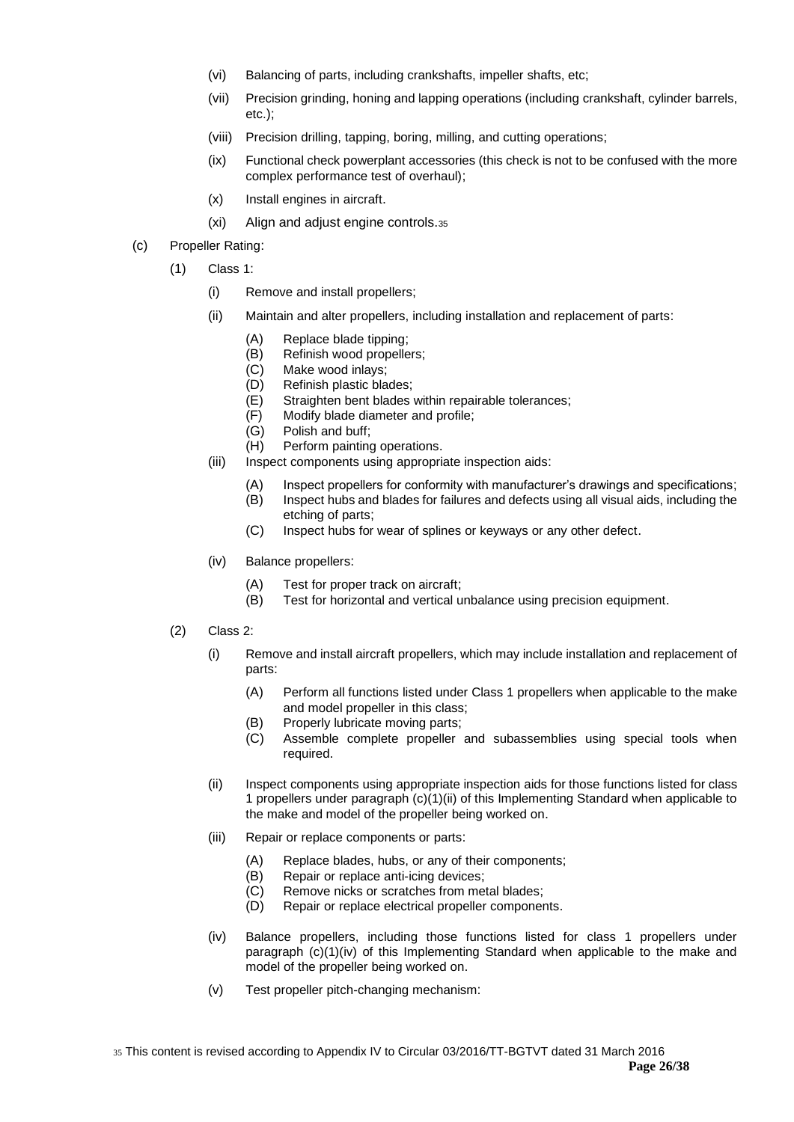- (vi) Balancing of parts, including crankshafts, impeller shafts, etc;
- (vii) Precision grinding, honing and lapping operations (including crankshaft, cylinder barrels, etc.);
- (viii) Precision drilling, tapping, boring, milling, and cutting operations;
- (ix) Functional check powerplant accessories (this check is not to be confused with the more complex performance test of overhaul);
- (x) Install engines in aircraft.
- (xi) Align and adjust engine controls.<sup>35</sup>
- (c) Propeller Rating:
	- (1) Class 1:
		- (i) Remove and install propellers;
		- (ii) Maintain and alter propellers, including installation and replacement of parts:
			- (A) Replace blade tipping;
			- (B) Refinish wood propellers;
			- (C) Make wood inlays;
			- (D) Refinish plastic blades;
			- (E) Straighten bent blades within repairable tolerances;
			- (F) Modify blade diameter and profile;
			- Polish and buff;
			- (H) Perform painting operations.
		- (iii) Inspect components using appropriate inspection aids:
			- (A) Inspect propellers for conformity with manufacturer's drawings and specifications;
			- (B) Inspect hubs and blades for failures and defects using all visual aids, including the etching of parts;
			- (C) Inspect hubs for wear of splines or keyways or any other defect.
		- (iv) Balance propellers:
			-
			- (A) Test for proper track on aircraft;<br>(B) Test for horizontal and vertical u Test for horizontal and vertical unbalance using precision equipment.
	- (2) Class 2:
		- (i) Remove and install aircraft propellers, which may include installation and replacement of parts:
			- (A) Perform all functions listed under Class 1 propellers when applicable to the make and model propeller in this class;
			- (B) Properly lubricate moving parts;
			- (C) Assemble complete propeller and subassemblies using special tools when required.
		- (ii) Inspect components using appropriate inspection aids for those functions listed for class 1 propellers under paragraph (c)(1)(ii) of this Implementing Standard when applicable to the make and model of the propeller being worked on.
		- (iii) Repair or replace components or parts:
			- (A) Replace blades, hubs, or any of their components;
			- (B) Repair or replace anti-icing devices;
			- (C) Remove nicks or scratches from metal blades;
			- (D) Repair or replace electrical propeller components.
		- (iv) Balance propellers, including those functions listed for class 1 propellers under paragraph  $(c)(1)(iv)$  of this Implementing Standard when applicable to the make and model of the propeller being worked on.
		- (v) Test propeller pitch-changing mechanism: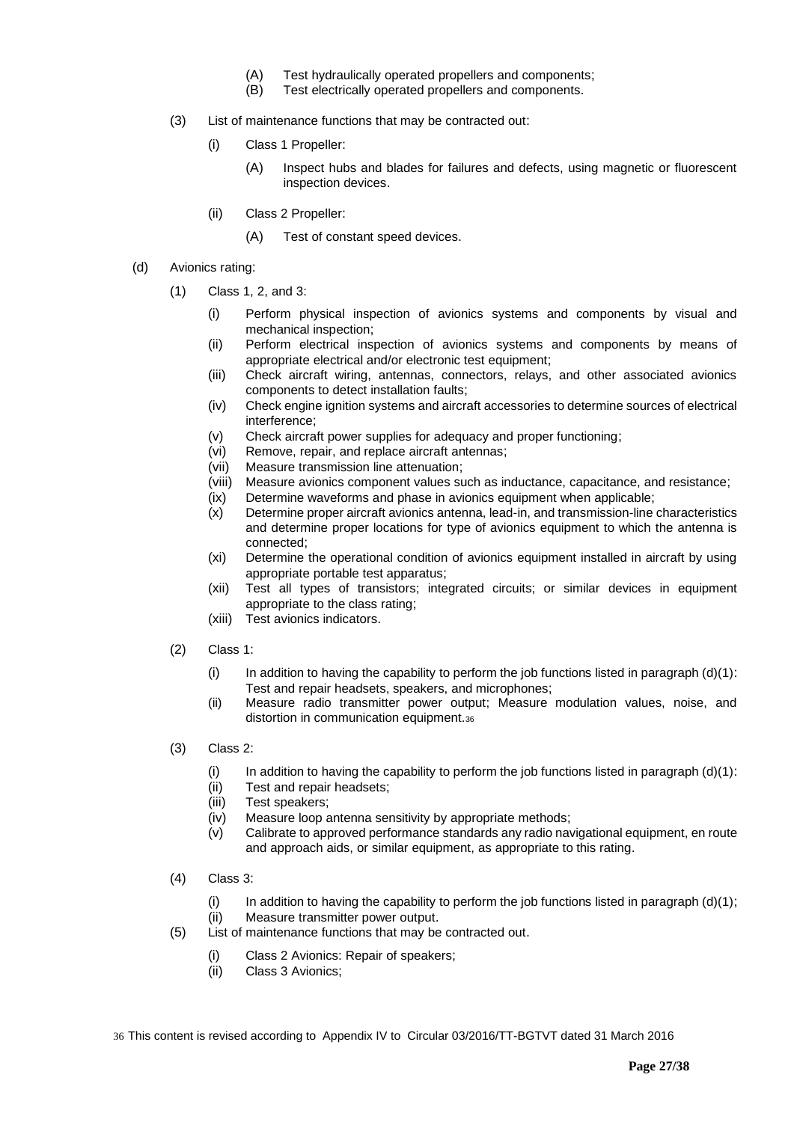- (A) Test hydraulically operated propellers and components;
- (B) Test electrically operated propellers and components.
- (3) List of maintenance functions that may be contracted out:
	- (i) Class 1 Propeller:
		- (A) Inspect hubs and blades for failures and defects, using magnetic or fluorescent inspection devices.
	- (ii) Class 2 Propeller:
		- (A) Test of constant speed devices.
- (d) Avionics rating:
	- (1) Class 1, 2, and 3:
		- (i) Perform physical inspection of avionics systems and components by visual and mechanical inspection;
		- (ii) Perform electrical inspection of avionics systems and components by means of appropriate electrical and/or electronic test equipment;
		- (iii) Check aircraft wiring, antennas, connectors, relays, and other associated avionics components to detect installation faults;
		- (iv) Check engine ignition systems and aircraft accessories to determine sources of electrical interference;
		- (v) Check aircraft power supplies for adequacy and proper functioning;
		- (vi) Remove, repair, and replace aircraft antennas;
		- (vii) Measure transmission line attenuation;
		- (viii) Measure avionics component values such as inductance, capacitance, and resistance;
		- (ix) Determine waveforms and phase in avionics equipment when applicable;
		- (x) Determine proper aircraft avionics antenna, lead-in, and transmission-line characteristics and determine proper locations for type of avionics equipment to which the antenna is connected;
		- (xi) Determine the operational condition of avionics equipment installed in aircraft by using appropriate portable test apparatus;
		- (xii) Test all types of transistors; integrated circuits; or similar devices in equipment appropriate to the class rating;
		- (xiii) Test avionics indicators.
	- (2) Class 1:
		- (i) In addition to having the capability to perform the job functions listed in paragraph  $(d)(1)$ : Test and repair headsets, speakers, and microphones;
		- (ii) Measure radio transmitter power output; Measure modulation values, noise, and distortion in communication equipment.<sup>36</sup>
	- (3) Class 2:
		- (i) In addition to having the capability to perform the job functions listed in paragraph  $(d)(1)$ :
		- (ii) Test and repair headsets;
		- (iii) Test speakers;
		- (iv) Measure loop antenna sensitivity by appropriate methods;
		- (v) Calibrate to approved performance standards any radio navigational equipment, en route and approach aids, or similar equipment, as appropriate to this rating.
	- (4) Class 3:
		- (i) In addition to having the capability to perform the job functions listed in paragraph  $(d)(1)$ ; (ii) Measure transmitter power output.
	- (5) List of maintenance functions that may be contracted out.
		- (i) Class 2 Avionics: Repair of speakers;
		- (ii) Class 3 Avionics;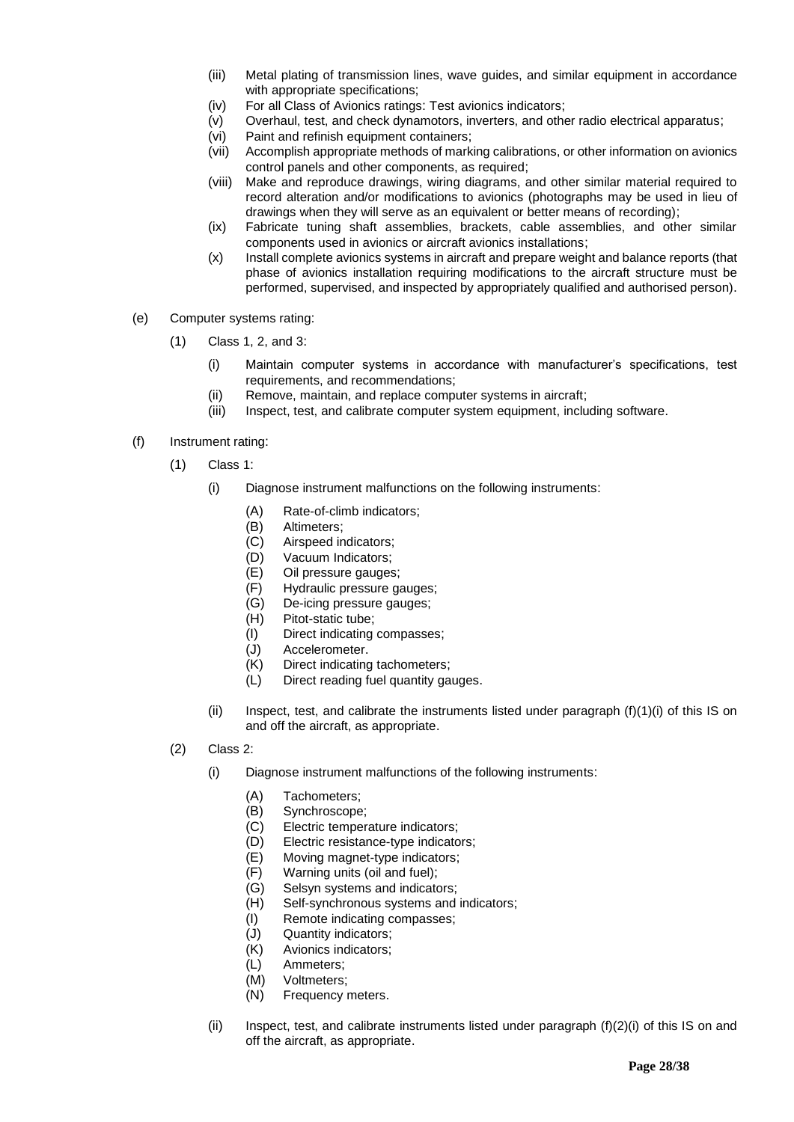- (iii) Metal plating of transmission lines, wave guides, and similar equipment in accordance with appropriate specifications;
- (iv) For all Class of Avionics ratings: Test avionics indicators;
- (v) Overhaul, test, and check dynamotors, inverters, and other radio electrical apparatus;
- (vi) Paint and refinish equipment containers;
- (vii) Accomplish appropriate methods of marking calibrations, or other information on avionics control panels and other components, as required;
- (viii) Make and reproduce drawings, wiring diagrams, and other similar material required to record alteration and/or modifications to avionics (photographs may be used in lieu of drawings when they will serve as an equivalent or better means of recording);
- (ix) Fabricate tuning shaft assemblies, brackets, cable assemblies, and other similar components used in avionics or aircraft avionics installations;
- (x) Install complete avionics systems in aircraft and prepare weight and balance reports (that phase of avionics installation requiring modifications to the aircraft structure must be performed, supervised, and inspected by appropriately qualified and authorised person).
- (e) Computer systems rating:
	- (1) Class 1, 2, and 3:
		- (i) Maintain computer systems in accordance with manufacturer's specifications, test requirements, and recommendations;
		- (ii) Remove, maintain, and replace computer systems in aircraft;
		- (iii) Inspect, test, and calibrate computer system equipment, including software.

#### (f) Instrument rating:

- (1) Class 1:
	- (i) Diagnose instrument malfunctions on the following instruments:
		- (A) Rate-of-climb indicators;
			- (B) Altimeters;
			- (C) Airspeed indicators;
			- (D) Vacuum Indicators;
			- (E) Oil pressure gauges;
			- (F) Hydraulic pressure gauges;
			- (G) De-icing pressure gauges;
			- (H) Pitot-static tube;
			- (I) Direct indicating compasses;<br>(J) Accelerometer.
			- Accelerometer.
			- (K) Direct indicating tachometers;
			- (L) Direct reading fuel quantity gauges.
	- (ii) Inspect, test, and calibrate the instruments listed under paragraph  $(f)(1)(i)$  of this IS on and off the aircraft, as appropriate.
- (2) Class 2:
	- (i) Diagnose instrument malfunctions of the following instruments:
		- (A) Tachometers;
		- (B) Synchroscope;
		- (C) Electric temperature indicators;
		- (D) Electric resistance-type indicators;
		- (E) Moving magnet-type indicators;
		- (F) Warning units (oil and fuel);
		- (G) Selsyn systems and indicators;
		- (H) Self-synchronous systems and indicators;
		- (I) Remote indicating compasses;
		- (J) Quantity indicators;
		- (K) Avionics indicators;
		- (L) Ammeters;
		- (M) Voltmeters;
		- (N) Frequency meters.
	- (ii) Inspect, test, and calibrate instruments listed under paragraph  $(f)(2)(i)$  of this IS on and off the aircraft, as appropriate.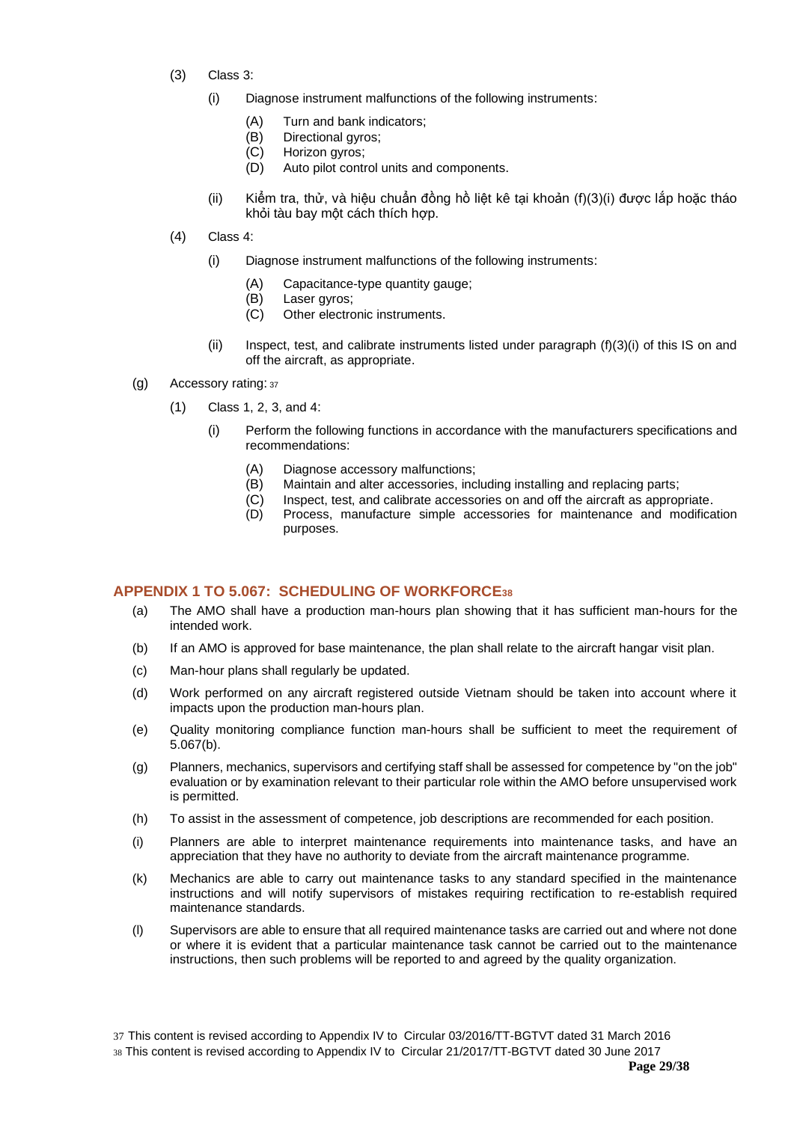- (3) Class 3:
	- (i) Diagnose instrument malfunctions of the following instruments:
		- (A) Turn and bank indicators;
		- (B) Directional gyros;
		- (C) Horizon gyros;
		- (D) Auto pilot control units and components.
	- (ii) Kiểm tra, thử, và hiệu chuẩn đồng hồ liệt kê tại khoản (f)(3)(i) được lắp hoặc tháo khỏi tàu bay một cách thích hợp.
- (4) Class 4:
	- (i) Diagnose instrument malfunctions of the following instruments:
		- (A) Capacitance-type quantity gauge;
		- (B) Laser gyros;
		- (C) Other electronic instruments.
	- $(i)$  Inspect, test, and calibrate instruments listed under paragraph  $(f)(3)(i)$  of this IS on and off the aircraft, as appropriate.
- (g) Accessory rating: <sup>37</sup>
	- (1) Class 1, 2, 3, and 4:
		- (i) Perform the following functions in accordance with the manufacturers specifications and recommendations:
			- (A) Diagnose accessory malfunctions;
			- (B) Maintain and alter accessories, including installing and replacing parts;
			- (C) Inspect, test, and calibrate accessories on and off the aircraft as appropriate.<br>(D) Process, manufacture simple accessories for maintenance and modifical
				- Process, manufacture simple accessories for maintenance and modification purposes.

# <span id="page-28-0"></span>**APPENDIX 1 TO 5.067: SCHEDULING OF WORKFORCE<sup>38</sup>**

- (a) The AMO shall have a production man-hours plan showing that it has sufficient man-hours for the intended work.
- (b) If an AMO is approved for base maintenance, the plan shall relate to the aircraft hangar visit plan.
- (c) Man-hour plans shall regularly be updated.
- (d) Work performed on any aircraft registered outside Vietnam should be taken into account where it impacts upon the production man-hours plan.
- (e) Quality monitoring compliance function man-hours shall be sufficient to meet the requirement of 5.067(b).
- (g) Planners, mechanics, supervisors and certifying staff shall be assessed for competence by "on the job" evaluation or by examination relevant to their particular role within the AMO before unsupervised work is permitted.
- (h) To assist in the assessment of competence, job descriptions are recommended for each position.
- (i) Planners are able to interpret maintenance requirements into maintenance tasks, and have an appreciation that they have no authority to deviate from the aircraft maintenance programme.
- (k) Mechanics are able to carry out maintenance tasks to any standard specified in the maintenance instructions and will notify supervisors of mistakes requiring rectification to re-establish required maintenance standards.
- (l) Supervisors are able to ensure that all required maintenance tasks are carried out and where not done or where it is evident that a particular maintenance task cannot be carried out to the maintenance instructions, then such problems will be reported to and agreed by the quality organization.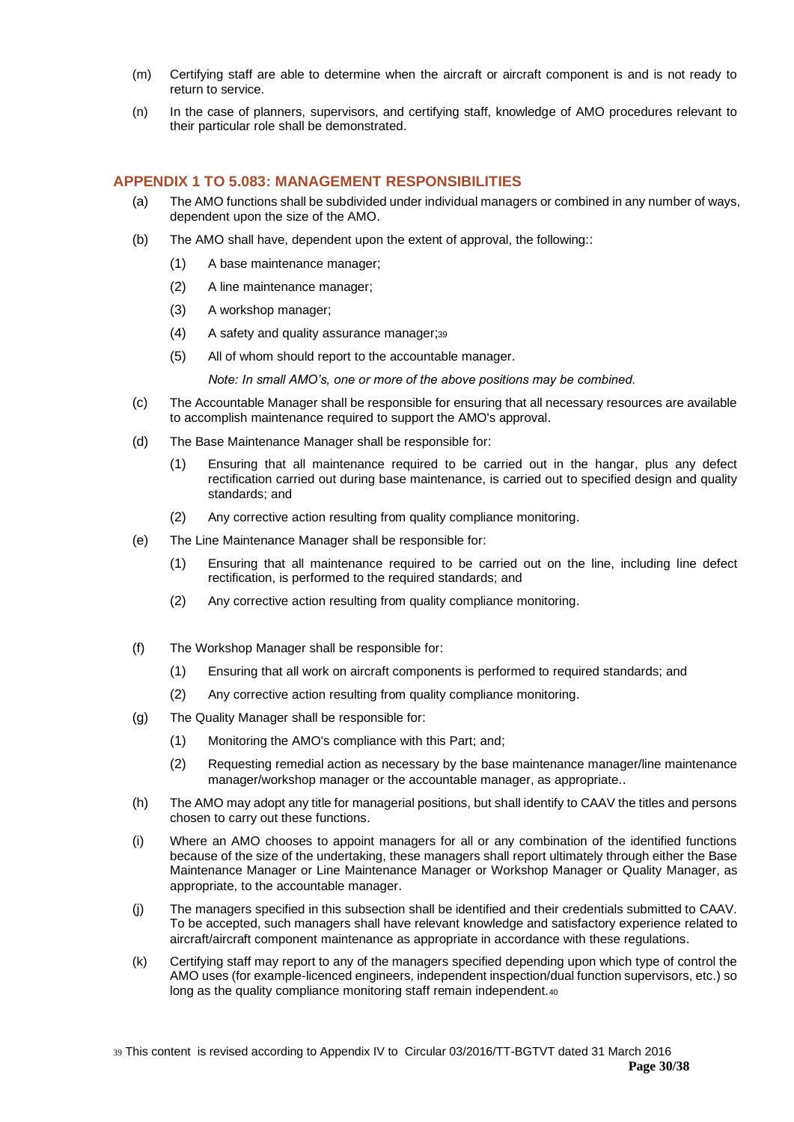- (m) Certifying staff are able to determine when the aircraft or aircraft component is and is not ready to return to service.
- (n) In the case of planners, supervisors, and certifying staff, knowledge of AMO procedures relevant to their particular role shall be demonstrated.

# <span id="page-29-0"></span>**APPENDIX 1 TO 5.083: MANAGEMENT RESPONSIBILITIES**

- (a) The AMO functions shall be subdivided under individual managers or combined in any number of ways, dependent upon the size of the AMO.
- (b) The AMO shall have, dependent upon the extent of approval, the following::
	- (1) A base maintenance manager;
	- (2) A line maintenance manager;
	- (3) A workshop manager;
	- (4) A safety and quality assurance manager;<sup>39</sup>
	- (5) All of whom should report to the accountable manager.

*Note: In small AMO's, one or more of the above positions may be combined.*

- (c) The Accountable Manager shall be responsible for ensuring that all necessary resources are available to accomplish maintenance required to support the AMO's approval.
- (d) The Base Maintenance Manager shall be responsible for:
	- (1) Ensuring that all maintenance required to be carried out in the hangar, plus any defect rectification carried out during base maintenance, is carried out to specified design and quality standards; and
	- (2) Any corrective action resulting from quality compliance monitoring.
- (e) The Line Maintenance Manager shall be responsible for:
	- (1) Ensuring that all maintenance required to be carried out on the line, including line defect rectification, is performed to the required standards; and
	- (2) Any corrective action resulting from quality compliance monitoring.
- (f) The Workshop Manager shall be responsible for:
	- (1) Ensuring that all work on aircraft components is performed to required standards; and
	- (2) Any corrective action resulting from quality compliance monitoring.
- (g) The Quality Manager shall be responsible for:
	- (1) Monitoring the AMO's compliance with this Part; and;
	- (2) Requesting remedial action as necessary by the base maintenance manager/line maintenance manager/workshop manager or the accountable manager, as appropriate..
- (h) The AMO may adopt any title for managerial positions, but shall identify to CAAV the titles and persons chosen to carry out these functions.
- (i) Where an AMO chooses to appoint managers for all or any combination of the identified functions because of the size of the undertaking, these managers shall report ultimately through either the Base Maintenance Manager or Line Maintenance Manager or Workshop Manager or Quality Manager, as appropriate, to the accountable manager.
- (j) The managers specified in this subsection shall be identified and their credentials submitted to CAAV. To be accepted, such managers shall have relevant knowledge and satisfactory experience related to aircraft/aircraft component maintenance as appropriate in accordance with these regulations.
- (k) Certifying staff may report to any of the managers specified depending upon which type of control the AMO uses (for example-licenced engineers, independent inspection/dual function supervisors, etc.) so long as the quality compliance monitoring staff remain independent.40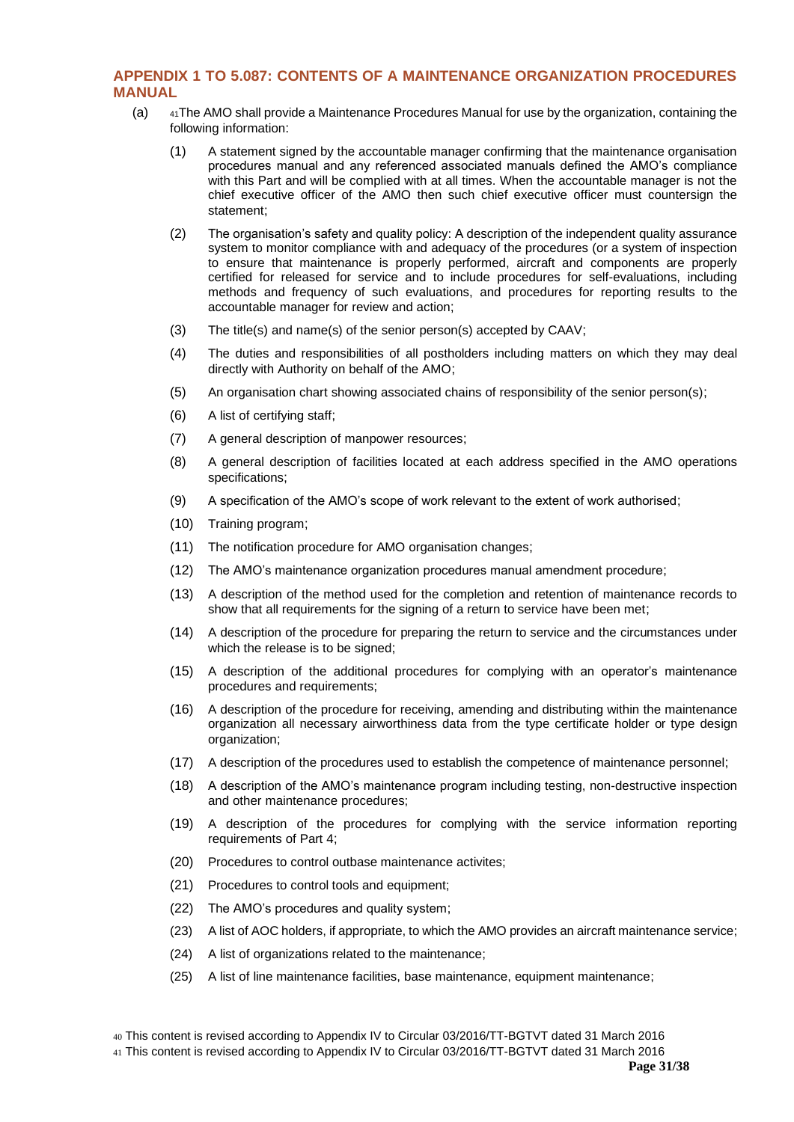# <span id="page-30-0"></span>**APPENDIX 1 TO 5.087: CONTENTS OF A MAINTENANCE ORGANIZATION PROCEDURES MANUAL**

- (a) <sup>41</sup>The AMO shall provide a Maintenance Procedures Manual for use by the organization, containing the following information:
	- (1) A statement signed by the accountable manager confirming that the maintenance organisation procedures manual and any referenced associated manuals defined the AMO's compliance with this Part and will be complied with at all times. When the accountable manager is not the chief executive officer of the AMO then such chief executive officer must countersign the statement;
	- (2) The organisation's safety and quality policy: A description of the independent quality assurance system to monitor compliance with and adequacy of the procedures (or a system of inspection to ensure that maintenance is properly performed, aircraft and components are properly certified for released for service and to include procedures for self-evaluations, including methods and frequency of such evaluations, and procedures for reporting results to the accountable manager for review and action;
	- (3) The title(s) and name(s) of the senior person(s) accepted by CAAV;
	- (4) The duties and responsibilities of all postholders including matters on which they may deal directly with Authority on behalf of the AMO;
	- (5) An organisation chart showing associated chains of responsibility of the senior person(s);
	- (6) A list of certifying staff;
	- (7) A general description of manpower resources;
	- (8) A general description of facilities located at each address specified in the AMO operations specifications;
	- (9) A specification of the AMO's scope of work relevant to the extent of work authorised;
	- (10) Training program;
	- (11) The notification procedure for AMO organisation changes;
	- (12) The AMO's maintenance organization procedures manual amendment procedure;
	- (13) A description of the method used for the completion and retention of maintenance records to show that all requirements for the signing of a return to service have been met:
	- (14) A description of the procedure for preparing the return to service and the circumstances under which the release is to be signed;
	- (15) A description of the additional procedures for complying with an operator's maintenance procedures and requirements;
	- (16) A description of the procedure for receiving, amending and distributing within the maintenance organization all necessary airworthiness data from the type certificate holder or type design organization:
	- (17) A description of the procedures used to establish the competence of maintenance personnel;
	- (18) A description of the AMO's maintenance program including testing, non-destructive inspection and other maintenance procedures;
	- (19) A description of the procedures for complying with the service information reporting requirements of Part 4;
	- (20) Procedures to control outbase maintenance activites;
	- (21) Procedures to control tools and equipment;
	- (22) The AMO's procedures and quality system;
	- (23) A list of AOC holders, if appropriate, to which the AMO provides an aircraft maintenance service;
	- (24) A list of organizations related to the maintenance;
	- (25) A list of line maintenance facilities, base maintenance, equipment maintenance;

41 This content is revised according to Appendix IV to Circular 03/2016/TT-BGTVT dated 31 March 2016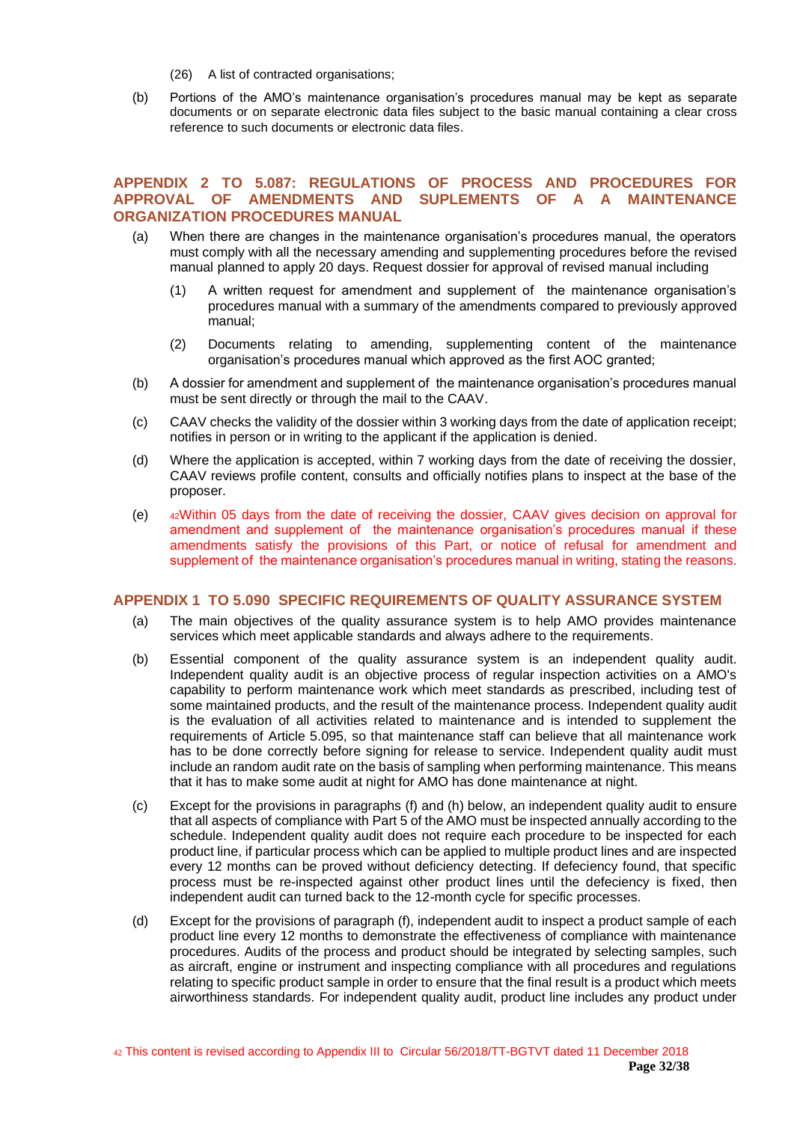- (26) A list of contracted organisations;
- (b) Portions of the AMO's maintenance organisation's procedures manual may be kept as separate documents or on separate electronic data files subject to the basic manual containing a clear cross reference to such documents or electronic data files.

# <span id="page-31-0"></span>**APPENDIX 2 TO 5.087: REGULATIONS OF PROCESS AND PROCEDURES FOR APPROVAL OF AMENDMENTS AND SUPLEMENTS OF A A MAINTENANCE ORGANIZATION PROCEDURES MANUAL**

- (a) When there are changes in the maintenance organisation's procedures manual, the operators must comply with all the necessary amending and supplementing procedures before the revised manual planned to apply 20 days. Request dossier for approval of revised manual including
	- (1) A written request for amendment and supplement of the maintenance organisation's procedures manual with a summary of the amendments compared to previously approved manual;
	- (2) Documents relating to amending, supplementing content of the maintenance organisation's procedures manual which approved as the first AOC granted;
- (b) A dossier for amendment and supplement of the maintenance organisation's procedures manual must be sent directly or through the mail to the CAAV.
- (c) CAAV checks the validity of the dossier within 3 working days from the date of application receipt; notifies in person or in writing to the applicant if the application is denied.
- (d) Where the application is accepted, within 7 working days from the date of receiving the dossier, CAAV reviews profile content, consults and officially notifies plans to inspect at the base of the proposer.
- (e) <sup>42</sup>Within 05 days from the date of receiving the dossier, CAAV gives decision on approval for amendment and supplement of the maintenance organisation's procedures manual if these amendments satisfy the provisions of this Part, or notice of refusal for amendment and supplement of the maintenance organisation's procedures manual in writing, stating the reasons.

#### <span id="page-31-1"></span>**APPENDIX 1 TO 5.090 SPECIFIC REQUIREMENTS OF QUALITY ASSURANCE SYSTEM**

- (a) The main objectives of the quality assurance system is to help AMO provides maintenance services which meet applicable standards and always adhere to the requirements.
- (b) Essential component of the quality assurance system is an independent quality audit. Independent quality audit is an objective process of regular inspection activities on a AMO's capability to perform maintenance work which meet standards as prescribed, including test of some maintained products, and the result of the maintenance process. Independent quality audit is the evaluation of all activities related to maintenance and is intended to supplement the requirements of Article 5.095, so that maintenance staff can believe that all maintenance work has to be done correctly before signing for release to service. Independent quality audit must include an random audit rate on the basis of sampling when performing maintenance. This means that it has to make some audit at night for AMO has done maintenance at night.
- (c) Except for the provisions in paragraphs (f) and (h) below, an independent quality audit to ensure that all aspects of compliance with Part 5 of the AMO must be inspected annually according to the schedule. Independent quality audit does not require each procedure to be inspected for each product line, if particular process which can be applied to multiple product lines and are inspected every 12 months can be proved without deficiency detecting. If defeciency found, that specific process must be re-inspected against other product lines until the defeciency is fixed, then independent audit can turned back to the 12-month cycle for specific processes.
- (d) Except for the provisions of paragraph (f), independent audit to inspect a product sample of each product line every 12 months to demonstrate the effectiveness of compliance with maintenance procedures. Audits of the process and product should be integrated by selecting samples, such as aircraft, engine or instrument and inspecting compliance with all procedures and regulations relating to specific product sample in order to ensure that the final result is a product which meets airworthiness standards. For independent quality audit, product line includes any product under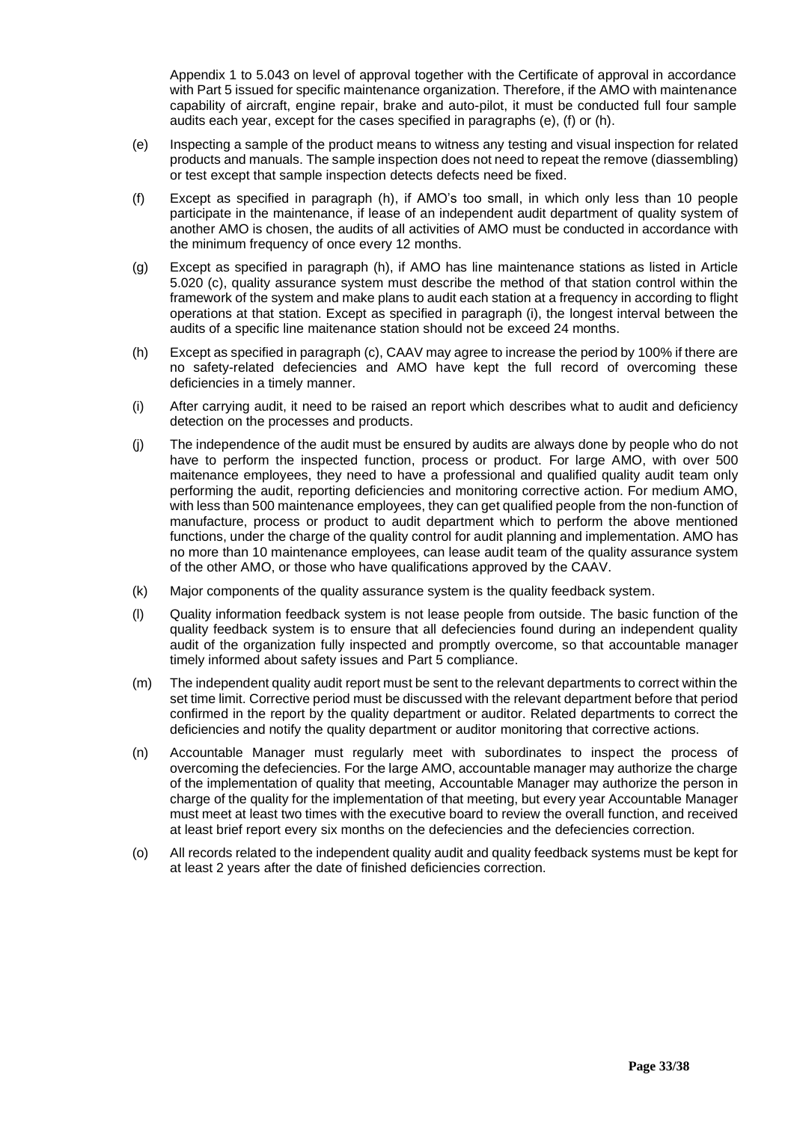Appendix 1 to 5.043 on level of approval together with the Certificate of approval in accordance with Part 5 issued for specific maintenance organization. Therefore, if the AMO with maintenance capability of aircraft, engine repair, brake and auto-pilot, it must be conducted full four sample audits each year, except for the cases specified in paragraphs (e), (f) or (h).

- (e) Inspecting a sample of the product means to witness any testing and visual inspection for related products and manuals. The sample inspection does not need to repeat the remove (diassembling) or test except that sample inspection detects defects need be fixed.
- (f) Except as specified in paragraph (h), if AMO's too small, in which only less than 10 people participate in the maintenance, if lease of an independent audit department of quality system of another AMO is chosen, the audits of all activities of AMO must be conducted in accordance with the minimum frequency of once every 12 months.
- (g) Except as specified in paragraph (h), if AMO has line maintenance stations as listed in Article 5.020 (c), quality assurance system must describe the method of that station control within the framework of the system and make plans to audit each station at a frequency in according to flight operations at that station. Except as specified in paragraph (i), the longest interval between the audits of a specific line maitenance station should not be exceed 24 months.
- (h) Except as specified in paragraph (c), CAAV may agree to increase the period by 100% if there are no safety-related defeciencies and AMO have kept the full record of overcoming these deficiencies in a timely manner.
- (i) After carrying audit, it need to be raised an report which describes what to audit and deficiency detection on the processes and products.
- (j) The independence of the audit must be ensured by audits are always done by people who do not have to perform the inspected function, process or product. For large AMO, with over 500 maitenance employees, they need to have a professional and qualified quality audit team only performing the audit, reporting deficiencies and monitoring corrective action. For medium AMO, with less than 500 maintenance employees, they can get qualified people from the non-function of manufacture, process or product to audit department which to perform the above mentioned functions, under the charge of the quality control for audit planning and implementation. AMO has no more than 10 maintenance employees, can lease audit team of the quality assurance system of the other AMO, or those who have qualifications approved by the CAAV.
- (k) Major components of the quality assurance system is the quality feedback system.
- (l) Quality information feedback system is not lease people from outside. The basic function of the quality feedback system is to ensure that all defeciencies found during an independent quality audit of the organization fully inspected and promptly overcome, so that accountable manager timely informed about safety issues and Part 5 compliance.
- (m) The independent quality audit report must be sent to the relevant departments to correct within the set time limit. Corrective period must be discussed with the relevant department before that period confirmed in the report by the quality department or auditor. Related departments to correct the deficiencies and notify the quality department or auditor monitoring that corrective actions.
- (n) Accountable Manager must regularly meet with subordinates to inspect the process of overcoming the defeciencies. For the large AMO, accountable manager may authorize the charge of the implementation of quality that meeting, Accountable Manager may authorize the person in charge of the quality for the implementation of that meeting, but every year Accountable Manager must meet at least two times with the executive board to review the overall function, and received at least brief report every six months on the defeciencies and the defeciencies correction.
- (o) All records related to the independent quality audit and quality feedback systems must be kept for at least 2 years after the date of finished deficiencies correction.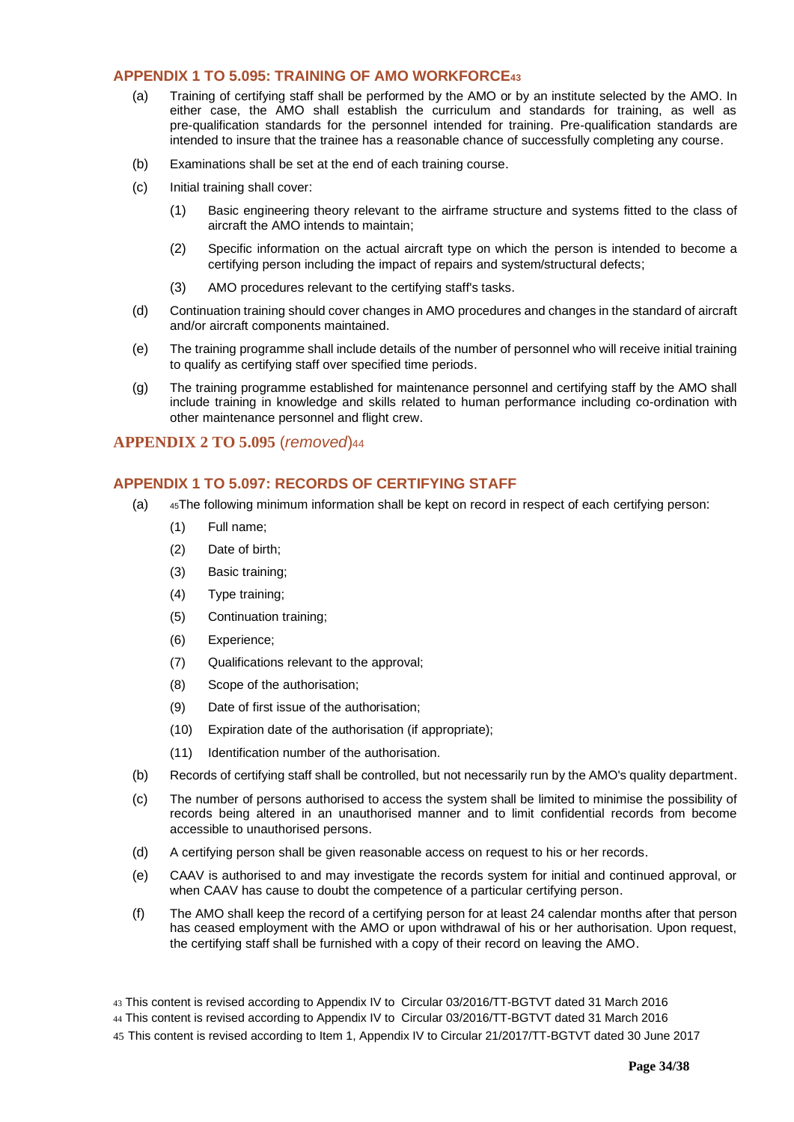### <span id="page-33-0"></span>**APPENDIX 1 TO 5.095: TRAINING OF AMO WORKFORCE<sup>43</sup>**

- (a) Training of certifying staff shall be performed by the AMO or by an institute selected by the AMO. In either case, the AMO shall establish the curriculum and standards for training, as well as pre-qualification standards for the personnel intended for training. Pre-qualification standards are intended to insure that the trainee has a reasonable chance of successfully completing any course.
- (b) Examinations shall be set at the end of each training course.
- (c) Initial training shall cover:
	- (1) Basic engineering theory relevant to the airframe structure and systems fitted to the class of aircraft the AMO intends to maintain;
	- (2) Specific information on the actual aircraft type on which the person is intended to become a certifying person including the impact of repairs and system/structural defects;
	- (3) AMO procedures relevant to the certifying staff's tasks.
- (d) Continuation training should cover changes in AMO procedures and changes in the standard of aircraft and/or aircraft components maintained.
- (e) The training programme shall include details of the number of personnel who will receive initial training to qualify as certifying staff over specified time periods.
- (g) The training programme established for maintenance personnel and certifying staff by the AMO shall include training in knowledge and skills related to human performance including co-ordination with other maintenance personnel and flight crew.

# **APPENDIX 2 TO 5.095** (*removed*)<sup>44</sup>

## <span id="page-33-1"></span>**APPENDIX 1 TO 5.097: RECORDS OF CERTIFYING STAFF**

- (a) <sup>45</sup>The following minimum information shall be kept on record in respect of each certifying person:
	- (1) Full name;
	- (2) Date of birth;
	- (3) Basic training;
	- (4) Type training;
	- (5) Continuation training;
	- (6) Experience;
	- (7) Qualifications relevant to the approval;
	- (8) Scope of the authorisation;
	- (9) Date of first issue of the authorisation;
	- (10) Expiration date of the authorisation (if appropriate);
	- (11) Identification number of the authorisation.
- (b) Records of certifying staff shall be controlled, but not necessarily run by the AMO's quality department.
- (c) The number of persons authorised to access the system shall be limited to minimise the possibility of records being altered in an unauthorised manner and to limit confidential records from become accessible to unauthorised persons.
- (d) A certifying person shall be given reasonable access on request to his or her records.
- (e) CAAV is authorised to and may investigate the records system for initial and continued approval, or when CAAV has cause to doubt the competence of a particular certifying person.
- (f) The AMO shall keep the record of a certifying person for at least 24 calendar months after that person has ceased employment with the AMO or upon withdrawal of his or her authorisation. Upon request, the certifying staff shall be furnished with a copy of their record on leaving the AMO.

<sup>43</sup> This content is revised according to Appendix IV to Circular 03/2016/TT-BGTVT dated 31 March 2016

<sup>44</sup> This content is revised according to Appendix IV to Circular 03/2016/TT-BGTVT dated 31 March 2016

<sup>45</sup> This content is revised according to Item 1, Appendix IV to Circular 21/2017/TT-BGTVT dated 30 June 2017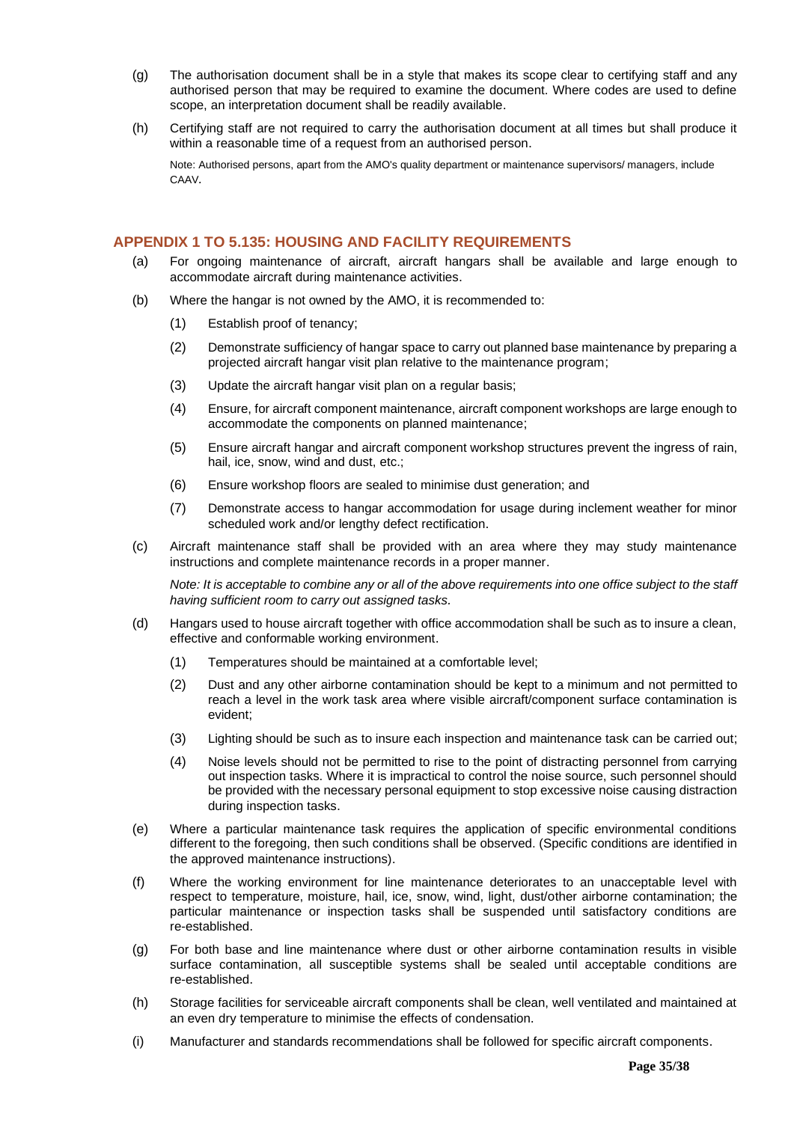- (g) The authorisation document shall be in a style that makes its scope clear to certifying staff and any authorised person that may be required to examine the document. Where codes are used to define scope, an interpretation document shall be readily available.
- (h) Certifying staff are not required to carry the authorisation document at all times but shall produce it within a reasonable time of a request from an authorised person.

Note: Authorised persons, apart from the AMO's quality department or maintenance supervisors/ managers, include CAAV*.*

# <span id="page-34-0"></span>**APPENDIX 1 TO 5.135: HOUSING AND FACILITY REQUIREMENTS**

- (a) For ongoing maintenance of aircraft, aircraft hangars shall be available and large enough to accommodate aircraft during maintenance activities.
- (b) Where the hangar is not owned by the AMO, it is recommended to:
	- (1) Establish proof of tenancy;
	- (2) Demonstrate sufficiency of hangar space to carry out planned base maintenance by preparing a projected aircraft hangar visit plan relative to the maintenance program;
	- (3) Update the aircraft hangar visit plan on a regular basis;
	- (4) Ensure, for aircraft component maintenance, aircraft component workshops are large enough to accommodate the components on planned maintenance;
	- (5) Ensure aircraft hangar and aircraft component workshop structures prevent the ingress of rain, hail, ice, snow, wind and dust, etc.;
	- (6) Ensure workshop floors are sealed to minimise dust generation; and
	- (7) Demonstrate access to hangar accommodation for usage during inclement weather for minor scheduled work and/or lengthy defect rectification.
- (c) Aircraft maintenance staff shall be provided with an area where they may study maintenance instructions and complete maintenance records in a proper manner.

*Note: It is acceptable to combine any or all of the above requirements into one office subject to the staff having sufficient room to carry out assigned tasks.*

- (d) Hangars used to house aircraft together with office accommodation shall be such as to insure a clean, effective and conformable working environment.
	- (1) Temperatures should be maintained at a comfortable level;
	- (2) Dust and any other airborne contamination should be kept to a minimum and not permitted to reach a level in the work task area where visible aircraft/component surface contamination is evident;
	- (3) Lighting should be such as to insure each inspection and maintenance task can be carried out;
	- (4) Noise levels should not be permitted to rise to the point of distracting personnel from carrying out inspection tasks. Where it is impractical to control the noise source, such personnel should be provided with the necessary personal equipment to stop excessive noise causing distraction during inspection tasks.
- (e) Where a particular maintenance task requires the application of specific environmental conditions different to the foregoing, then such conditions shall be observed. (Specific conditions are identified in the approved maintenance instructions).
- (f) Where the working environment for line maintenance deteriorates to an unacceptable level with respect to temperature, moisture, hail, ice, snow, wind, light, dust/other airborne contamination; the particular maintenance or inspection tasks shall be suspended until satisfactory conditions are re-established.
- (g) For both base and line maintenance where dust or other airborne contamination results in visible surface contamination, all susceptible systems shall be sealed until acceptable conditions are re-established.
- (h) Storage facilities for serviceable aircraft components shall be clean, well ventilated and maintained at an even dry temperature to minimise the effects of condensation.
- (i) Manufacturer and standards recommendations shall be followed for specific aircraft components.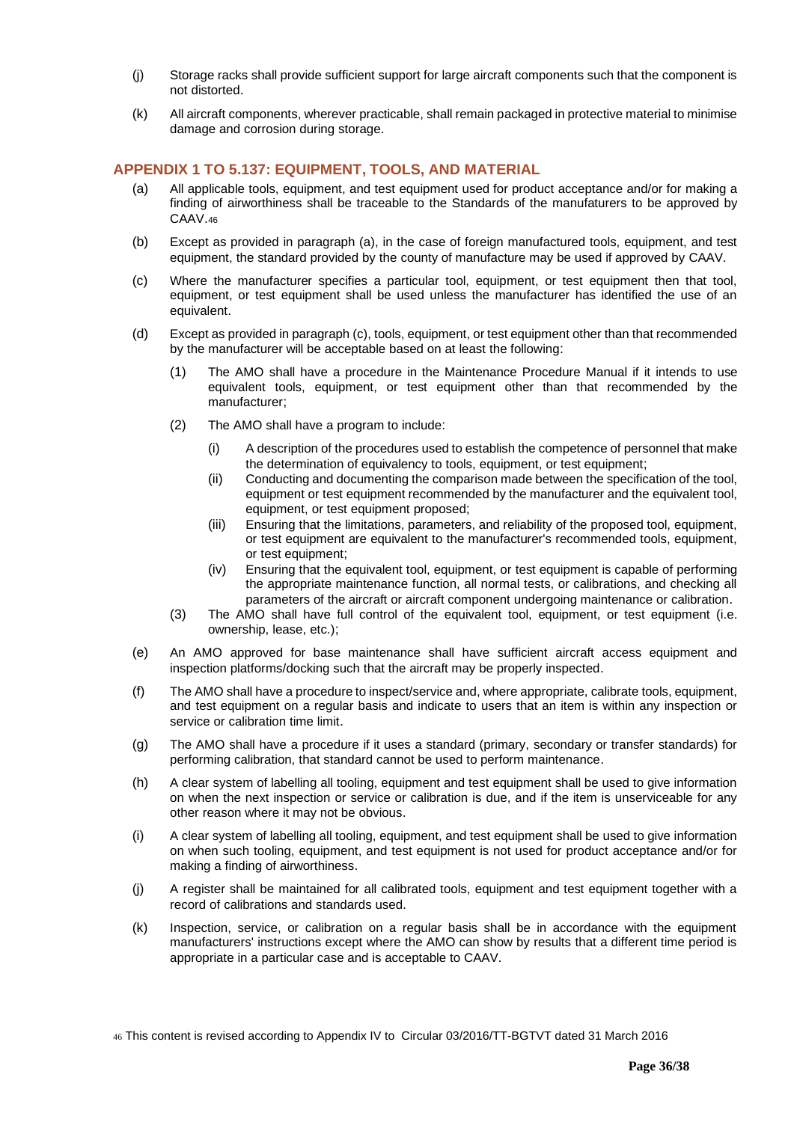- (j) Storage racks shall provide sufficient support for large aircraft components such that the component is not distorted.
- (k) All aircraft components, wherever practicable, shall remain packaged in protective material to minimise damage and corrosion during storage.

# <span id="page-35-0"></span>**APPENDIX 1 TO 5.137: EQUIPMENT, TOOLS, AND MATERIAL**

- (a) All applicable tools, equipment, and test equipment used for product acceptance and/or for making a finding of airworthiness shall be traceable to the Standards of the manufaturers to be approved by CAAV.<sup>46</sup>
- (b) Except as provided in paragraph (a), in the case of foreign manufactured tools, equipment, and test equipment, the standard provided by the county of manufacture may be used if approved by CAAV.
- (c) Where the manufacturer specifies a particular tool, equipment, or test equipment then that tool, equipment, or test equipment shall be used unless the manufacturer has identified the use of an equivalent.
- (d) Except as provided in paragraph (c), tools, equipment, or test equipment other than that recommended by the manufacturer will be acceptable based on at least the following:
	- (1) The AMO shall have a procedure in the Maintenance Procedure Manual if it intends to use equivalent tools, equipment, or test equipment other than that recommended by the manufacturer;
	- (2) The AMO shall have a program to include:
		- (i) A description of the procedures used to establish the competence of personnel that make the determination of equivalency to tools, equipment, or test equipment;
		- (ii) Conducting and documenting the comparison made between the specification of the tool, equipment or test equipment recommended by the manufacturer and the equivalent tool, equipment, or test equipment proposed;
		- (iii) Ensuring that the limitations, parameters, and reliability of the proposed tool, equipment, or test equipment are equivalent to the manufacturer's recommended tools, equipment, or test equipment;
		- (iv) Ensuring that the equivalent tool, equipment, or test equipment is capable of performing the appropriate maintenance function, all normal tests, or calibrations, and checking all parameters of the aircraft or aircraft component undergoing maintenance or calibration.
	- (3) The AMO shall have full control of the equivalent tool, equipment, or test equipment (i.e. ownership, lease, etc.);
- (e) An AMO approved for base maintenance shall have sufficient aircraft access equipment and inspection platforms/docking such that the aircraft may be properly inspected.
- (f) The AMO shall have a procedure to inspect/service and, where appropriate, calibrate tools, equipment, and test equipment on a regular basis and indicate to users that an item is within any inspection or service or calibration time limit.
- (g) The AMO shall have a procedure if it uses a standard (primary, secondary or transfer standards) for performing calibration, that standard cannot be used to perform maintenance.
- (h) A clear system of labelling all tooling, equipment and test equipment shall be used to give information on when the next inspection or service or calibration is due, and if the item is unserviceable for any other reason where it may not be obvious.
- (i) A clear system of labelling all tooling, equipment, and test equipment shall be used to give information on when such tooling, equipment, and test equipment is not used for product acceptance and/or for making a finding of airworthiness.
- (j) A register shall be maintained for all calibrated tools, equipment and test equipment together with a record of calibrations and standards used.
- (k) Inspection, service, or calibration on a regular basis shall be in accordance with the equipment manufacturers' instructions except where the AMO can show by results that a different time period is appropriate in a particular case and is acceptable to CAAV.

<sup>46</sup> This content is revised according to Appendix IV to Circular 03/2016/TT-BGTVT dated 31 March 2016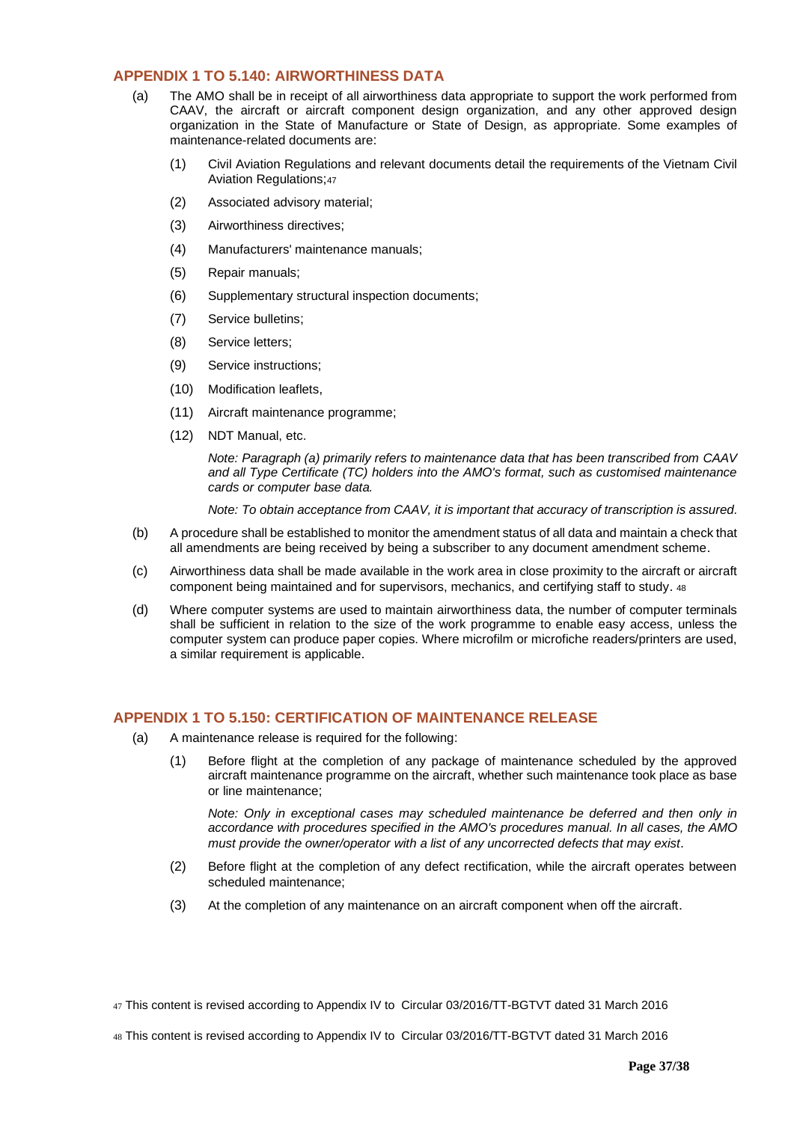# <span id="page-36-0"></span>**APPENDIX 1 TO 5.140: AIRWORTHINESS DATA**

- (a) The AMO shall be in receipt of all airworthiness data appropriate to support the work performed from CAAV, the aircraft or aircraft component design organization, and any other approved design organization in the State of Manufacture or State of Design, as appropriate. Some examples of maintenance-related documents are:
	- (1) Civil Aviation Regulations and relevant documents detail the requirements of the Vietnam Civil Aviation Regulations;<sup>47</sup>
	- (2) Associated advisory material;
	- (3) Airworthiness directives;
	- (4) Manufacturers' maintenance manuals;
	- (5) Repair manuals;
	- (6) Supplementary structural inspection documents;
	- (7) Service bulletins;
	- (8) Service letters;
	- (9) Service instructions;
	- (10) Modification leaflets,
	- (11) Aircraft maintenance programme;
	- (12) NDT Manual, etc.

*Note: Paragraph (a) primarily refers to maintenance data that has been transcribed from CAAV and all Type Certificate (TC) holders into the AMO's format, such as customised maintenance cards or computer base data.*

*Note: To obtain acceptance from CAAV, it is important that accuracy of transcription is assured.*

- (b) A procedure shall be established to monitor the amendment status of all data and maintain a check that all amendments are being received by being a subscriber to any document amendment scheme.
- (c) Airworthiness data shall be made available in the work area in close proximity to the aircraft or aircraft component being maintained and for supervisors, mechanics, and certifying staff to study. <sup>48</sup>
- (d) Where computer systems are used to maintain airworthiness data, the number of computer terminals shall be sufficient in relation to the size of the work programme to enable easy access, unless the computer system can produce paper copies. Where microfilm or microfiche readers/printers are used, a similar requirement is applicable.

#### <span id="page-36-1"></span>**APPENDIX 1 TO 5.150: CERTIFICATION OF MAINTENANCE RELEASE**

- (a) A maintenance release is required for the following:
	- (1) Before flight at the completion of any package of maintenance scheduled by the approved aircraft maintenance programme on the aircraft, whether such maintenance took place as base or line maintenance;

*Note: Only in exceptional cases may scheduled maintenance be deferred and then only in accordance with procedures specified in the AMO's procedures manual. In all cases, the AMO must provide the owner/operator with a list of any uncorrected defects that may exist.*

- (2) Before flight at the completion of any defect rectification, while the aircraft operates between scheduled maintenance;
- (3) At the completion of any maintenance on an aircraft component when off the aircraft.

47 This content is revised according to Appendix IV to Circular 03/2016/TT-BGTVT dated 31 March 2016

48 This content is revised according to Appendix IV to Circular 03/2016/TT-BGTVT dated 31 March 2016